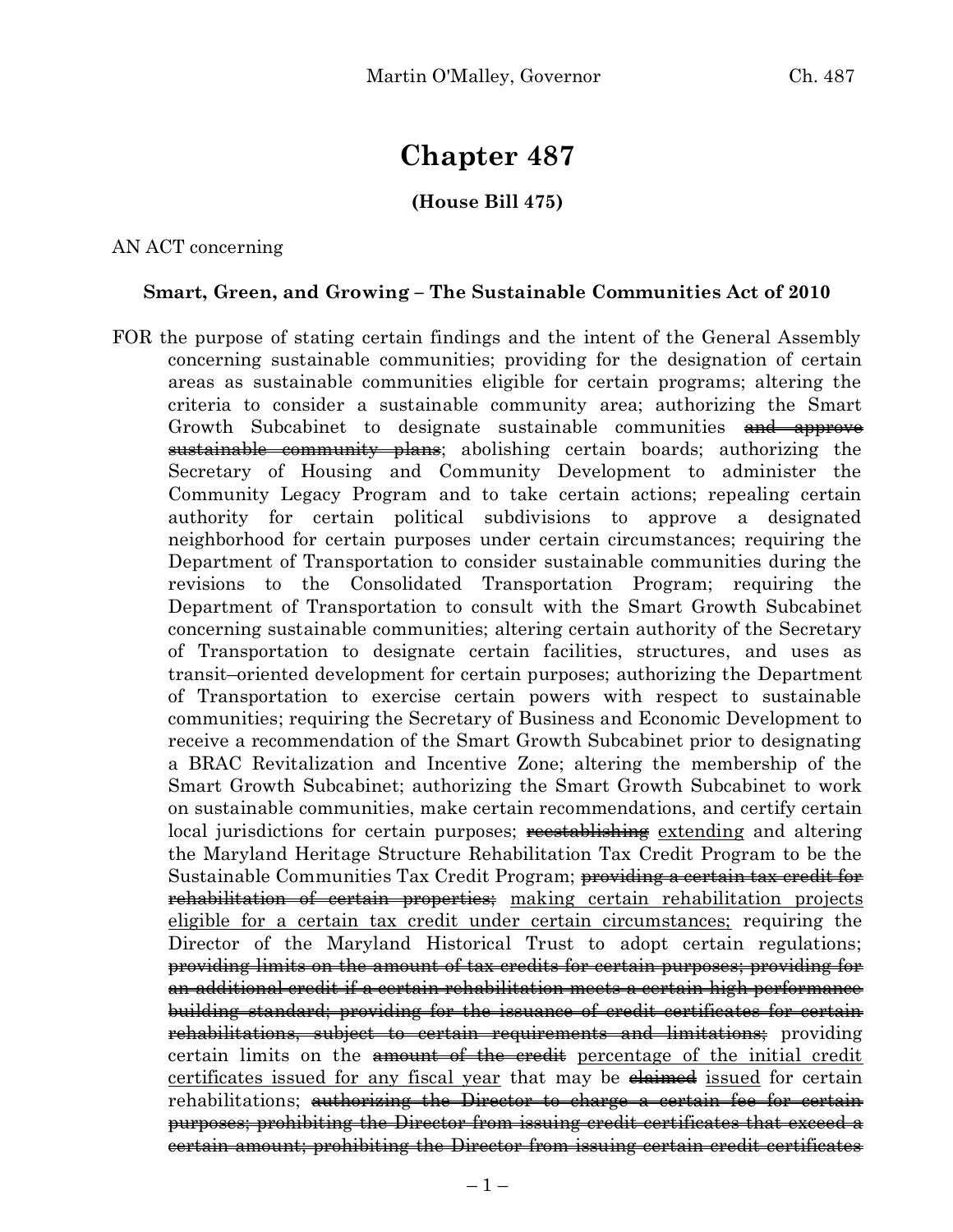# **Chapter 487**

# **(House Bill 475)**

AN ACT concerning

#### **Smart, Green, and Growing – The Sustainable Communities Act of 2010**

FOR the purpose of stating certain findings and the intent of the General Assembly concerning sustainable communities; providing for the designation of certain areas as sustainable communities eligible for certain programs; altering the criteria to consider a sustainable community area; authorizing the Smart Growth Subcabinet to designate sustainable communities and approve sustainable community plans; abolishing certain boards; authorizing the Secretary of Housing and Community Development to administer the Community Legacy Program and to take certain actions; repealing certain authority for certain political subdivisions to approve a designated neighborhood for certain purposes under certain circumstances; requiring the Department of Transportation to consider sustainable communities during the revisions to the Consolidated Transportation Program; requiring the Department of Transportation to consult with the Smart Growth Subcabinet concerning sustainable communities; altering certain authority of the Secretary of Transportation to designate certain facilities, structures, and uses as transit–oriented development for certain purposes; authorizing the Department of Transportation to exercise certain powers with respect to sustainable communities; requiring the Secretary of Business and Economic Development to receive a recommendation of the Smart Growth Subcabinet prior to designating a BRAC Revitalization and Incentive Zone; altering the membership of the Smart Growth Subcabinet; authorizing the Smart Growth Subcabinet to work on sustainable communities, make certain recommendations, and certify certain local jurisdictions for certain purposes; recestablishing extending and altering the Maryland Heritage Structure Rehabilitation Tax Credit Program to be the Sustainable Communities Tax Credit Program; <del>providing a certain tax credit for</del> **rehabilitation of certain properties**; making certain rehabilitation projects eligible for a certain tax credit under certain circumstances; requiring the Director of the Maryland Historical Trust to adopt certain regulations; providing limits on the amount of tax credits for certain purposes; providing for an additional credit if a certain rehabilitation meets a certain high performance building standard; providing for the issuance of credit certificates for certain rehabilitations, subject to certain requirements and limitations; providing certain limits on the amount of the credit percentage of the initial credit certificates issued for any fiscal year that may be elaimed issued for certain rehabilitations; authorizing the Director to charge a certain fee for certain purposes; prohibiting the Director from issuing credit certificates that exceed a certain amount; prohibiting the Director from issuing certain credit certificates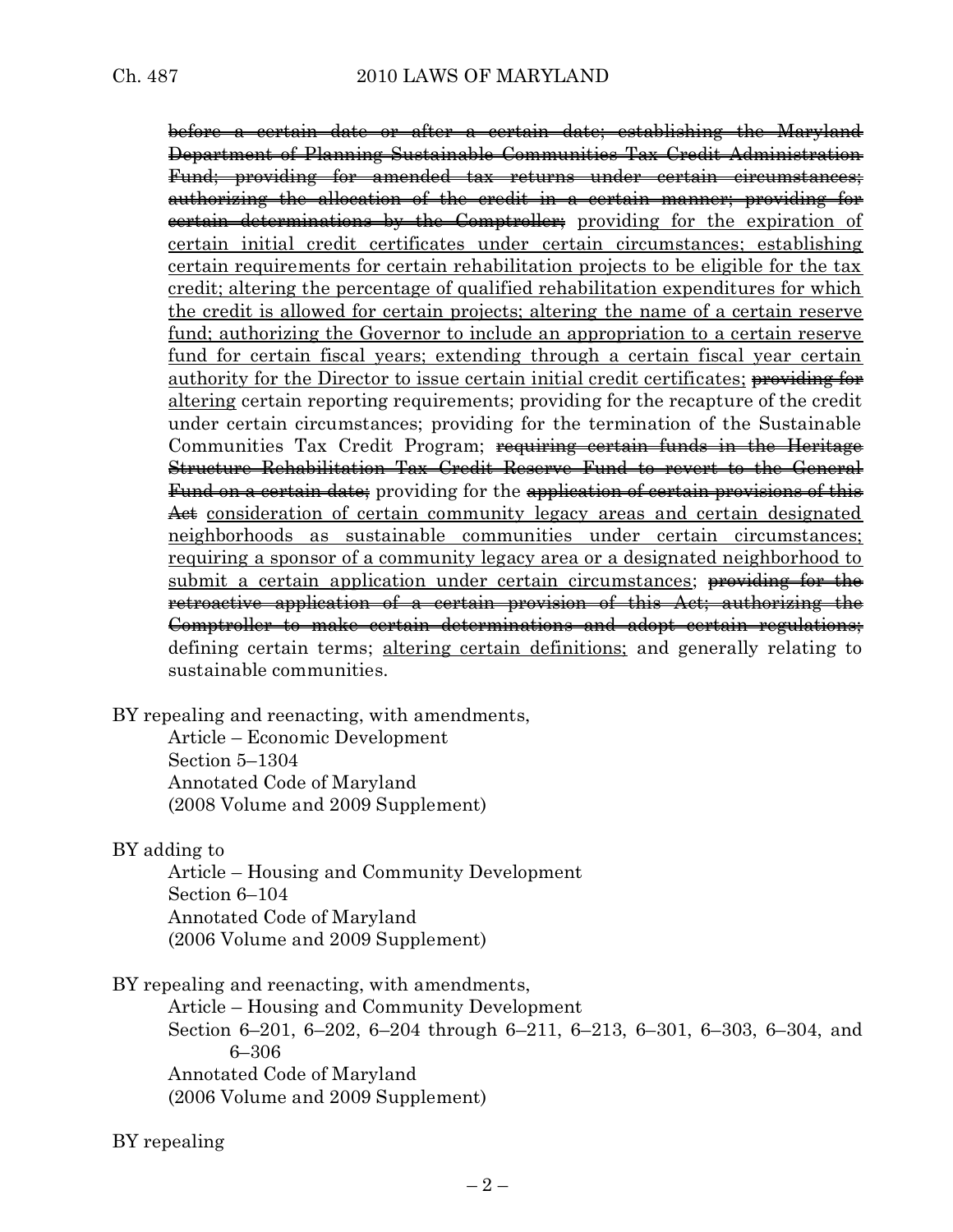before a certain date or after a certain date; establishing the Maryland Department of Planning Sustainable Communities Tax Credit Administration Fund; providing for amended tax returns under certain circumstances; authorizing the allocation of the credit in a certain manner; providing for certain determinations by the Comptroller; providing for the expiration of certain initial credit certificates under certain circumstances; establishing certain requirements for certain rehabilitation projects to be eligible for the tax credit; altering the percentage of qualified rehabilitation expenditures for which the credit is allowed for certain projects; altering the name of a certain reserve fund; authorizing the Governor to include an appropriation to a certain reserve fund for certain fiscal years; extending through a certain fiscal year certain authority for the Director to issue certain initial credit certificates; providing for altering certain reporting requirements; providing for the recapture of the credit under certain circumstances; providing for the termination of the Sustainable Communities Tax Credit Program; requiring certain funds in the Heritage Structure Rehabilitation Tax Credit Reserve Fund to revert to the General Fund on a certain date; providing for the application of certain provisions of this Act consideration of certain community legacy areas and certain designated neighborhoods as sustainable communities under certain circumstances; requiring a sponsor of a community legacy area or a designated neighborhood to submit a certain application under certain circumstances; providing for the retroactive application of a certain provision of this Act; authorizing the Comptroller to make certain determinations and adopt certain regulations; defining certain terms; altering certain definitions; and generally relating to sustainable communities.

BY repealing and reenacting, with amendments,

Article – Economic Development Section 5–1304 Annotated Code of Maryland (2008 Volume and 2009 Supplement)

BY adding to

Article – Housing and Community Development Section 6–104 Annotated Code of Maryland (2006 Volume and 2009 Supplement)

BY repealing and reenacting, with amendments,

Article – Housing and Community Development Section 6–201, 6–202, 6–204 through 6–211, 6–213, 6–301, 6–303, 6–304, and 6–306 Annotated Code of Maryland (2006 Volume and 2009 Supplement)

BY repealing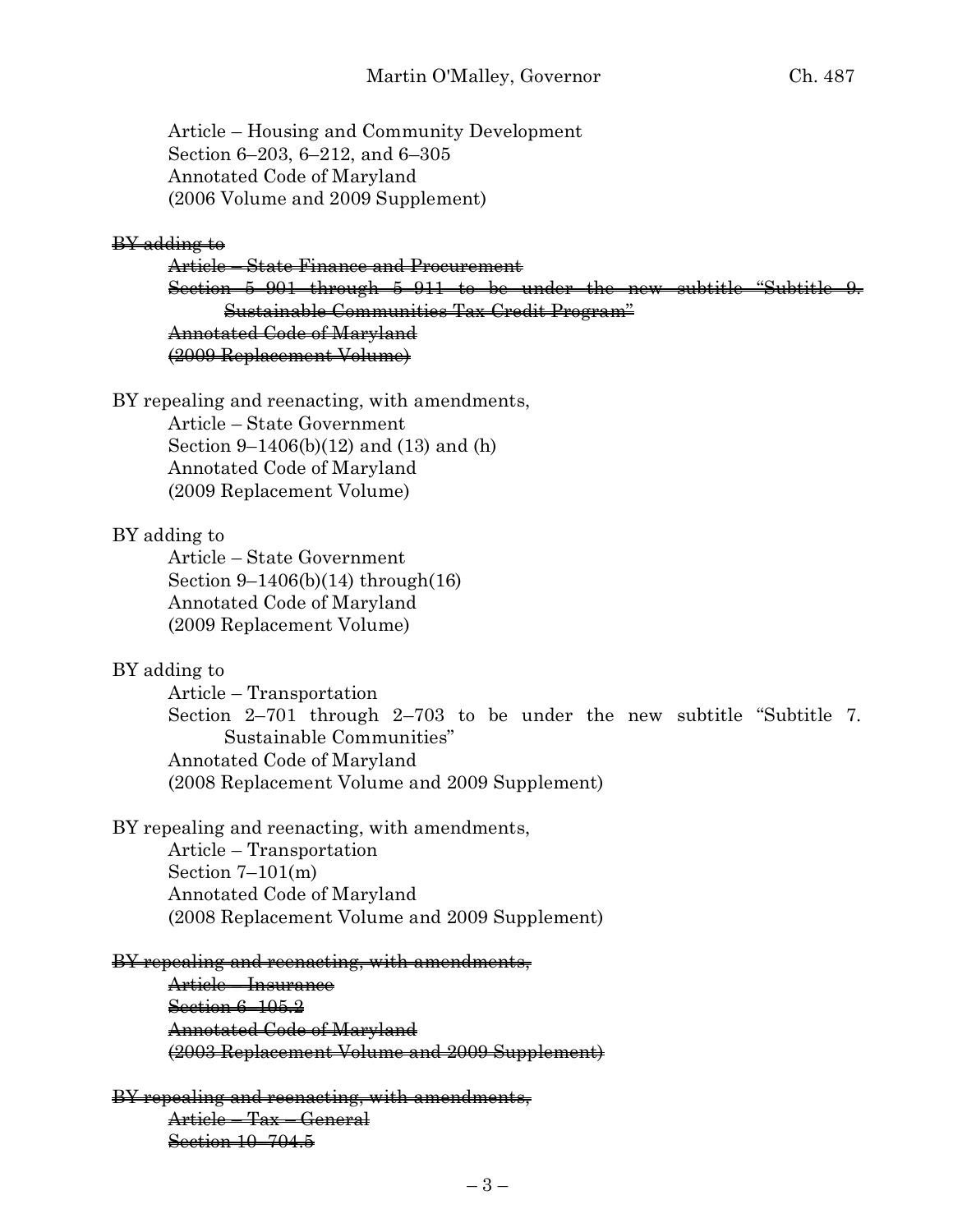Article – Housing and Community Development Section 6–203, 6–212, and 6–305 Annotated Code of Maryland (2006 Volume and 2009 Supplement)

#### BY adding to

Article – State Finance and Procurement Section 5–901 through 5–911 to be under the new subtitle "Subtitle 9. Sustainable Communities Tax Credit Program" Annotated Code of Maryland (2009 Replacement Volume)

BY repealing and reenacting, with amendments, Article – State Government

> Section 9–1406(b)(12) and (13) and (h) Annotated Code of Maryland (2009 Replacement Volume)

#### BY adding to

Article – State Government Section 9–1406(b)(14) through(16) Annotated Code of Maryland (2009 Replacement Volume)

#### BY adding to

Article – Transportation Section 2–701 through 2–703 to be under the new subtitle "Subtitle 7. Sustainable Communities" Annotated Code of Maryland (2008 Replacement Volume and 2009 Supplement)

BY repealing and reenacting, with amendments,

Article – Transportation Section  $7-101(m)$ Annotated Code of Maryland (2008 Replacement Volume and 2009 Supplement)

#### BY repealing and reenacting, with amendments,

Article – Insurance Section 6–105.2 Annotated Code of Maryland (2003 Replacement Volume and 2009 Supplement)

# BY repealing and reenacting, with amendments,

Article – Tax – General Section 10–704.5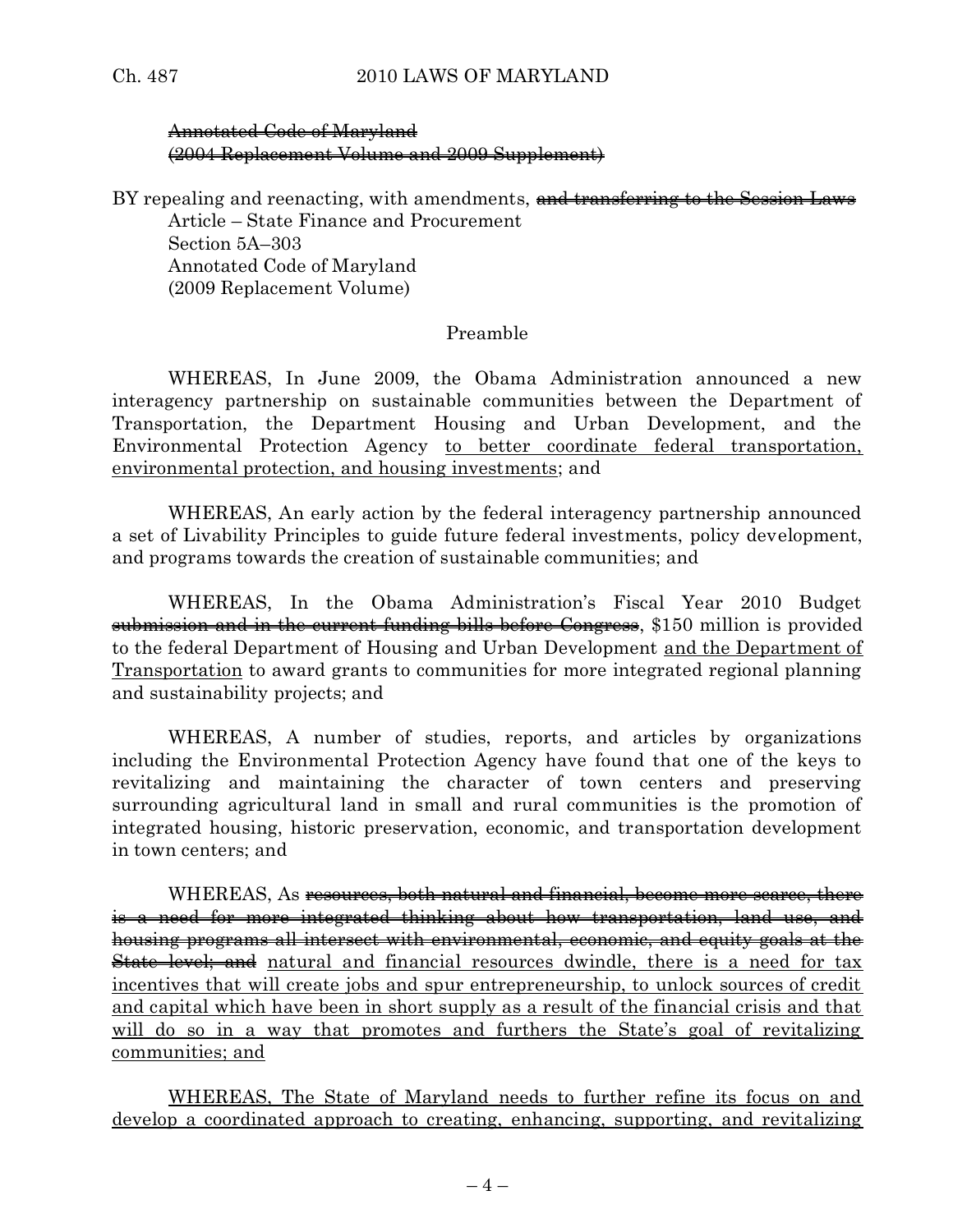### Annotated Code of Maryland (2004 Replacement Volume and 2009 Supplement)

BY repealing and reenacting, with amendments, and transferring to the Session Laws Article – State Finance and Procurement

Section 5A–303 Annotated Code of Maryland (2009 Replacement Volume)

### Preamble

WHEREAS, In June 2009, the Obama Administration announced a new interagency partnership on sustainable communities between the Department of Transportation, the Department Housing and Urban Development, and the Environmental Protection Agency to better coordinate federal transportation, environmental protection, and housing investments; and

WHEREAS, An early action by the federal interagency partnership announced a set of Livability Principles to guide future federal investments, policy development, and programs towards the creation of sustainable communities; and

WHEREAS, In the Obama Administration's Fiscal Year 2010 Budget submission and in the current funding bills before Congress, \$150 million is provided to the federal Department of Housing and Urban Development and the Department of Transportation to award grants to communities for more integrated regional planning and sustainability projects; and

WHEREAS, A number of studies, reports, and articles by organizations including the Environmental Protection Agency have found that one of the keys to revitalizing and maintaining the character of town centers and preserving surrounding agricultural land in small and rural communities is the promotion of integrated housing, historic preservation, economic, and transportation development in town centers; and

WHEREAS, As <del>resources, both natural and financial, become more scarce, there</del> is a need for more integrated thinking about how transportation, land use, and housing programs all intersect with environmental, economic, and equity goals at the **State level; and** natural and financial resources dwindle, there is a need for tax incentives that will create jobs and spur entrepreneurship, to unlock sources of credit and capital which have been in short supply as a result of the financial crisis and that will do so in a way that promotes and furthers the State's goal of revitalizing communities; and

WHEREAS, The State of Maryland needs to further refine its focus on and develop a coordinated approach to creating, enhancing, supporting, and revitalizing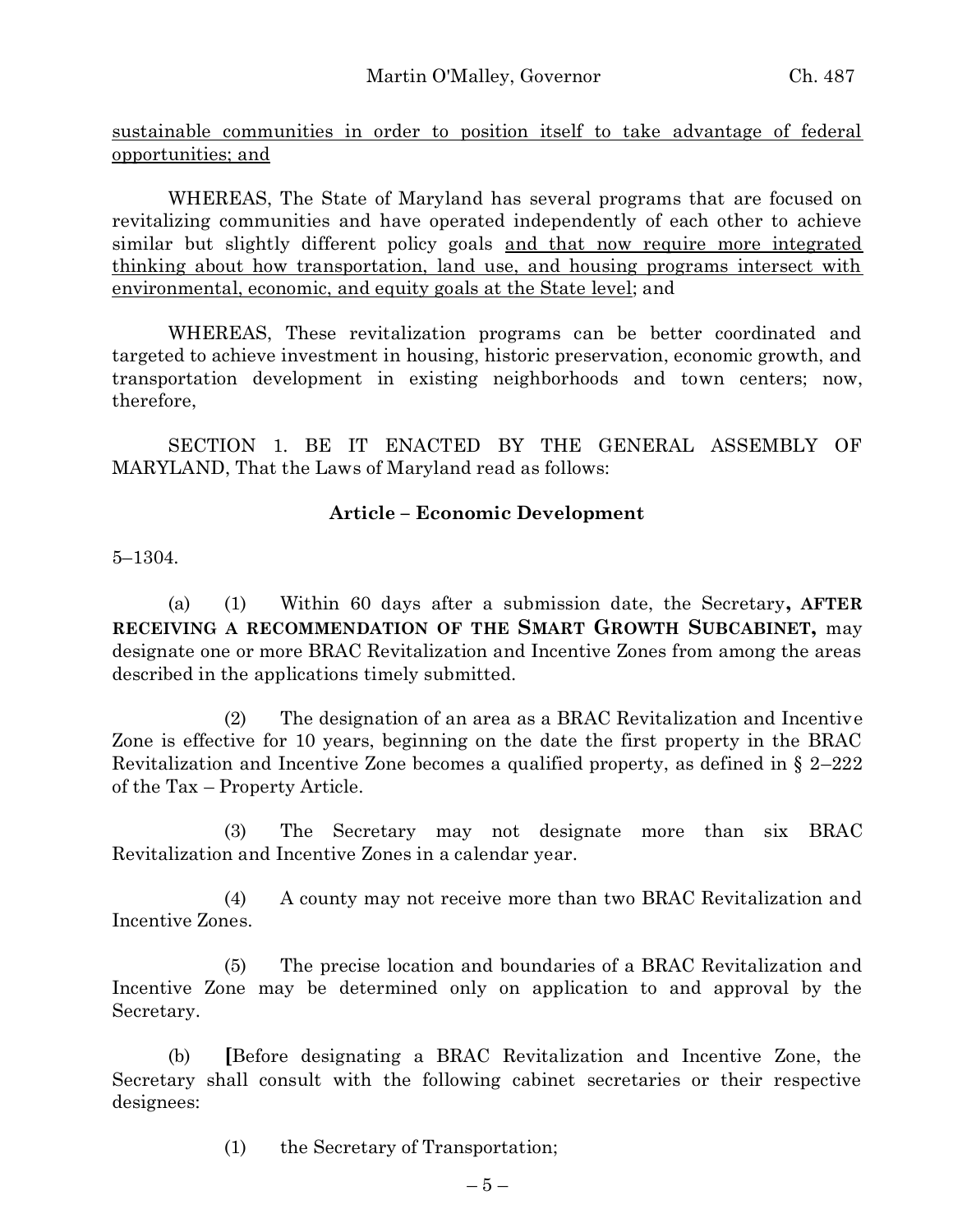sustainable communities in order to position itself to take advantage of federal opportunities; and

WHEREAS, The State of Maryland has several programs that are focused on revitalizing communities and have operated independently of each other to achieve similar but slightly different policy goals and that now require more integrated thinking about how transportation, land use, and housing programs intersect with environmental, economic, and equity goals at the State level; and

WHEREAS, These revitalization programs can be better coordinated and targeted to achieve investment in housing, historic preservation, economic growth, and transportation development in existing neighborhoods and town centers; now, therefore,

SECTION 1. BE IT ENACTED BY THE GENERAL ASSEMBLY OF MARYLAND, That the Laws of Maryland read as follows:

### **Article – Economic Development**

5–1304.

(a) (1) Within 60 days after a submission date, the Secretary**, AFTER RECEIVING A RECOMMENDATION OF THE SMART GROWTH SUBCABINET,** may designate one or more BRAC Revitalization and Incentive Zones from among the areas described in the applications timely submitted.

(2) The designation of an area as a BRAC Revitalization and Incentive Zone is effective for 10 years, beginning on the date the first property in the BRAC Revitalization and Incentive Zone becomes a qualified property, as defined in § 2–222 of the Tax – Property Article.

(3) The Secretary may not designate more than six BRAC Revitalization and Incentive Zones in a calendar year.

(4) A county may not receive more than two BRAC Revitalization and Incentive Zones.

(5) The precise location and boundaries of a BRAC Revitalization and Incentive Zone may be determined only on application to and approval by the Secretary.

(b) **[**Before designating a BRAC Revitalization and Incentive Zone, the Secretary shall consult with the following cabinet secretaries or their respective designees:

(1) the Secretary of Transportation;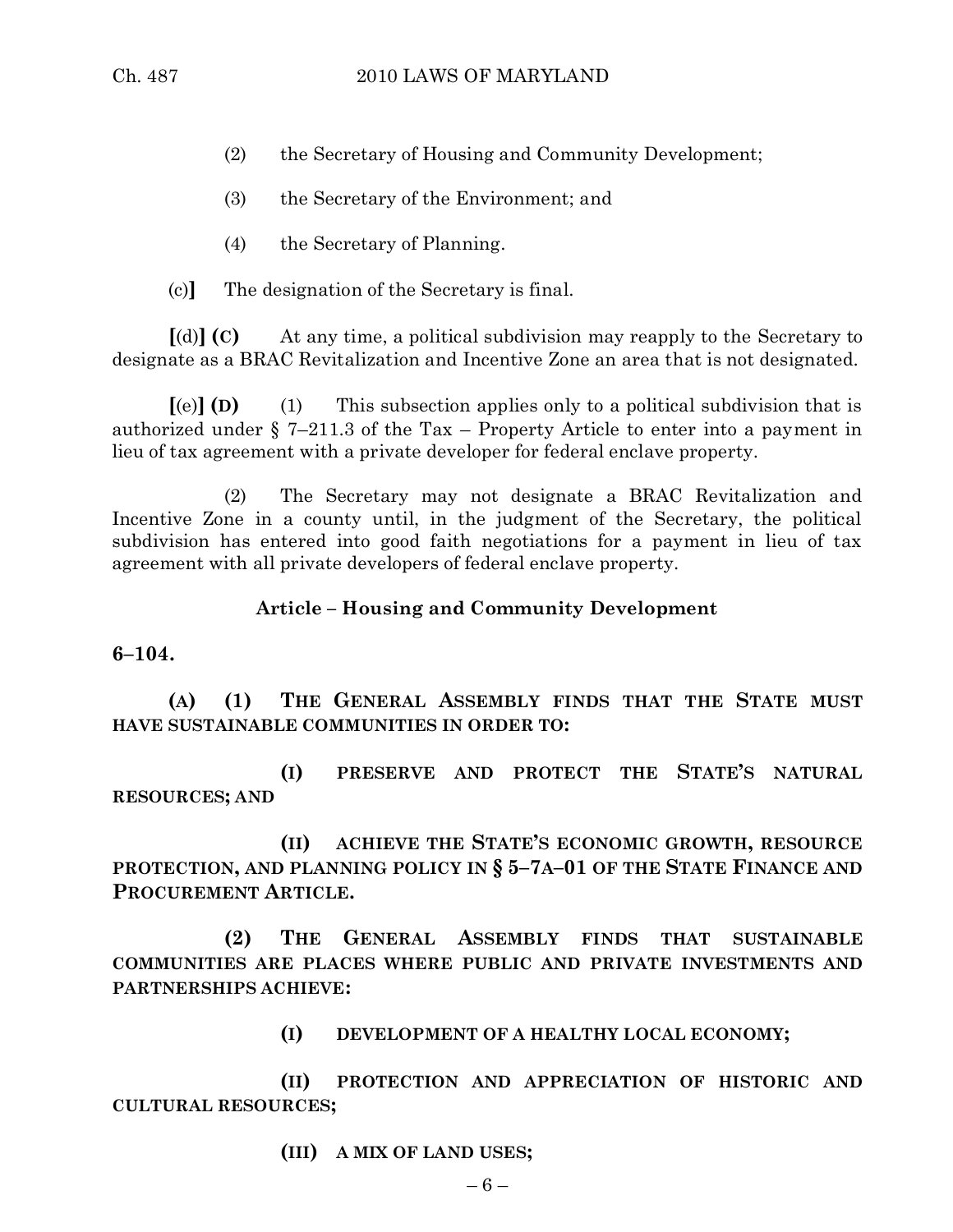- (2) the Secretary of Housing and Community Development;
- (3) the Secretary of the Environment; and
- (4) the Secretary of Planning.
- (c)**]** The designation of the Secretary is final.

**[**(d)**] (C)** At any time, a political subdivision may reapply to the Secretary to designate as a BRAC Revitalization and Incentive Zone an area that is not designated.

**[**(e)**] (D)** (1) This subsection applies only to a political subdivision that is authorized under § 7–211.3 of the Tax – Property Article to enter into a payment in lieu of tax agreement with a private developer for federal enclave property.

(2) The Secretary may not designate a BRAC Revitalization and Incentive Zone in a county until, in the judgment of the Secretary, the political subdivision has entered into good faith negotiations for a payment in lieu of tax agreement with all private developers of federal enclave property.

### **Article – Housing and Community Development**

### **6–104.**

**(A) (1) THE GENERAL ASSEMBLY FINDS THAT THE STATE MUST HAVE SUSTAINABLE COMMUNITIES IN ORDER TO:**

**(I) PRESERVE AND PROTECT THE STATE'S NATURAL RESOURCES; AND** 

**(II) ACHIEVE THE STATE'S ECONOMIC GROWTH, RESOURCE PROTECTION, AND PLANNING POLICY IN § 5–7A–01 OF THE STATE FINANCE AND PROCUREMENT ARTICLE.**

**(2) THE GENERAL ASSEMBLY FINDS THAT SUSTAINABLE COMMUNITIES ARE PLACES WHERE PUBLIC AND PRIVATE INVESTMENTS AND PARTNERSHIPS ACHIEVE:**

**(I) DEVELOPMENT OF A HEALTHY LOCAL ECONOMY;**

**(II) PROTECTION AND APPRECIATION OF HISTORIC AND CULTURAL RESOURCES;**

**(III) A MIX OF LAND USES;**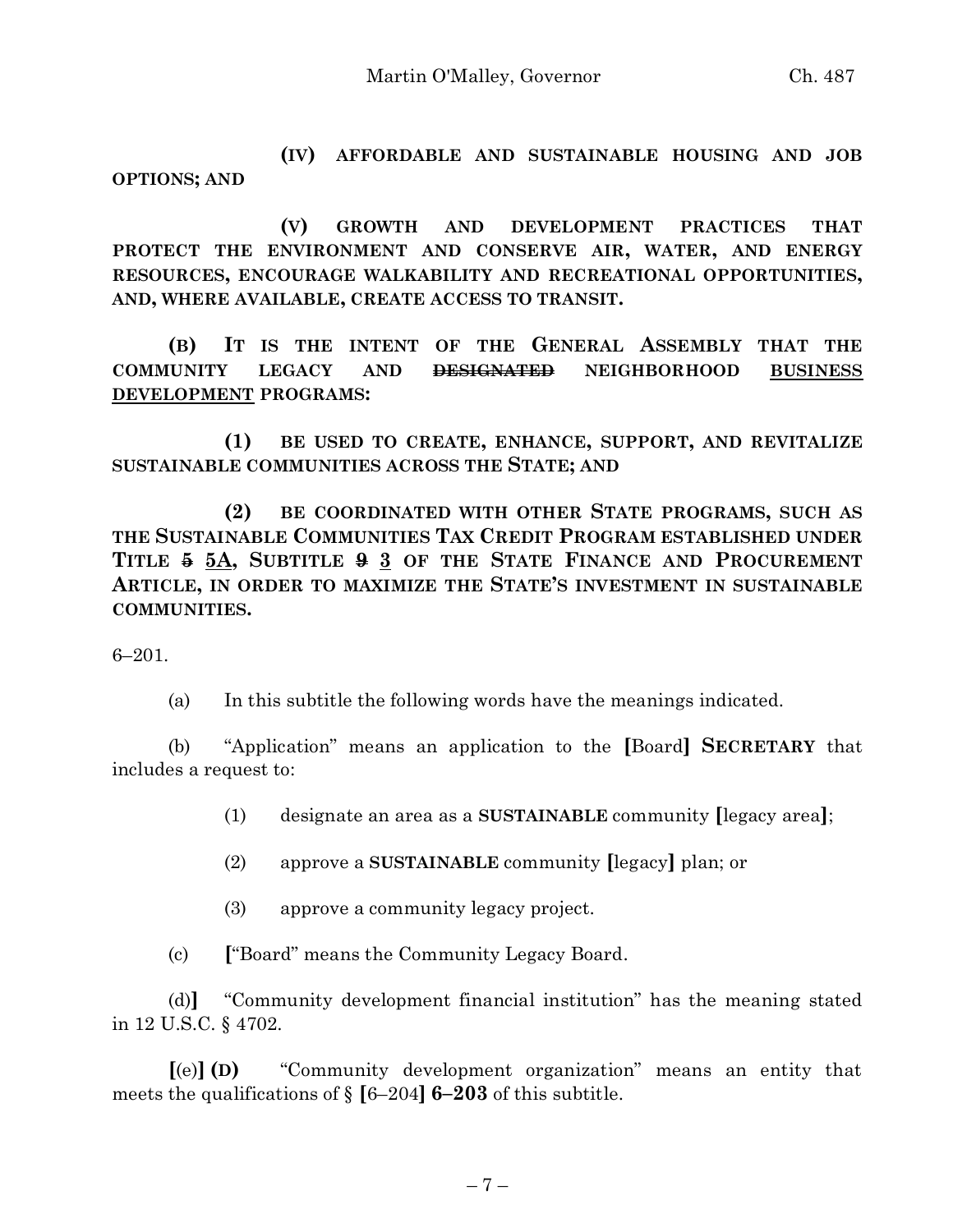**(IV) AFFORDABLE AND SUSTAINABLE HOUSING AND JOB OPTIONS; AND**

**(V) GROWTH AND DEVELOPMENT PRACTICES THAT PROTECT THE ENVIRONMENT AND CONSERVE AIR, WATER, AND ENERGY RESOURCES, ENCOURAGE WALKABILITY AND RECREATIONAL OPPORTUNITIES, AND, WHERE AVAILABLE, CREATE ACCESS TO TRANSIT.**

**(B) IT IS THE INTENT OF THE GENERAL ASSEMBLY THAT THE COMMUNITY LEGACY AND DESIGNATED NEIGHBORHOOD BUSINESS DEVELOPMENT PROGRAMS:**

**(1) BE USED TO CREATE, ENHANCE, SUPPORT, AND REVITALIZE SUSTAINABLE COMMUNITIES ACROSS THE STATE; AND**

**(2) BE COORDINATED WITH OTHER STATE PROGRAMS, SUCH AS THE SUSTAINABLE COMMUNITIES TAX CREDIT PROGRAM ESTABLISHED UNDER TITLE 5 5A, SUBTITLE 9 3 OF THE STATE FINANCE AND PROCUREMENT ARTICLE, IN ORDER TO MAXIMIZE THE STATE'S INVESTMENT IN SUSTAINABLE COMMUNITIES.**

6–201.

(a) In this subtitle the following words have the meanings indicated.

(b) "Application" means an application to the **[**Board**] SECRETARY** that includes a request to:

(1) designate an area as a **SUSTAINABLE** community **[**legacy area**]**;

(2) approve a **SUSTAINABLE** community **[**legacy**]** plan; or

(3) approve a community legacy project.

(c) **[**"Board" means the Community Legacy Board.

(d)**]** "Community development financial institution" has the meaning stated in 12 U.S.C. § 4702.

**[**(e)**] (D)** "Community development organization" means an entity that meets the qualifications of § **[**6–204**] 6–203** of this subtitle.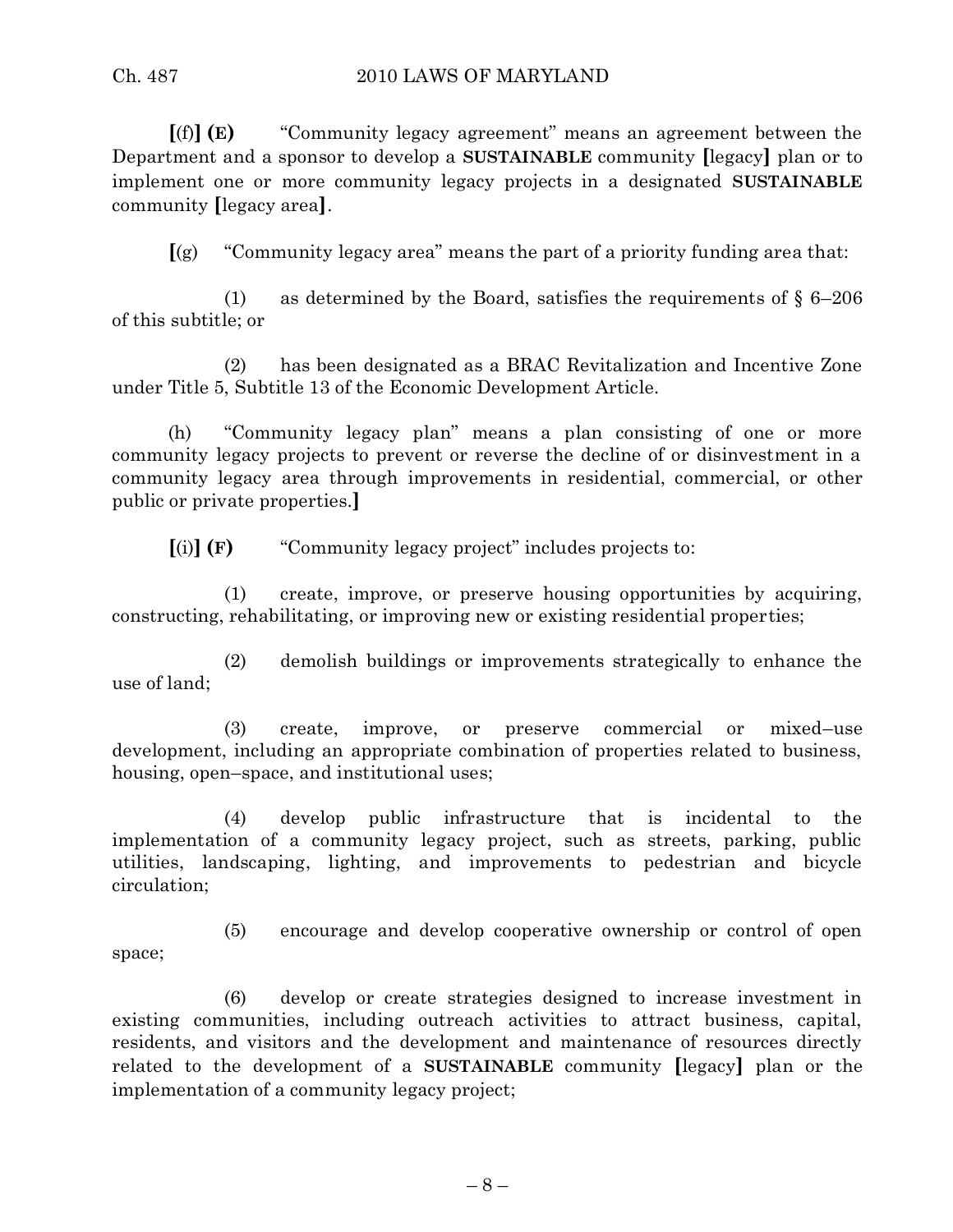#### Ch. 487 2010 LAWS OF MARYLAND

**[**(f)**] (E)** "Community legacy agreement" means an agreement between the Department and a sponsor to develop a **SUSTAINABLE** community **[**legacy**]** plan or to implement one or more community legacy projects in a designated **SUSTAINABLE** community **[**legacy area**]**.

**[**(g) "Community legacy area" means the part of a priority funding area that:

(1) as determined by the Board, satisfies the requirements of  $\S 6-206$ of this subtitle; or

(2) has been designated as a BRAC Revitalization and Incentive Zone under Title 5, Subtitle 13 of the Economic Development Article.

(h) "Community legacy plan" means a plan consisting of one or more community legacy projects to prevent or reverse the decline of or disinvestment in a community legacy area through improvements in residential, commercial, or other public or private properties.**]**

**[**(i)**] (F)** "Community legacy project" includes projects to:

(1) create, improve, or preserve housing opportunities by acquiring, constructing, rehabilitating, or improving new or existing residential properties;

(2) demolish buildings or improvements strategically to enhance the use of land;

(3) create, improve, or preserve commercial or mixed–use development, including an appropriate combination of properties related to business, housing, open–space, and institutional uses;

(4) develop public infrastructure that is incidental to the implementation of a community legacy project, such as streets, parking, public utilities, landscaping, lighting, and improvements to pedestrian and bicycle circulation;

space;

(5) encourage and develop cooperative ownership or control of open

(6) develop or create strategies designed to increase investment in existing communities, including outreach activities to attract business, capital, residents, and visitors and the development and maintenance of resources directly related to the development of a **SUSTAINABLE** community **[**legacy**]** plan or the implementation of a community legacy project;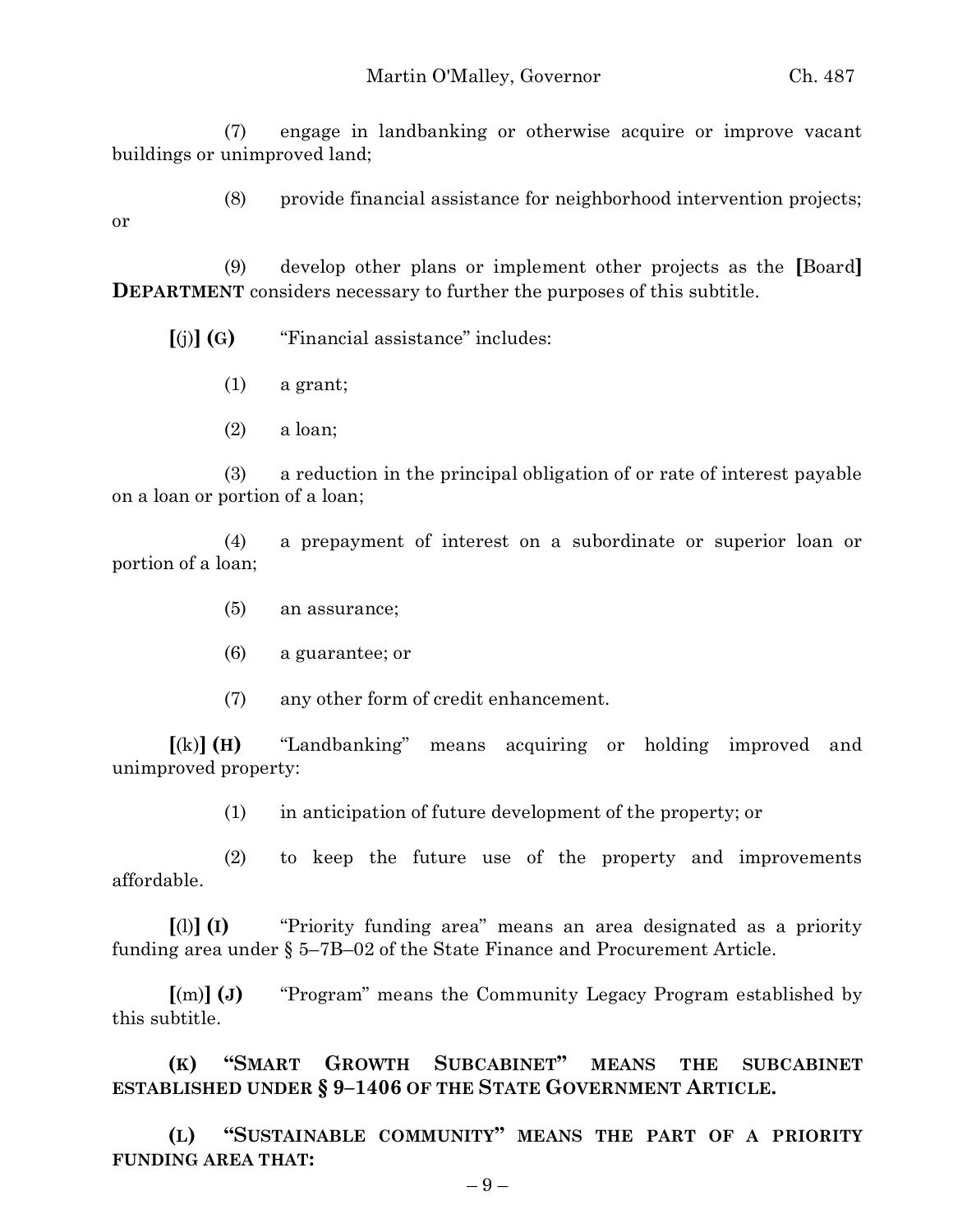(7) engage in landbanking or otherwise acquire or improve vacant buildings or unimproved land;

(8) provide financial assistance for neighborhood intervention projects;

or

(9) develop other plans or implement other projects as the **[**Board**] DEPARTMENT** considers necessary to further the purposes of this subtitle.

**[**(j)**] (G)** "Financial assistance" includes:

- (1) a grant;
- (2) a loan;

(3) a reduction in the principal obligation of or rate of interest payable on a loan or portion of a loan;

(4) a prepayment of interest on a subordinate or superior loan or portion of a loan;

- (5) an assurance;
- (6) a guarantee; or
- (7) any other form of credit enhancement.

**[**(k)**] (H)** "Landbanking" means acquiring or holding improved and unimproved property:

(1) in anticipation of future development of the property; or

(2) to keep the future use of the property and improvements affordable.

**[**(l)**] (I)** "Priority funding area" means an area designated as a priority funding area under § 5–7B–02 of the State Finance and Procurement Article.

**[**(m)**] (J)** "Program" means the Community Legacy Program established by this subtitle.

**(K) "SMART GROWTH SUBCABINET" MEANS THE SUBCABINET ESTABLISHED UNDER § 9–1406 OF THE STATE GOVERNMENT ARTICLE.**

**(L) "SUSTAINABLE COMMUNITY" MEANS THE PART OF A PRIORITY FUNDING AREA THAT:**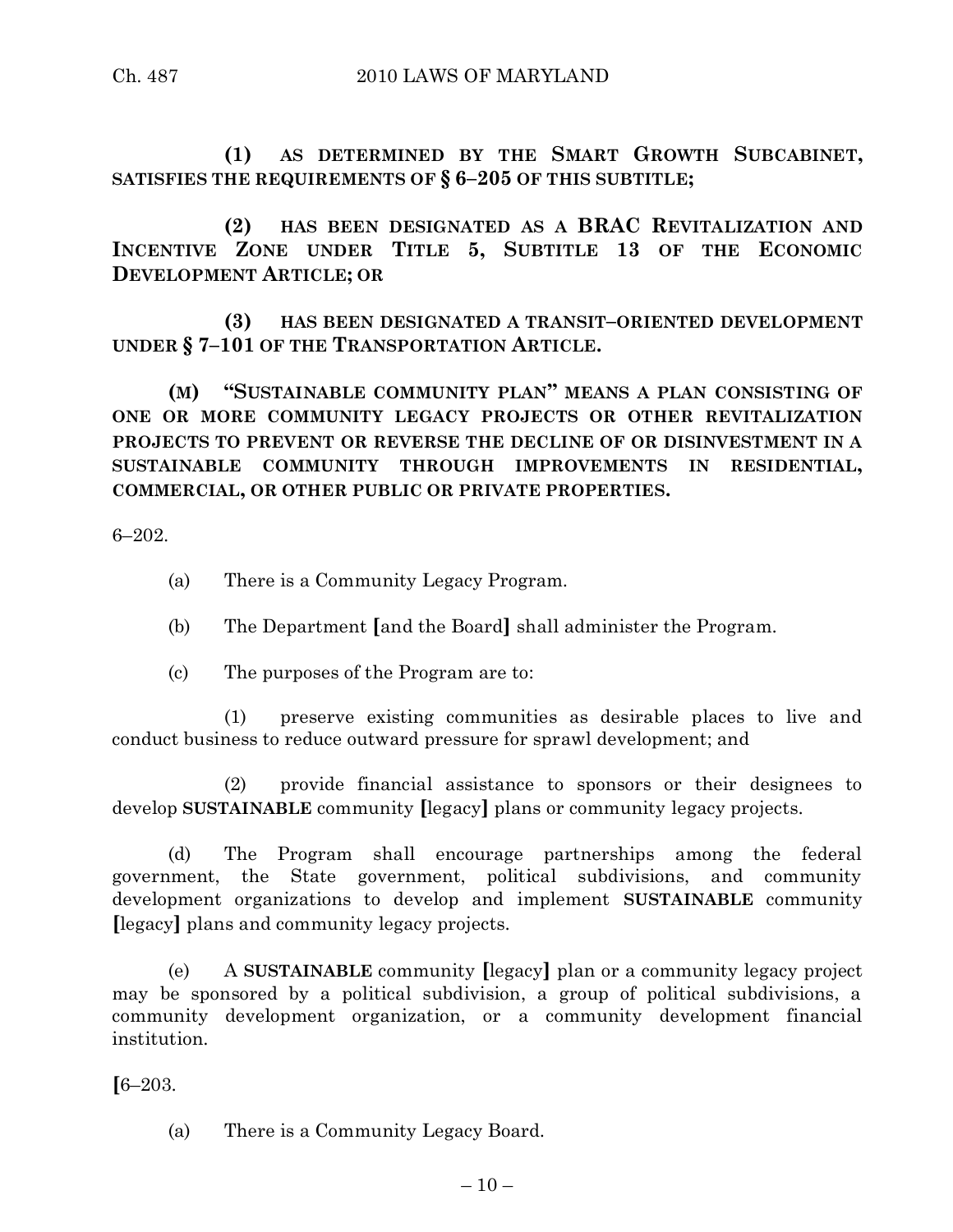**(1) AS DETERMINED BY THE SMART GROWTH SUBCABINET, SATISFIES THE REQUIREMENTS OF § 6–205 OF THIS SUBTITLE;**

**(2) HAS BEEN DESIGNATED AS A BRAC REVITALIZATION AND INCENTIVE ZONE UNDER TITLE 5, SUBTITLE 13 OF THE ECONOMIC DEVELOPMENT ARTICLE; OR**

**(3) HAS BEEN DESIGNATED A TRANSIT–ORIENTED DEVELOPMENT UNDER § 7–101 OF THE TRANSPORTATION ARTICLE.**

**(M) "SUSTAINABLE COMMUNITY PLAN" MEANS A PLAN CONSISTING OF ONE OR MORE COMMUNITY LEGACY PROJECTS OR OTHER REVITALIZATION PROJECTS TO PREVENT OR REVERSE THE DECLINE OF OR DISINVESTMENT IN A SUSTAINABLE COMMUNITY THROUGH IMPROVEMENTS IN RESIDENTIAL, COMMERCIAL, OR OTHER PUBLIC OR PRIVATE PROPERTIES.**

6–202.

- (a) There is a Community Legacy Program.
- (b) The Department **[**and the Board**]** shall administer the Program.
- (c) The purposes of the Program are to:

(1) preserve existing communities as desirable places to live and conduct business to reduce outward pressure for sprawl development; and

(2) provide financial assistance to sponsors or their designees to develop **SUSTAINABLE** community **[**legacy**]** plans or community legacy projects.

(d) The Program shall encourage partnerships among the federal government, the State government, political subdivisions, and community development organizations to develop and implement **SUSTAINABLE** community **[**legacy**]** plans and community legacy projects.

(e) A **SUSTAINABLE** community **[**legacy**]** plan or a community legacy project may be sponsored by a political subdivision, a group of political subdivisions, a community development organization, or a community development financial institution.

**[**6–203.

(a) There is a Community Legacy Board.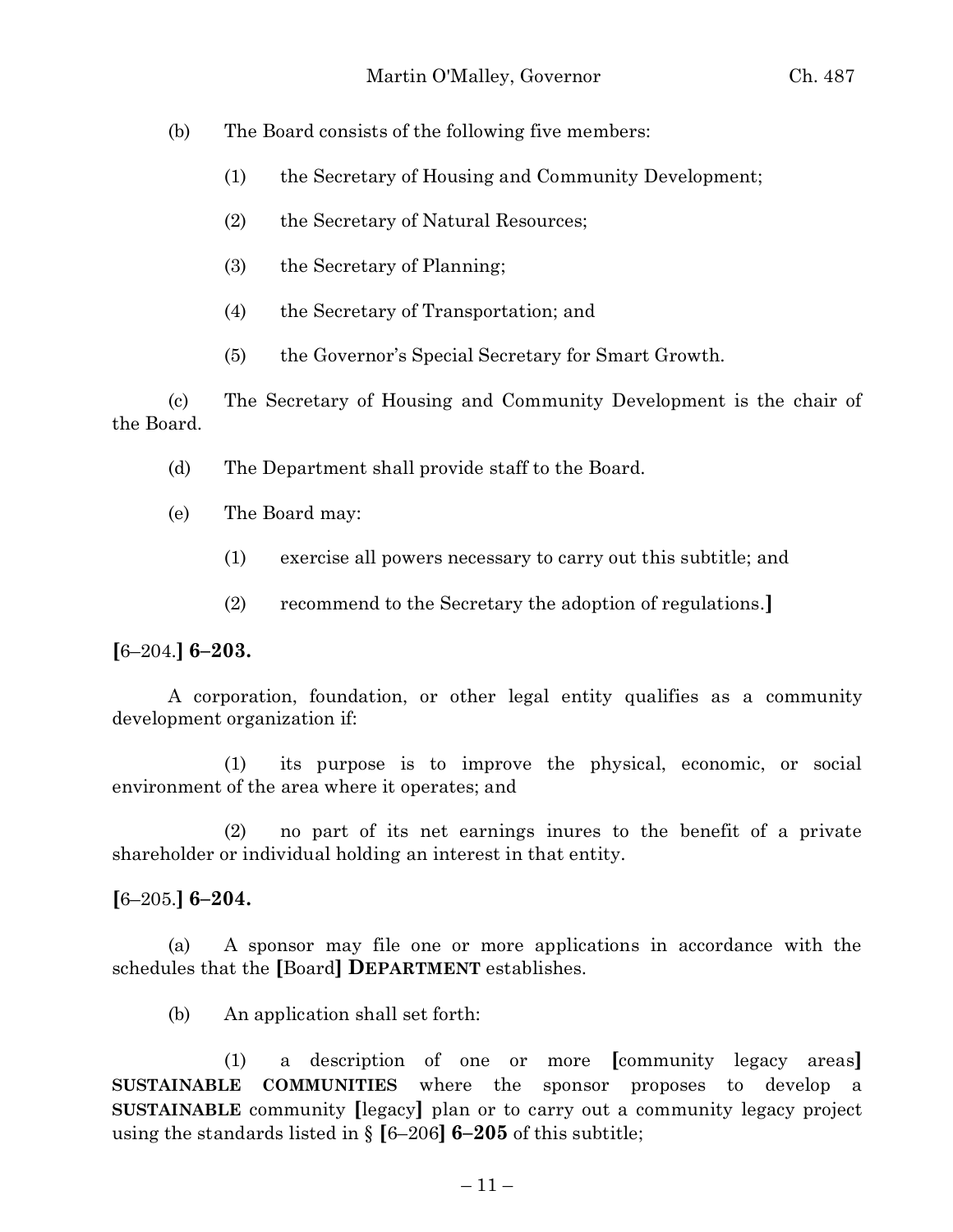(b) The Board consists of the following five members:

- (1) the Secretary of Housing and Community Development;
- (2) the Secretary of Natural Resources;
- (3) the Secretary of Planning;
- (4) the Secretary of Transportation; and
- (5) the Governor's Special Secretary for Smart Growth.

(c) The Secretary of Housing and Community Development is the chair of the Board.

- (d) The Department shall provide staff to the Board.
- (e) The Board may:
	- (1) exercise all powers necessary to carry out this subtitle; and
	- (2) recommend to the Secretary the adoption of regulations.**]**

**[**6–204.**] 6–203.**

A corporation, foundation, or other legal entity qualifies as a community development organization if:

(1) its purpose is to improve the physical, economic, or social environment of the area where it operates; and

(2) no part of its net earnings inures to the benefit of a private shareholder or individual holding an interest in that entity.

**[**6–205.**] 6–204.**

(a) A sponsor may file one or more applications in accordance with the schedules that the **[**Board**] DEPARTMENT** establishes.

(b) An application shall set forth:

(1) a description of one or more **[**community legacy areas**] SUSTAINABLE COMMUNITIES** where the sponsor proposes to develop a **SUSTAINABLE** community **[**legacy**]** plan or to carry out a community legacy project using the standards listed in § **[**6–206**] 6–205** of this subtitle;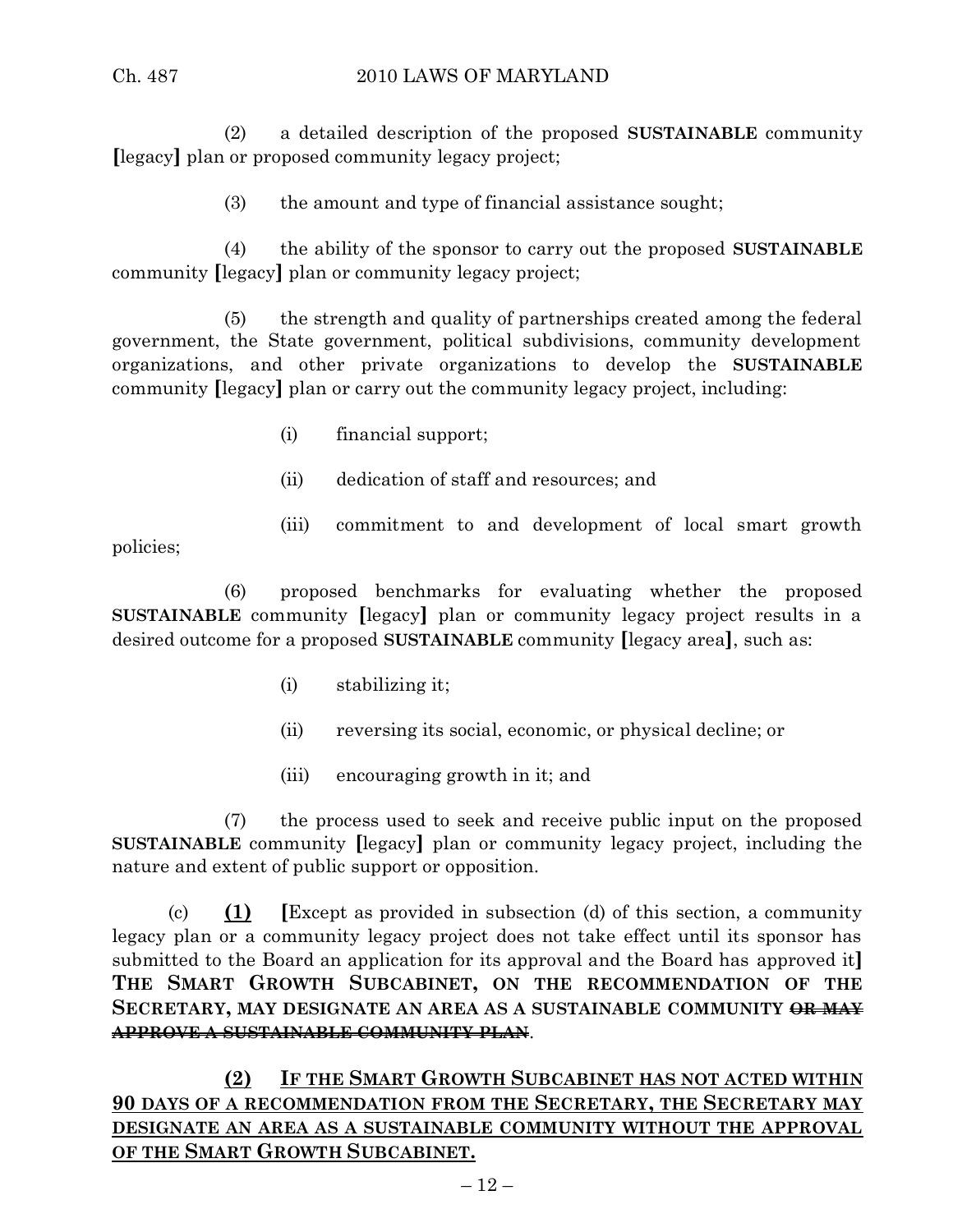### Ch. 487 2010 LAWS OF MARYLAND

(2) a detailed description of the proposed **SUSTAINABLE** community **[**legacy**]** plan or proposed community legacy project;

(3) the amount and type of financial assistance sought;

(4) the ability of the sponsor to carry out the proposed **SUSTAINABLE** community **[**legacy**]** plan or community legacy project;

(5) the strength and quality of partnerships created among the federal government, the State government, political subdivisions, community development organizations, and other private organizations to develop the **SUSTAINABLE** community **[**legacy**]** plan or carry out the community legacy project, including:

- (i) financial support;
- (ii) dedication of staff and resources; and
- (iii) commitment to and development of local smart growth

policies;

(6) proposed benchmarks for evaluating whether the proposed **SUSTAINABLE** community **[**legacy**]** plan or community legacy project results in a desired outcome for a proposed **SUSTAINABLE** community **[**legacy area**]**, such as:

- (i) stabilizing it;
- (ii) reversing its social, economic, or physical decline; or
- (iii) encouraging growth in it; and

(7) the process used to seek and receive public input on the proposed **SUSTAINABLE** community **[**legacy**]** plan or community legacy project, including the nature and extent of public support or opposition.

(c) **(1) [**Except as provided in subsection (d) of this section, a community legacy plan or a community legacy project does not take effect until its sponsor has submitted to the Board an application for its approval and the Board has approved it**] THE SMART GROWTH SUBCABINET, ON THE RECOMMENDATION OF THE SECRETARY, MAY DESIGNATE AN AREA AS A SUSTAINABLE COMMUNITY OR MAY APPROVE A SUSTAINABLE COMMUNITY PLAN**.

**(2) IF THE SMART GROWTH SUBCABINET HAS NOT ACTED WITHIN 90 DAYS OF A RECOMMENDATION FROM THE SECRETARY, THE SECRETARY MAY DESIGNATE AN AREA AS A SUSTAINABLE COMMUNITY WITHOUT THE APPROVAL OF THE SMART GROWTH SUBCABINET.**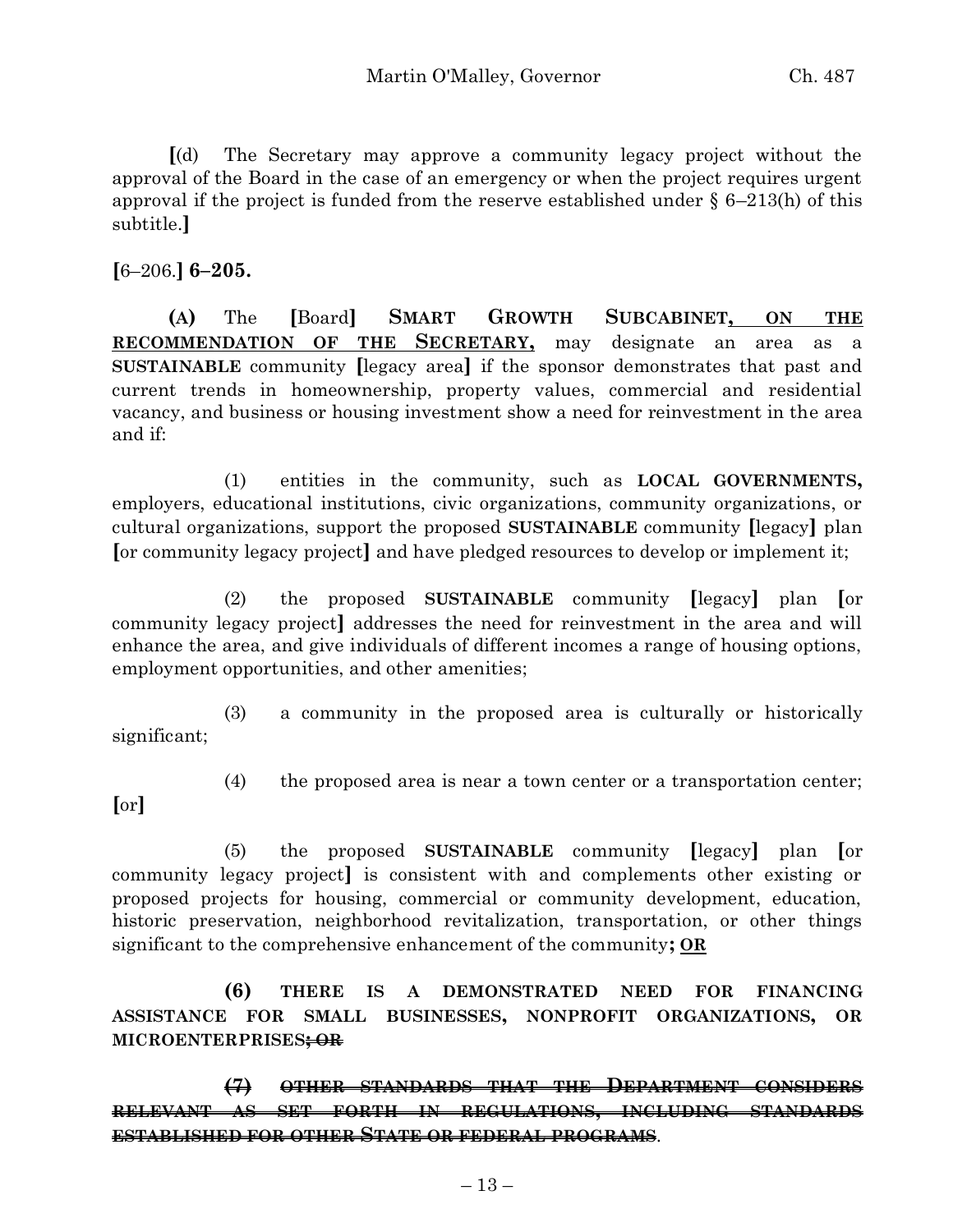**[**(d) The Secretary may approve a community legacy project without the approval of the Board in the case of an emergency or when the project requires urgent approval if the project is funded from the reserve established under  $\S 6-213(h)$  of this subtitle.**]**

**[**6–206.**] 6–205.**

**(A)** The **[**Board**] SMART GROWTH SUBCABINET, ON THE RECOMMENDATION OF THE SECRETARY,** may designate an area as a **SUSTAINABLE** community **[**legacy area**]** if the sponsor demonstrates that past and current trends in homeownership, property values, commercial and residential vacancy, and business or housing investment show a need for reinvestment in the area and if:

(1) entities in the community, such as **LOCAL GOVERNMENTS,** employers, educational institutions, civic organizations, community organizations, or cultural organizations, support the proposed **SUSTAINABLE** community **[**legacy**]** plan **[**or community legacy project**]** and have pledged resources to develop or implement it;

(2) the proposed **SUSTAINABLE** community **[**legacy**]** plan **[**or community legacy project**]** addresses the need for reinvestment in the area and will enhance the area, and give individuals of different incomes a range of housing options, employment opportunities, and other amenities;

(3) a community in the proposed area is culturally or historically significant;

- **[**or**]**
- (4) the proposed area is near a town center or a transportation center;

(5) the proposed **SUSTAINABLE** community **[**legacy**]** plan **[**or community legacy project**]** is consistent with and complements other existing or proposed projects for housing, commercial or community development, education, historic preservation, neighborhood revitalization, transportation, or other things significant to the comprehensive enhancement of the community**; OR**

**(6) THERE IS A DEMONSTRATED NEED FOR FINANCING ASSISTANCE FOR SMALL BUSINESSES, NONPROFIT ORGANIZATIONS, OR MICROENTERPRISES; OR**

**(7) OTHER STANDARDS THAT THE DEPARTMENT CONSIDERS RELEVANT AS SET FORTH IN REGULATIONS, INCLUDING STANDARDS ESTABLISHED FOR OTHER STATE OR FEDERAL PROGRAMS**.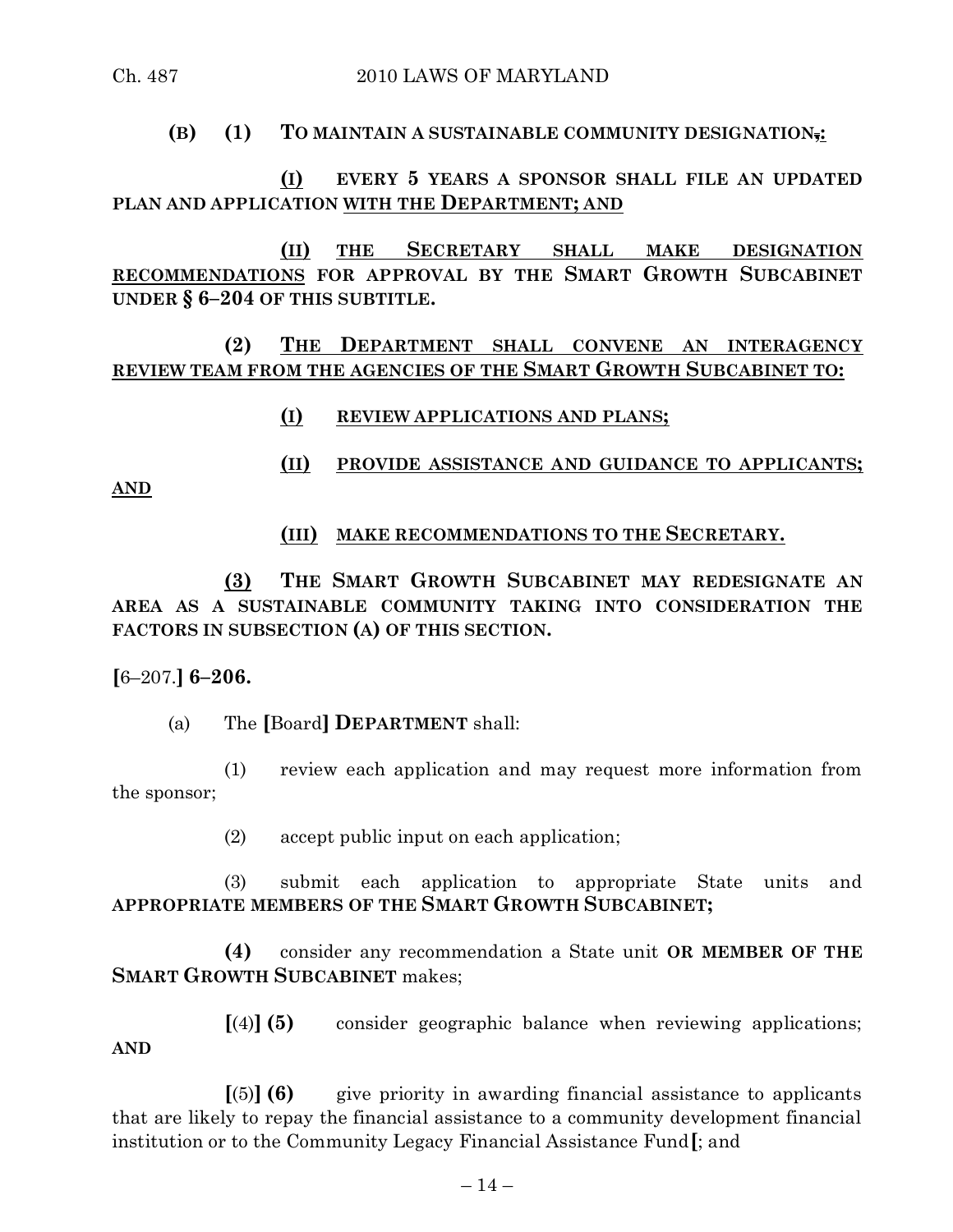# **(B) (1) TO MAINTAIN A SUSTAINABLE COMMUNITY DESIGNATION,:**

# **(I) EVERY 5 YEARS A SPONSOR SHALL FILE AN UPDATED PLAN AND APPLICATION WITH THE DEPARTMENT; AND**

**(II) THE SECRETARY SHALL MAKE DESIGNATION RECOMMENDATIONS FOR APPROVAL BY THE SMART GROWTH SUBCABINET UNDER § 6–204 OF THIS SUBTITLE.**

**(2) THE DEPARTMENT SHALL CONVENE AN INTERAGENCY REVIEW TEAM FROM THE AGENCIES OF THE SMART GROWTH SUBCABINET TO:**

**(I) REVIEW APPLICATIONS AND PLANS;**

**(II) PROVIDE ASSISTANCE AND GUIDANCE TO APPLICANTS;**

**AND**

# **(III) MAKE RECOMMENDATIONS TO THE SECRETARY.**

**(3) THE SMART GROWTH SUBCABINET MAY REDESIGNATE AN AREA AS A SUSTAINABLE COMMUNITY TAKING INTO CONSIDERATION THE FACTORS IN SUBSECTION (A) OF THIS SECTION.**

**[**6–207.**] 6–206.**

(a) The **[**Board**] DEPARTMENT** shall:

(1) review each application and may request more information from the sponsor;

(2) accept public input on each application;

(3) submit each application to appropriate State units and **APPROPRIATE MEMBERS OF THE SMART GROWTH SUBCABINET;**

**(4)** consider any recommendation a State unit **OR MEMBER OF THE SMART GROWTH SUBCABINET** makes;

**[**(4)**] (5)** consider geographic balance when reviewing applications; **AND**

**[**(5)**] (6)** give priority in awarding financial assistance to applicants that are likely to repay the financial assistance to a community development financial institution or to the Community Legacy Financial Assistance Fund**[**; and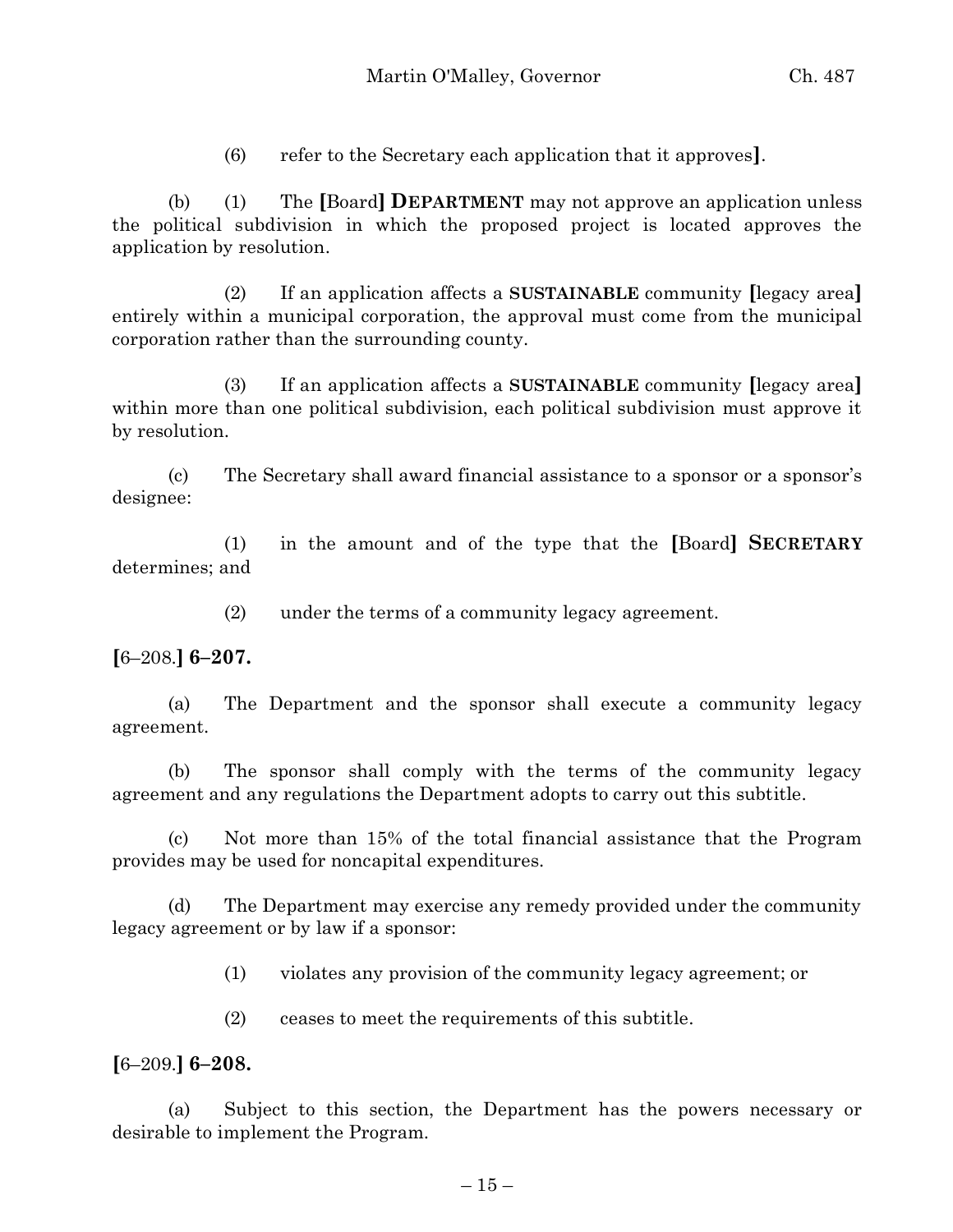(6) refer to the Secretary each application that it approves**]**.

(b) (1) The **[**Board**] DEPARTMENT** may not approve an application unless the political subdivision in which the proposed project is located approves the application by resolution.

(2) If an application affects a **SUSTAINABLE** community **[**legacy area**]** entirely within a municipal corporation, the approval must come from the municipal corporation rather than the surrounding county.

(3) If an application affects a **SUSTAINABLE** community **[**legacy area**]** within more than one political subdivision, each political subdivision must approve it by resolution.

(c) The Secretary shall award financial assistance to a sponsor or a sponsor's designee:

(1) in the amount and of the type that the **[**Board**] SECRETARY** determines; and

(2) under the terms of a community legacy agreement.

**[**6–208.**] 6–207.**

(a) The Department and the sponsor shall execute a community legacy agreement.

(b) The sponsor shall comply with the terms of the community legacy agreement and any regulations the Department adopts to carry out this subtitle.

(c) Not more than 15% of the total financial assistance that the Program provides may be used for noncapital expenditures.

(d) The Department may exercise any remedy provided under the community legacy agreement or by law if a sponsor:

(1) violates any provision of the community legacy agreement; or

(2) ceases to meet the requirements of this subtitle.

**[**6–209.**] 6–208.**

(a) Subject to this section, the Department has the powers necessary or desirable to implement the Program.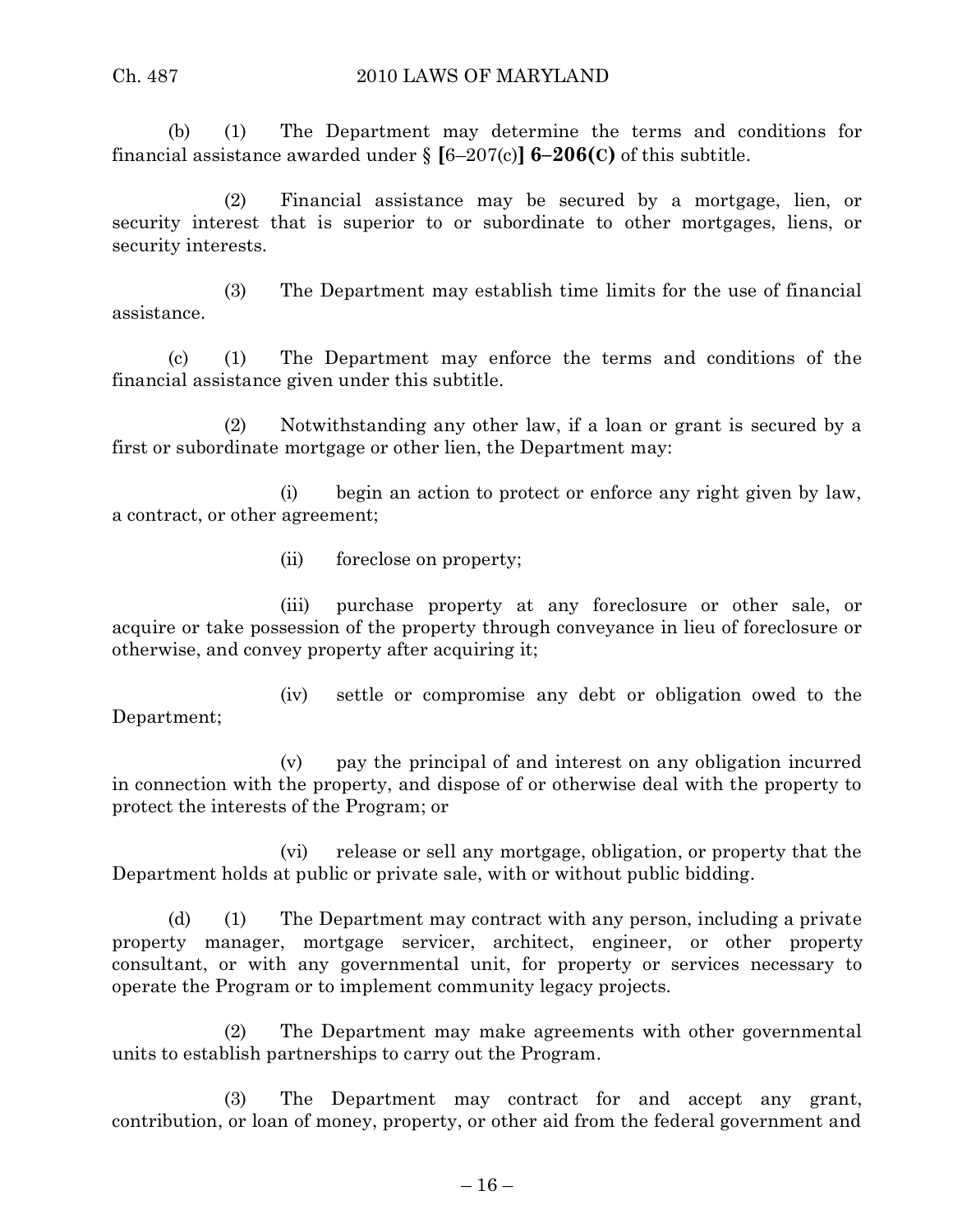(b) (1) The Department may determine the terms and conditions for financial assistance awarded under  $\{ [6-207(c)] \, 6-206(c) \}$  of this subtitle.

(2) Financial assistance may be secured by a mortgage, lien, or security interest that is superior to or subordinate to other mortgages, liens, or security interests.

(3) The Department may establish time limits for the use of financial assistance.

(c) (1) The Department may enforce the terms and conditions of the financial assistance given under this subtitle.

(2) Notwithstanding any other law, if a loan or grant is secured by a first or subordinate mortgage or other lien, the Department may:

(i) begin an action to protect or enforce any right given by law, a contract, or other agreement;

(ii) foreclose on property;

(iii) purchase property at any foreclosure or other sale, or acquire or take possession of the property through conveyance in lieu of foreclosure or otherwise, and convey property after acquiring it;

(iv) settle or compromise any debt or obligation owed to the Department;

(v) pay the principal of and interest on any obligation incurred in connection with the property, and dispose of or otherwise deal with the property to protect the interests of the Program; or

(vi) release or sell any mortgage, obligation, or property that the Department holds at public or private sale, with or without public bidding.

(d) (1) The Department may contract with any person, including a private property manager, mortgage servicer, architect, engineer, or other property consultant, or with any governmental unit, for property or services necessary to operate the Program or to implement community legacy projects.

(2) The Department may make agreements with other governmental units to establish partnerships to carry out the Program.

(3) The Department may contract for and accept any grant, contribution, or loan of money, property, or other aid from the federal government and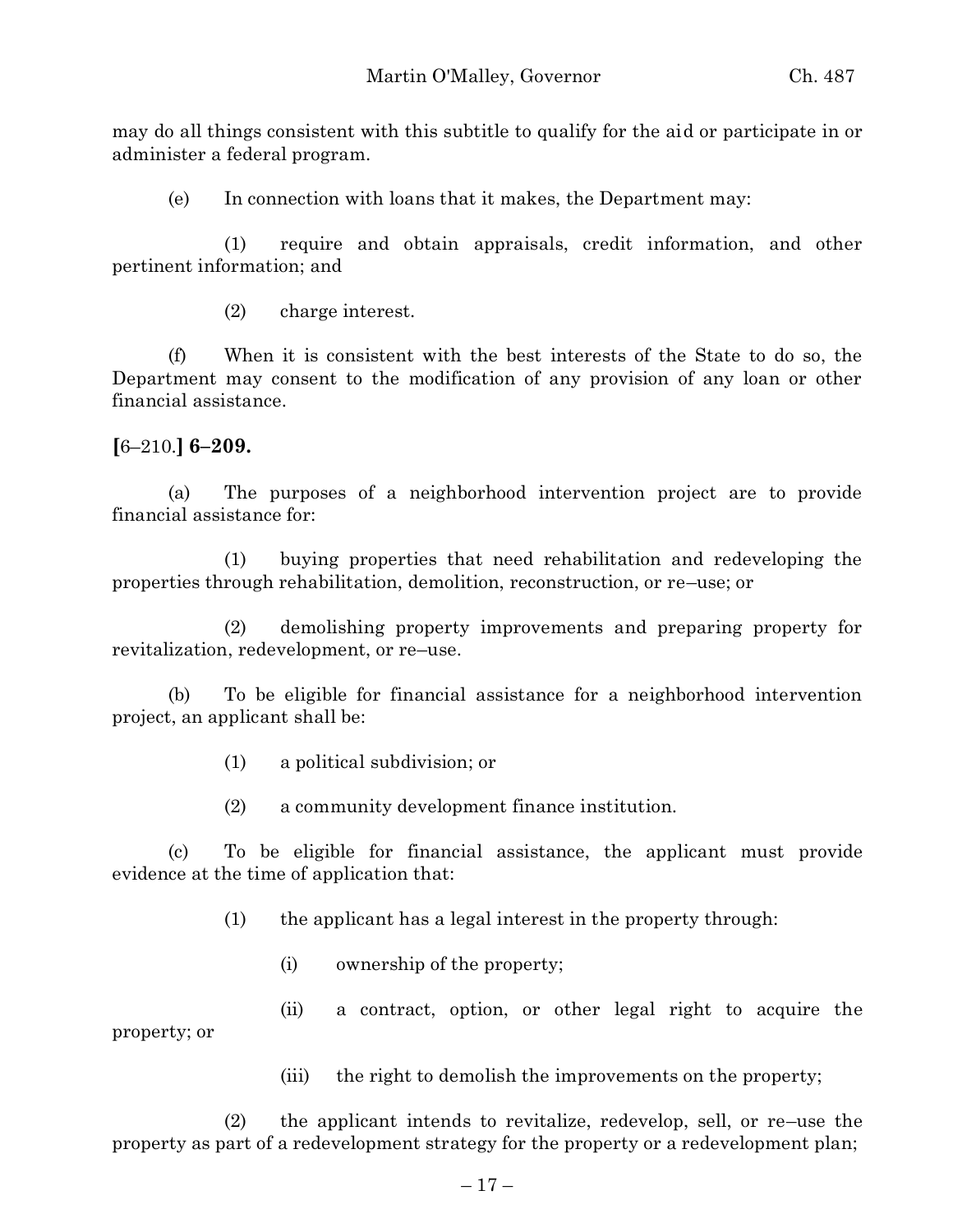may do all things consistent with this subtitle to qualify for the aid or participate in or administer a federal program.

(e) In connection with loans that it makes, the Department may:

(1) require and obtain appraisals, credit information, and other pertinent information; and

(2) charge interest.

(f) When it is consistent with the best interests of the State to do so, the Department may consent to the modification of any provision of any loan or other financial assistance.

### **[**6–210.**] 6–209.**

(a) The purposes of a neighborhood intervention project are to provide financial assistance for:

(1) buying properties that need rehabilitation and redeveloping the properties through rehabilitation, demolition, reconstruction, or re–use; or

(2) demolishing property improvements and preparing property for revitalization, redevelopment, or re–use.

(b) To be eligible for financial assistance for a neighborhood intervention project, an applicant shall be:

- (1) a political subdivision; or
- (2) a community development finance institution.

(c) To be eligible for financial assistance, the applicant must provide evidence at the time of application that:

- (1) the applicant has a legal interest in the property through:
	- (i) ownership of the property;
- (ii) a contract, option, or other legal right to acquire the property; or

(iii) the right to demolish the improvements on the property;

(2) the applicant intends to revitalize, redevelop, sell, or re–use the property as part of a redevelopment strategy for the property or a redevelopment plan;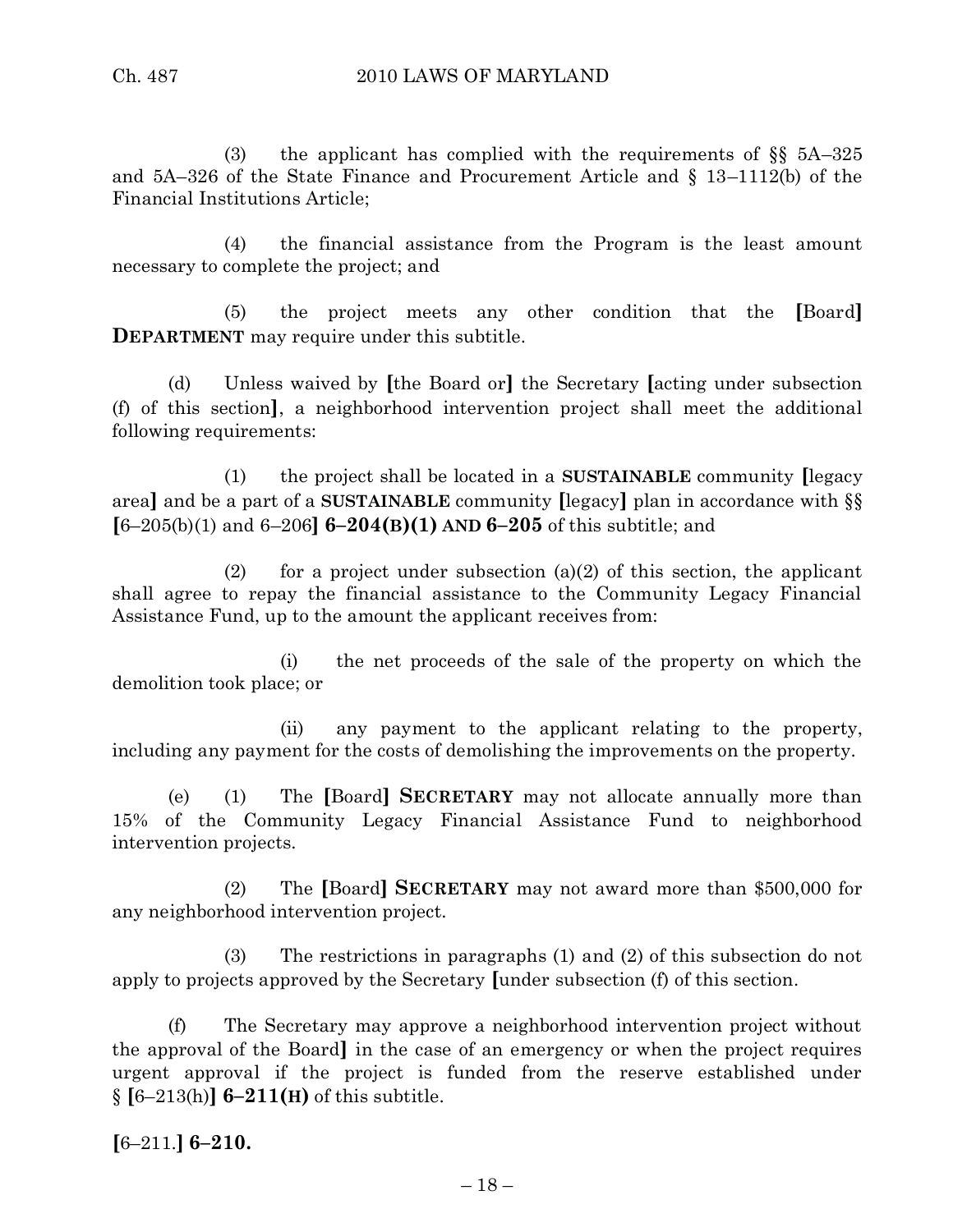(3) the applicant has complied with the requirements of §§ 5A–325 and 5A–326 of the State Finance and Procurement Article and § 13–1112(b) of the Financial Institutions Article;

(4) the financial assistance from the Program is the least amount necessary to complete the project; and

(5) the project meets any other condition that the **[**Board**] DEPARTMENT** may require under this subtitle.

(d) Unless waived by **[**the Board or**]** the Secretary **[**acting under subsection (f) of this section**]**, a neighborhood intervention project shall meet the additional following requirements:

(1) the project shall be located in a **SUSTAINABLE** community **[**legacy area**]** and be a part of a **SUSTAINABLE** community **[**legacy**]** plan in accordance with §§ **[**6–205(b)(1) and 6–206**] 6–204(B)(1) AND 6–205** of this subtitle; and

(2) for a project under subsection (a)(2) of this section, the applicant shall agree to repay the financial assistance to the Community Legacy Financial Assistance Fund, up to the amount the applicant receives from:

(i) the net proceeds of the sale of the property on which the demolition took place; or

(ii) any payment to the applicant relating to the property, including any payment for the costs of demolishing the improvements on the property.

(e) (1) The **[**Board**] SECRETARY** may not allocate annually more than 15% of the Community Legacy Financial Assistance Fund to neighborhood intervention projects.

(2) The **[**Board**] SECRETARY** may not award more than \$500,000 for any neighborhood intervention project.

(3) The restrictions in paragraphs (1) and (2) of this subsection do not apply to projects approved by the Secretary **[**under subsection (f) of this section.

(f) The Secretary may approve a neighborhood intervention project without the approval of the Board**]** in the case of an emergency or when the project requires urgent approval if the project is funded from the reserve established under  $§$   $[6-213(h)]$   $6-211(H)$  of this subtitle.

**[**6–211.**] 6–210.**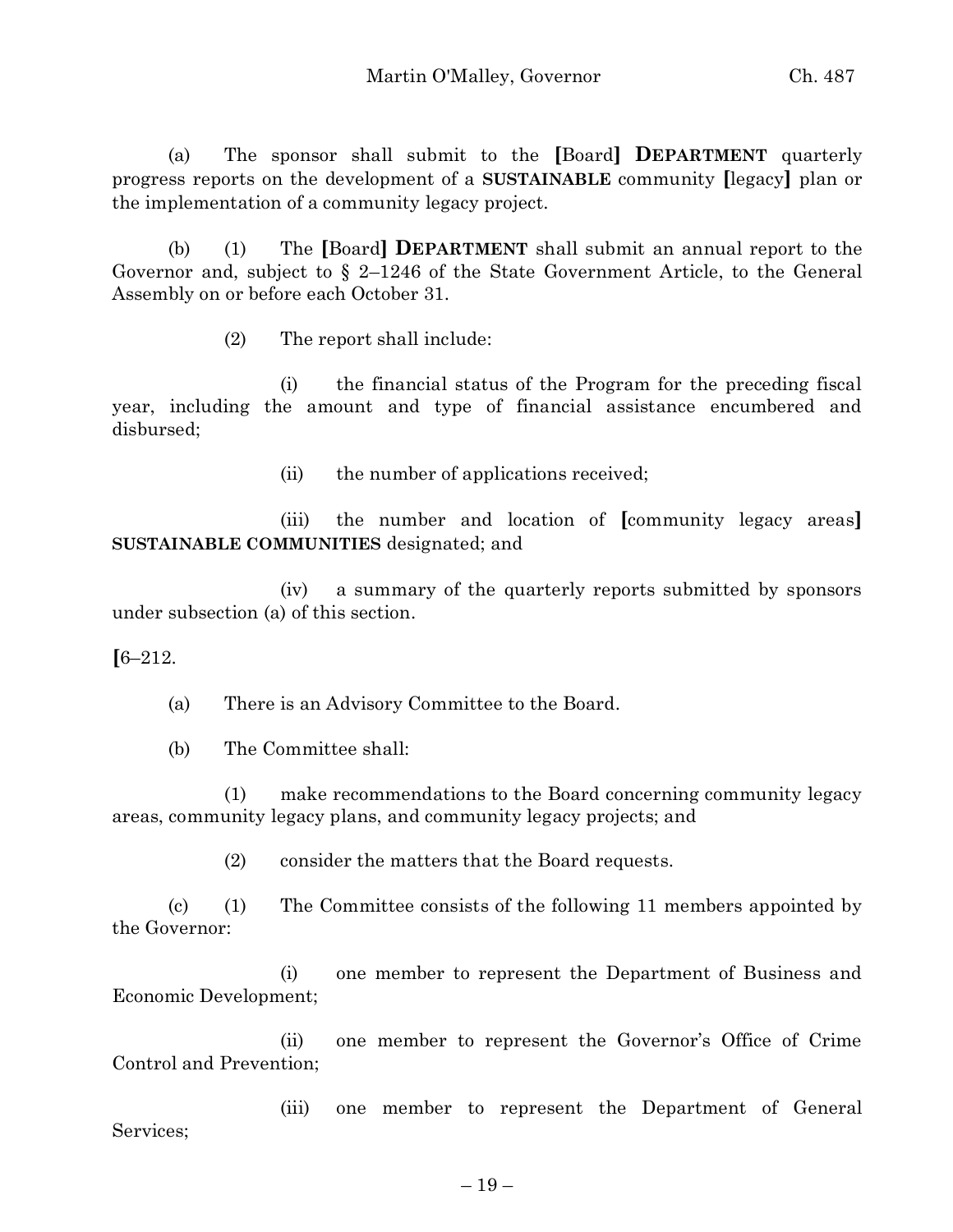(a) The sponsor shall submit to the **[**Board**] DEPARTMENT** quarterly progress reports on the development of a **SUSTAINABLE** community **[**legacy**]** plan or the implementation of a community legacy project.

(b) (1) The **[**Board**] DEPARTMENT** shall submit an annual report to the Governor and, subject to § 2–1246 of the State Government Article, to the General Assembly on or before each October 31.

(2) The report shall include:

(i) the financial status of the Program for the preceding fiscal year, including the amount and type of financial assistance encumbered and disbursed;

(ii) the number of applications received;

(iii) the number and location of **[**community legacy areas**] SUSTAINABLE COMMUNITIES** designated; and

(iv) a summary of the quarterly reports submitted by sponsors under subsection (a) of this section.

# **[**6–212.

(a) There is an Advisory Committee to the Board.

(b) The Committee shall:

(1) make recommendations to the Board concerning community legacy areas, community legacy plans, and community legacy projects; and

(2) consider the matters that the Board requests.

(c) (1) The Committee consists of the following 11 members appointed by the Governor:

(i) one member to represent the Department of Business and Economic Development;

(ii) one member to represent the Governor's Office of Crime Control and Prevention;

(iii) one member to represent the Department of General Services;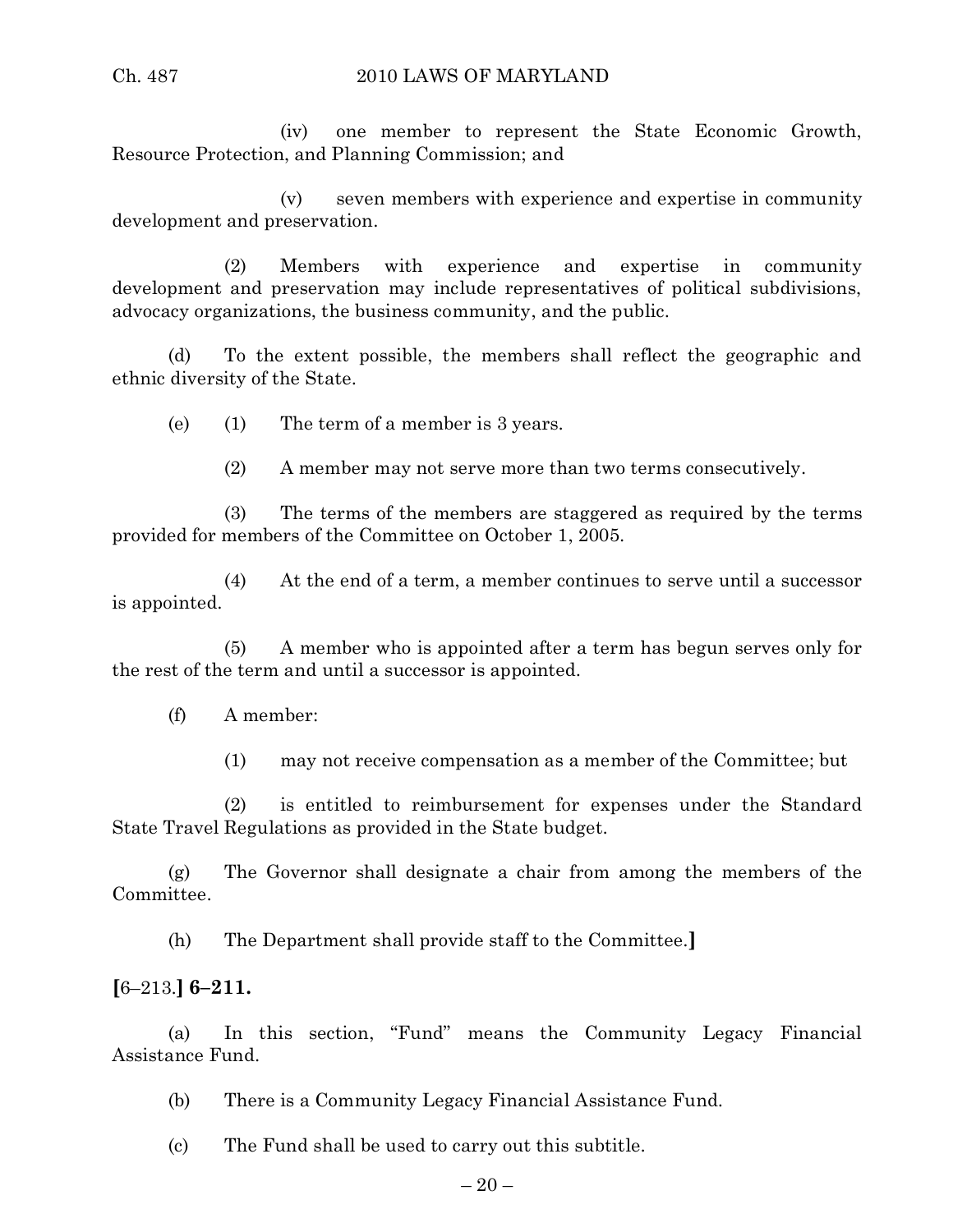(iv) one member to represent the State Economic Growth, Resource Protection, and Planning Commission; and

(v) seven members with experience and expertise in community development and preservation.

(2) Members with experience and expertise in community development and preservation may include representatives of political subdivisions, advocacy organizations, the business community, and the public.

(d) To the extent possible, the members shall reflect the geographic and ethnic diversity of the State.

(e) (1) The term of a member is 3 years.

(2) A member may not serve more than two terms consecutively.

(3) The terms of the members are staggered as required by the terms provided for members of the Committee on October 1, 2005.

(4) At the end of a term, a member continues to serve until a successor is appointed.

(5) A member who is appointed after a term has begun serves only for the rest of the term and until a successor is appointed.

(f) A member:

(1) may not receive compensation as a member of the Committee; but

(2) is entitled to reimbursement for expenses under the Standard State Travel Regulations as provided in the State budget.

(g) The Governor shall designate a chair from among the members of the Committee.

(h) The Department shall provide staff to the Committee.**]**

# **[**6–213.**] 6–211.**

(a) In this section, "Fund" means the Community Legacy Financial Assistance Fund.

 $-20-$ 

(b) There is a Community Legacy Financial Assistance Fund.

(c) The Fund shall be used to carry out this subtitle.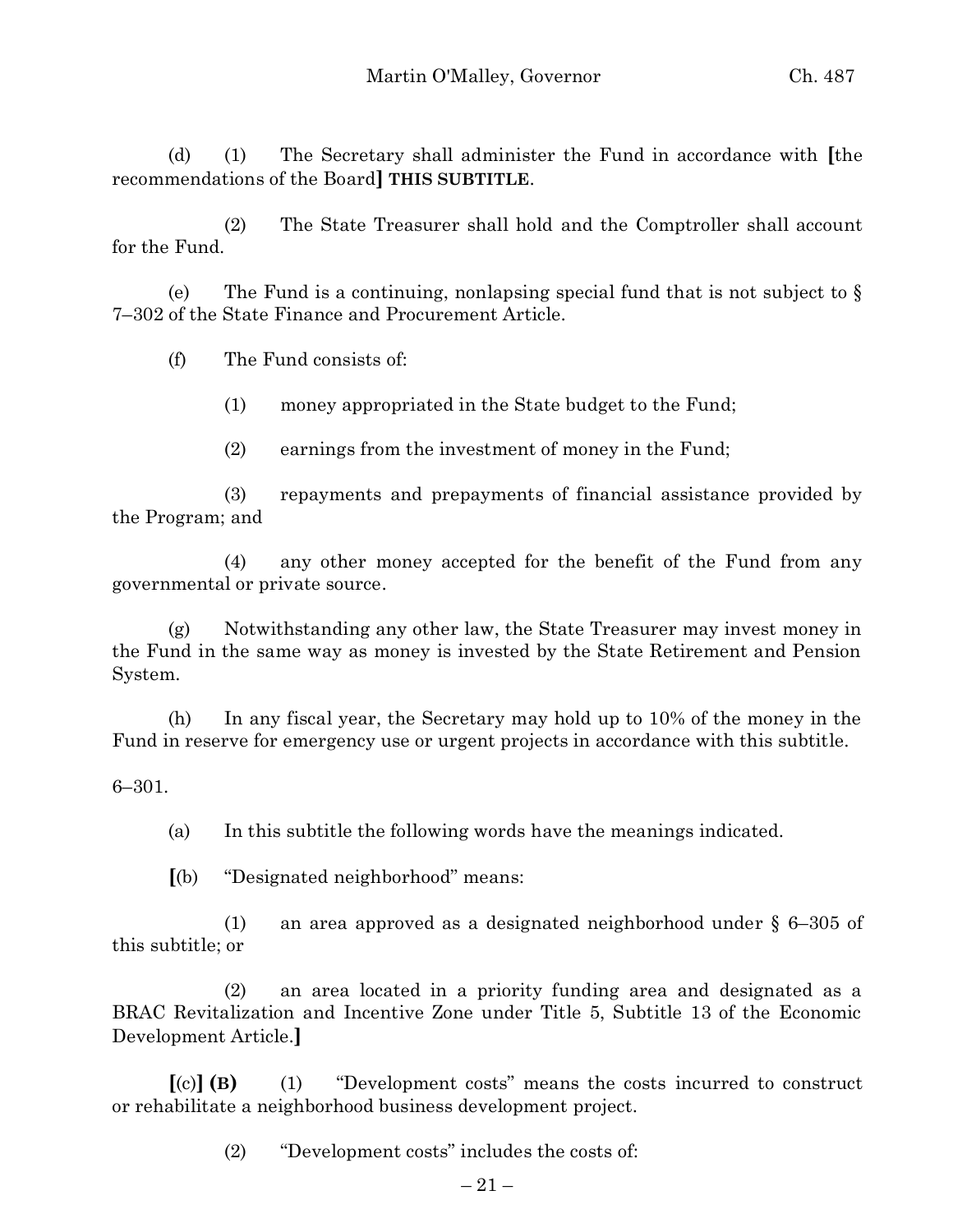(d) (1) The Secretary shall administer the Fund in accordance with **[**the recommendations of the Board**] THIS SUBTITLE**.

(2) The State Treasurer shall hold and the Comptroller shall account for the Fund.

(e) The Fund is a continuing, nonlapsing special fund that is not subject to  $\S$ 7–302 of the State Finance and Procurement Article.

(f) The Fund consists of:

(1) money appropriated in the State budget to the Fund;

(2) earnings from the investment of money in the Fund;

(3) repayments and prepayments of financial assistance provided by the Program; and

(4) any other money accepted for the benefit of the Fund from any governmental or private source.

(g) Notwithstanding any other law, the State Treasurer may invest money in the Fund in the same way as money is invested by the State Retirement and Pension System.

(h) In any fiscal year, the Secretary may hold up to 10% of the money in the Fund in reserve for emergency use or urgent projects in accordance with this subtitle.

6–301.

(a) In this subtitle the following words have the meanings indicated.

**[**(b) "Designated neighborhood" means:

(1) an area approved as a designated neighborhood under § 6–305 of this subtitle; or

(2) an area located in a priority funding area and designated as a BRAC Revitalization and Incentive Zone under Title 5, Subtitle 13 of the Economic Development Article.**]**

**[**(c)**] (B)** (1) "Development costs" means the costs incurred to construct or rehabilitate a neighborhood business development project.

(2) "Development costs" includes the costs of: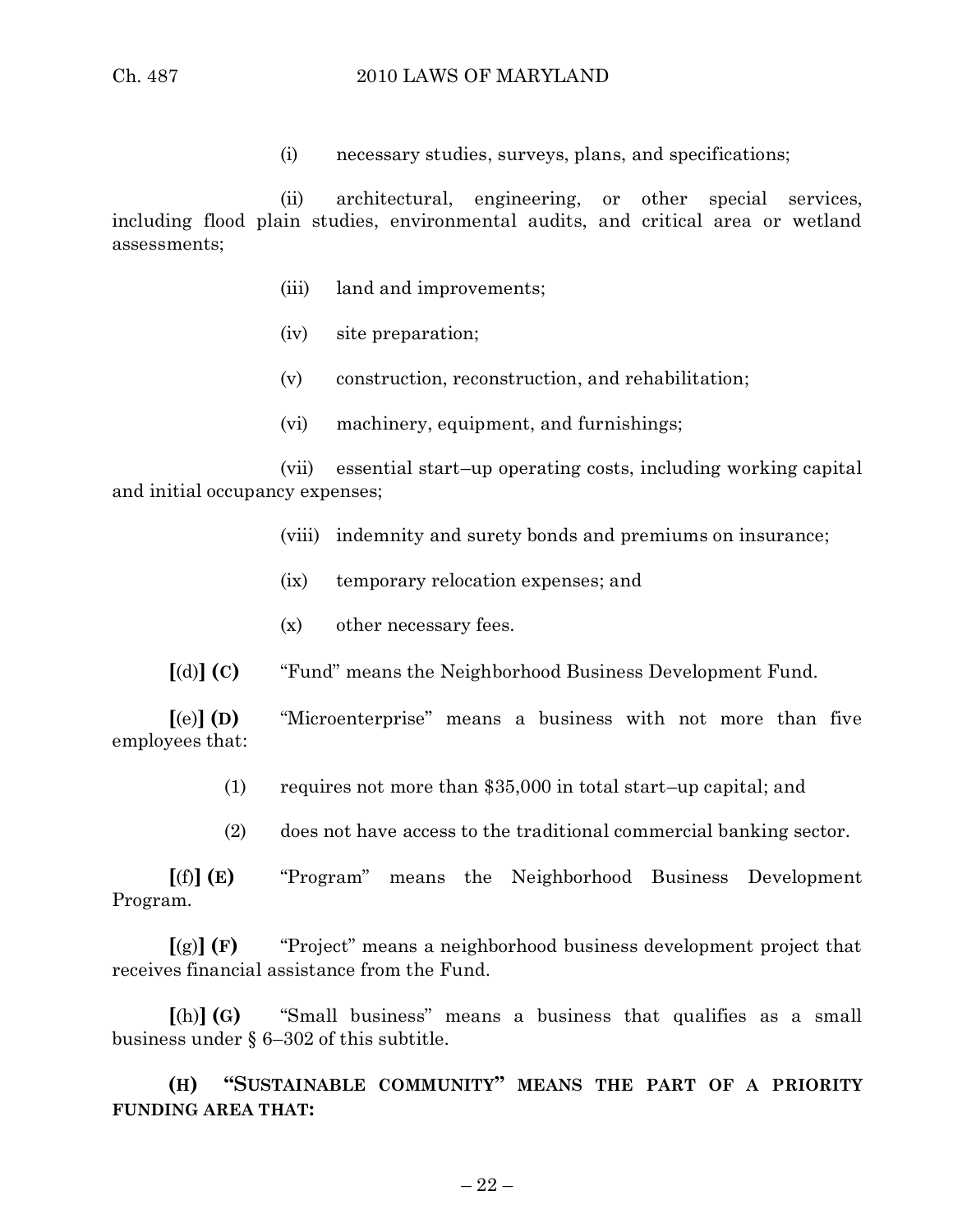(i) necessary studies, surveys, plans, and specifications;

(ii) architectural, engineering, or other special services, including flood plain studies, environmental audits, and critical area or wetland assessments;

- (iii) land and improvements;
- (iv) site preparation;
- (v) construction, reconstruction, and rehabilitation;
- (vi) machinery, equipment, and furnishings;

(vii) essential start–up operating costs, including working capital and initial occupancy expenses;

- (viii) indemnity and surety bonds and premiums on insurance;
- (ix) temporary relocation expenses; and
- (x) other necessary fees.
- **[**(d)**] (C)** "Fund" means the Neighborhood Business Development Fund.

**[**(e)**] (D)** "Microenterprise" means a business with not more than five employees that:

- (1) requires not more than \$35,000 in total start–up capital; and
- (2) does not have access to the traditional commercial banking sector.

**[**(f)**] (E)** "Program" means the Neighborhood Business Development Program.

**[**(g)**] (F)** "Project" means a neighborhood business development project that receives financial assistance from the Fund.

**[**(h)**] (G)** "Small business" means a business that qualifies as a small business under § 6–302 of this subtitle.

**(H) "SUSTAINABLE COMMUNITY" MEANS THE PART OF A PRIORITY FUNDING AREA THAT:**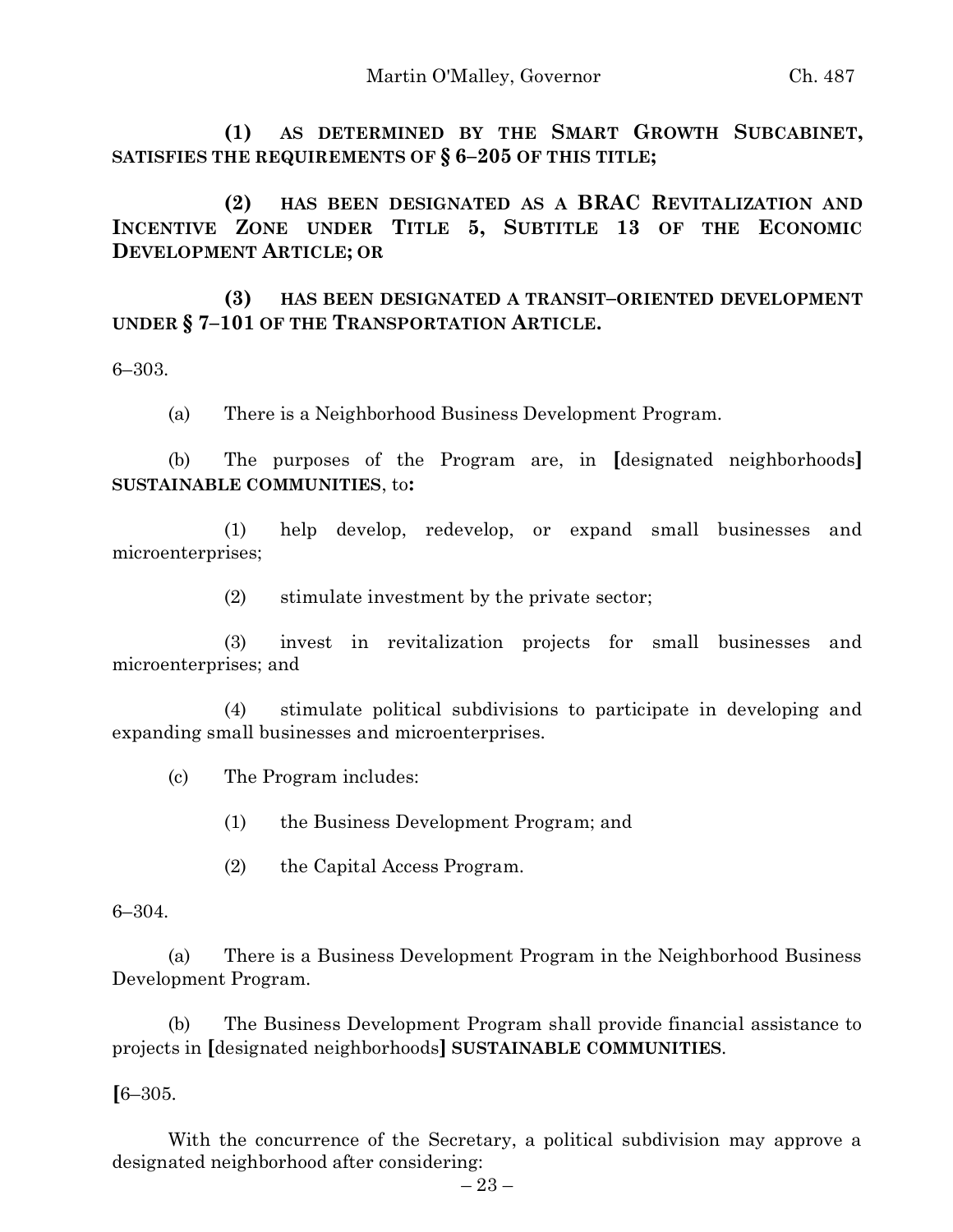**(1) AS DETERMINED BY THE SMART GROWTH SUBCABINET, SATISFIES THE REQUIREMENTS OF § 6–205 OF THIS TITLE;**

**(2) HAS BEEN DESIGNATED AS A BRAC REVITALIZATION AND INCENTIVE ZONE UNDER TITLE 5, SUBTITLE 13 OF THE ECONOMIC DEVELOPMENT ARTICLE; OR**

**(3) HAS BEEN DESIGNATED A TRANSIT–ORIENTED DEVELOPMENT UNDER § 7–101 OF THE TRANSPORTATION ARTICLE.**

6–303.

(a) There is a Neighborhood Business Development Program.

(b) The purposes of the Program are, in **[**designated neighborhoods**] SUSTAINABLE COMMUNITIES**, to**:**

(1) help develop, redevelop, or expand small businesses and microenterprises;

(2) stimulate investment by the private sector;

(3) invest in revitalization projects for small businesses and microenterprises; and

(4) stimulate political subdivisions to participate in developing and expanding small businesses and microenterprises.

(c) The Program includes:

(1) the Business Development Program; and

(2) the Capital Access Program.

6–304.

(a) There is a Business Development Program in the Neighborhood Business Development Program.

(b) The Business Development Program shall provide financial assistance to projects in **[**designated neighborhoods**] SUSTAINABLE COMMUNITIES**.

**[**6–305.

With the concurrence of the Secretary, a political subdivision may approve a designated neighborhood after considering: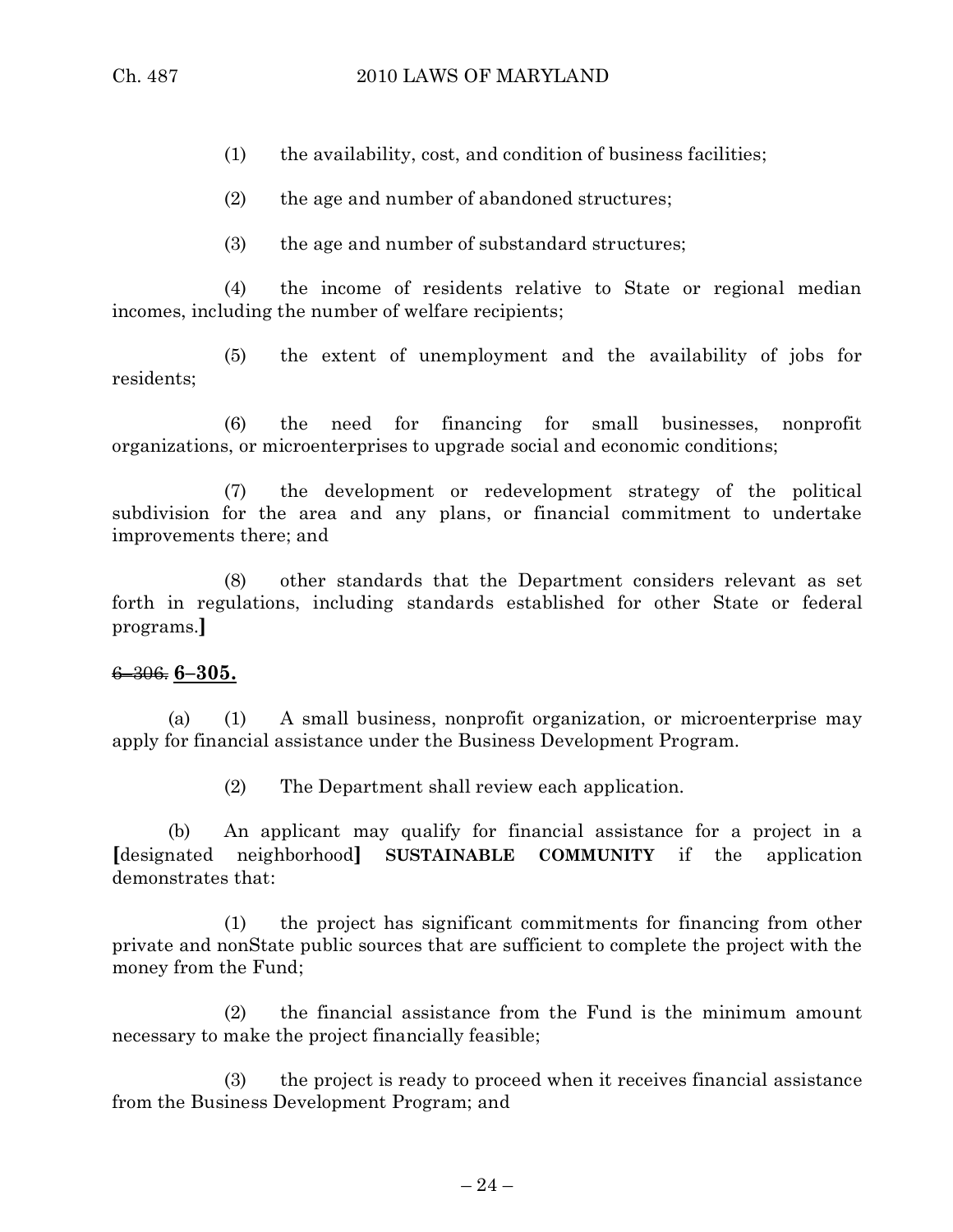- (1) the availability, cost, and condition of business facilities;
- (2) the age and number of abandoned structures;
- (3) the age and number of substandard structures;

(4) the income of residents relative to State or regional median incomes, including the number of welfare recipients;

(5) the extent of unemployment and the availability of jobs for residents;

(6) the need for financing for small businesses, nonprofit organizations, or microenterprises to upgrade social and economic conditions;

(7) the development or redevelopment strategy of the political subdivision for the area and any plans, or financial commitment to undertake improvements there; and

(8) other standards that the Department considers relevant as set forth in regulations, including standards established for other State or federal programs.**]**

### 6–306. **6–305.**

(a) (1) A small business, nonprofit organization, or microenterprise may apply for financial assistance under the Business Development Program.

(2) The Department shall review each application.

(b) An applicant may qualify for financial assistance for a project in a **[**designated neighborhood**] SUSTAINABLE COMMUNITY** if the application demonstrates that:

(1) the project has significant commitments for financing from other private and nonState public sources that are sufficient to complete the project with the money from the Fund;

(2) the financial assistance from the Fund is the minimum amount necessary to make the project financially feasible;

(3) the project is ready to proceed when it receives financial assistance from the Business Development Program; and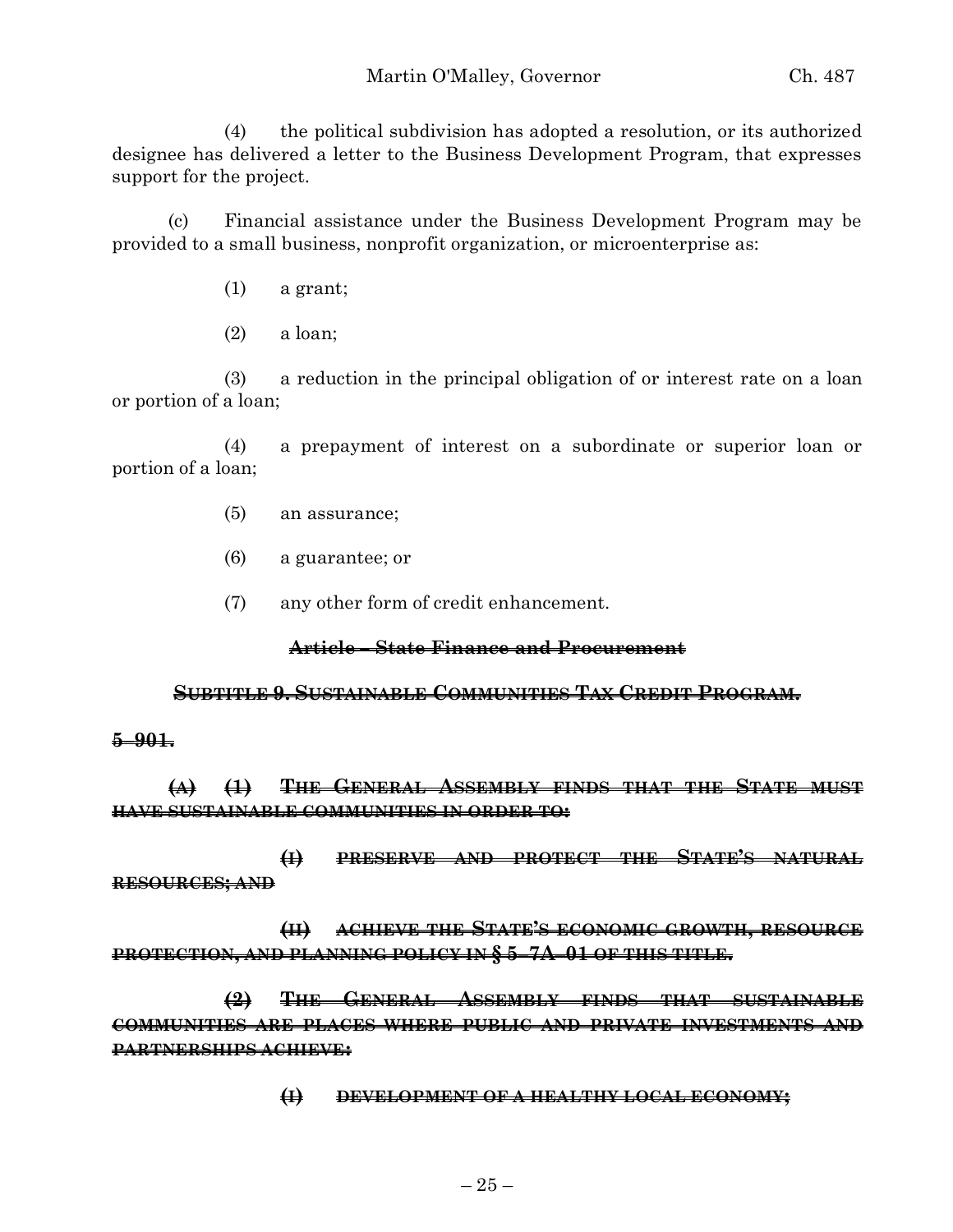(4) the political subdivision has adopted a resolution, or its authorized designee has delivered a letter to the Business Development Program, that expresses support for the project.

(c) Financial assistance under the Business Development Program may be provided to a small business, nonprofit organization, or microenterprise as:

- (1) a grant;
- (2) a loan;

(3) a reduction in the principal obligation of or interest rate on a loan or portion of a loan;

(4) a prepayment of interest on a subordinate or superior loan or portion of a loan;

- (5) an assurance;
- (6) a guarantee; or
- (7) any other form of credit enhancement.

### **Article – State Finance and Procurement**

#### **SUBTITLE 9. SUSTAINABLE COMMUNITIES TAX CREDIT PROGRAM.**

### **5–901.**

**(A) (1) THE GENERAL ASSEMBLY FINDS THAT THE STATE MUST HAVE SUSTAINABLE COMMUNITIES IN ORDER TO:**

**(I) PRESERVE AND PROTECT THE STATE'S NATURAL RESOURCES; AND**

**(II) ACHIEVE THE STATE'S ECONOMIC GROWTH, RESOURCE PROTECTION, AND PLANNING POLICY IN § 5–7A–01 OF THIS TITLE.**

**(2) THE GENERAL ASSEMBLY FINDS THAT SUSTAINABLE COMMUNITIES ARE PLACES WHERE PUBLIC AND PRIVATE INVESTMENTS AND PARTNERSHIPS ACHIEVE:**

**(I) DEVELOPMENT OF A HEALTHY LOCAL ECONOMY;**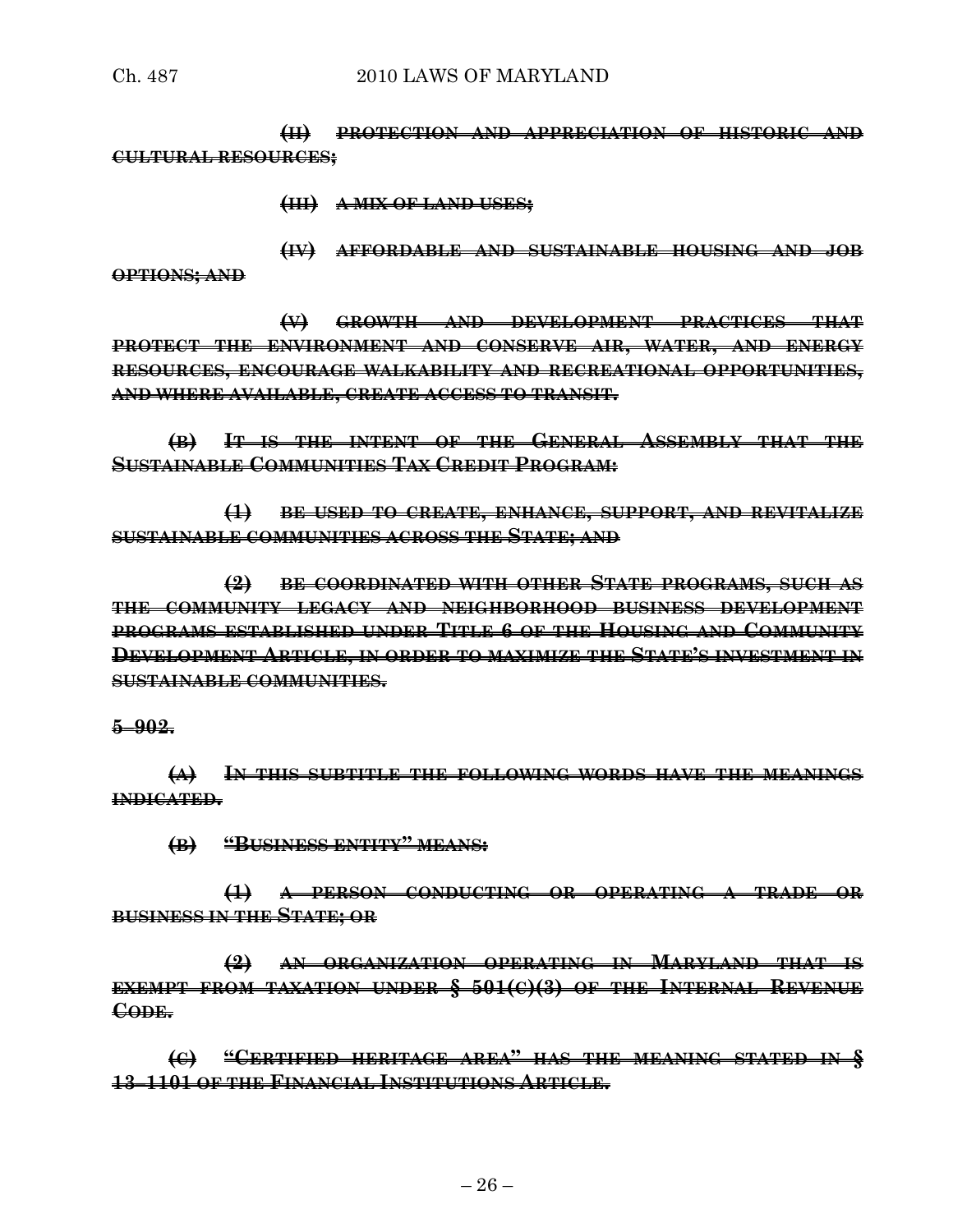**(II) PROTECTION AND APPRECIATION OF HISTORIC AND CULTURAL RESOURCES;**

**(III) A MIX OF LAND USES;**

**(IV) AFFORDABLE AND SUSTAINABLE HOUSING AND JOB OPTIONS; AND**

**(V) GROWTH AND DEVELOPMENT PRACTICES THAT PROTECT THE ENVIRONMENT AND CONSERVE AIR, WATER, AND ENERGY RESOURCES, ENCOURAGE WALKABILITY AND RECREATIONAL OPPORTUNITIES, AND WHERE AVAILABLE, CREATE ACCESS TO TRANSIT.**

**(B) IT IS THE INTENT OF THE GENERAL ASSEMBLY THAT THE SUSTAINABLE COMMUNITIES TAX CREDIT PROGRAM:**

**(1) BE USED TO CREATE, ENHANCE, SUPPORT, AND REVITALIZE SUSTAINABLE COMMUNITIES ACROSS THE STATE; AND**

**(2) BE COORDINATED WITH OTHER STATE PROGRAMS, SUCH AS THE COMMUNITY LEGACY AND NEIGHBORHOOD BUSINESS DEVELOPMENT PROGRAMS ESTABLISHED UNDER TITLE 6 OF THE HOUSING AND COMMUNITY DEVELOPMENT ARTICLE, IN ORDER TO MAXIMIZE THE STATE'S INVESTMENT IN SUSTAINABLE COMMUNITIES.**

### **5–902.**

**(A) IN THIS SUBTITLE THE FOLLOWING WORDS HAVE THE MEANINGS INDICATED.**

**(B) "BUSINESS ENTITY" MEANS:**

**(1) A PERSON CONDUCTING OR OPERATING A TRADE OR BUSINESS IN THE STATE; OR**

**(2) AN ORGANIZATION OPERATING IN MARYLAND THAT IS EXEMPT FROM TAXATION UNDER § 501(C)(3) OF THE INTERNAL REVENUE CODE.**

**(C) "CERTIFIED HERITAGE AREA" HAS THE MEANING STATED IN § 13–1101 OF THE FINANCIAL INSTITUTIONS ARTICLE.**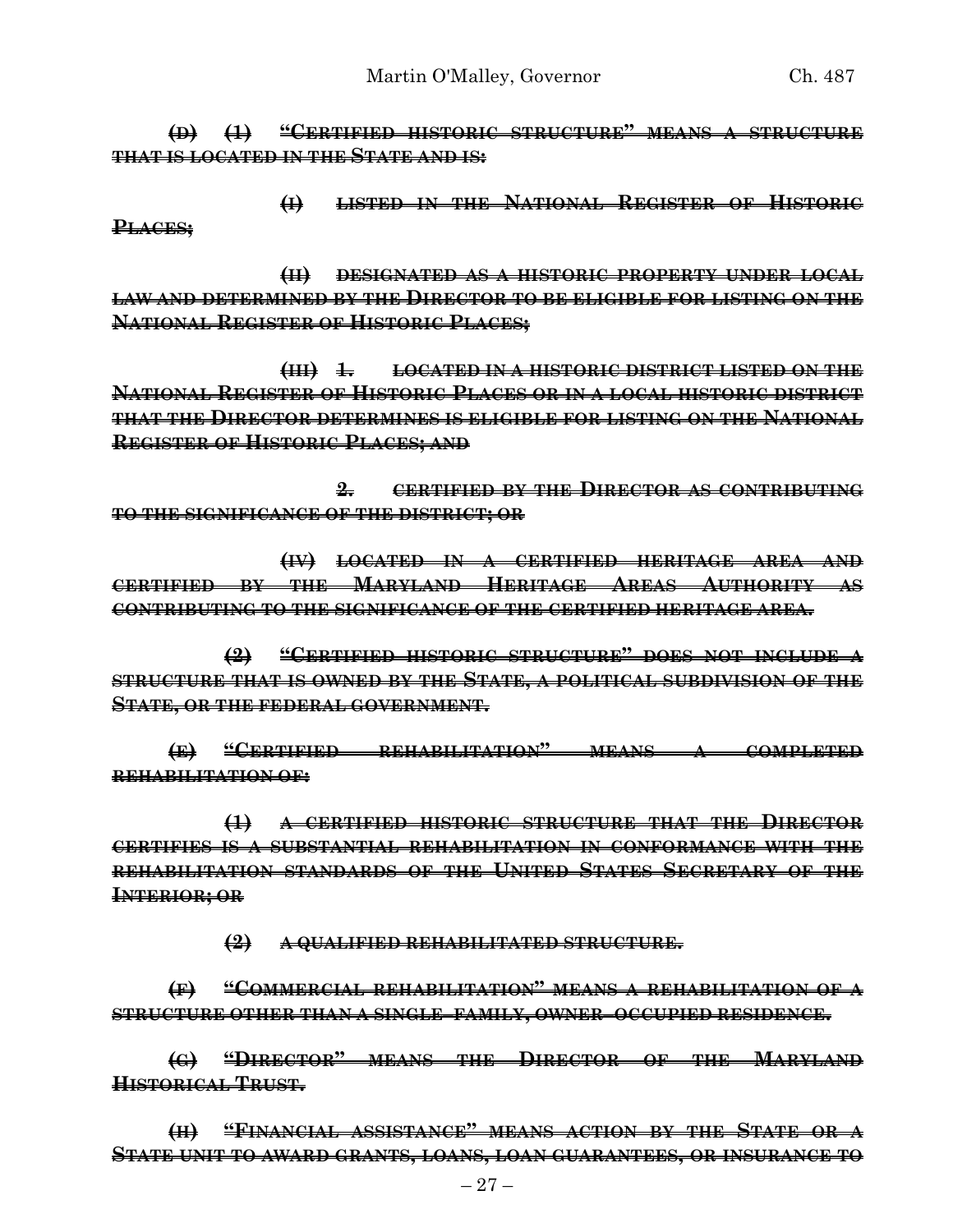**(D) (1) "CERTIFIED HISTORIC STRUCTURE" MEANS A STRUCTURE THAT IS LOCATED IN THE STATE AND IS:**

**(I) LISTED IN THE NATIONAL REGISTER OF HISTORIC PLACES;**

**(II) DESIGNATED AS A HISTORIC PROPERTY UNDER LOCAL LAW AND DETERMINED BY THE DIRECTOR TO BE ELIGIBLE FOR LISTING ON THE NATIONAL REGISTER OF HISTORIC PLACES;**

**(III) 1. LOCATED IN A HISTORIC DISTRICT LISTED ON THE NATIONAL REGISTER OF HISTORIC PLACES OR IN A LOCAL HISTORIC DISTRICT THAT THE DIRECTOR DETERMINES IS ELIGIBLE FOR LISTING ON THE NATIONAL REGISTER OF HISTORIC PLACES; AND**

**2. CERTIFIED BY THE DIRECTOR AS CONTRIBUTING TO THE SIGNIFICANCE OF THE DISTRICT; OR**

**(IV) LOCATED IN A CERTIFIED HERITAGE AREA AND CERTIFIED BY THE MARYLAND HERITAGE AREAS AUTHORITY AS CONTRIBUTING TO THE SIGNIFICANCE OF THE CERTIFIED HERITAGE AREA.**

**(2) "CERTIFIED HISTORIC STRUCTURE" DOES NOT INCLUDE A STRUCTURE THAT IS OWNED BY THE STATE, A POLITICAL SUBDIVISION OF THE STATE, OR THE FEDERAL GOVERNMENT.**

**(E) "CERTIFIED REHABILITATION" MEANS A COMPLETED REHABILITATION OF:**

**(1) A CERTIFIED HISTORIC STRUCTURE THAT THE DIRECTOR CERTIFIES IS A SUBSTANTIAL REHABILITATION IN CONFORMANCE WITH THE REHABILITATION STANDARDS OF THE UNITED STATES SECRETARY OF THE INTERIOR; OR**

**(2) A QUALIFIED REHABILITATED STRUCTURE.**

**(F) "COMMERCIAL REHABILITATION" MEANS A REHABILITATION OF A STRUCTURE OTHER THAN A SINGLE–FAMILY, OWNER–OCCUPIED RESIDENCE.**

**(G) "DIRECTOR" MEANS THE DIRECTOR OF THE MARYLAND HISTORICAL TRUST.**

**(H) "FINANCIAL ASSISTANCE" MEANS ACTION BY THE STATE OR A STATE UNIT TO AWARD GRANTS, LOANS, LOAN GUARANTEES, OR INSURANCE TO**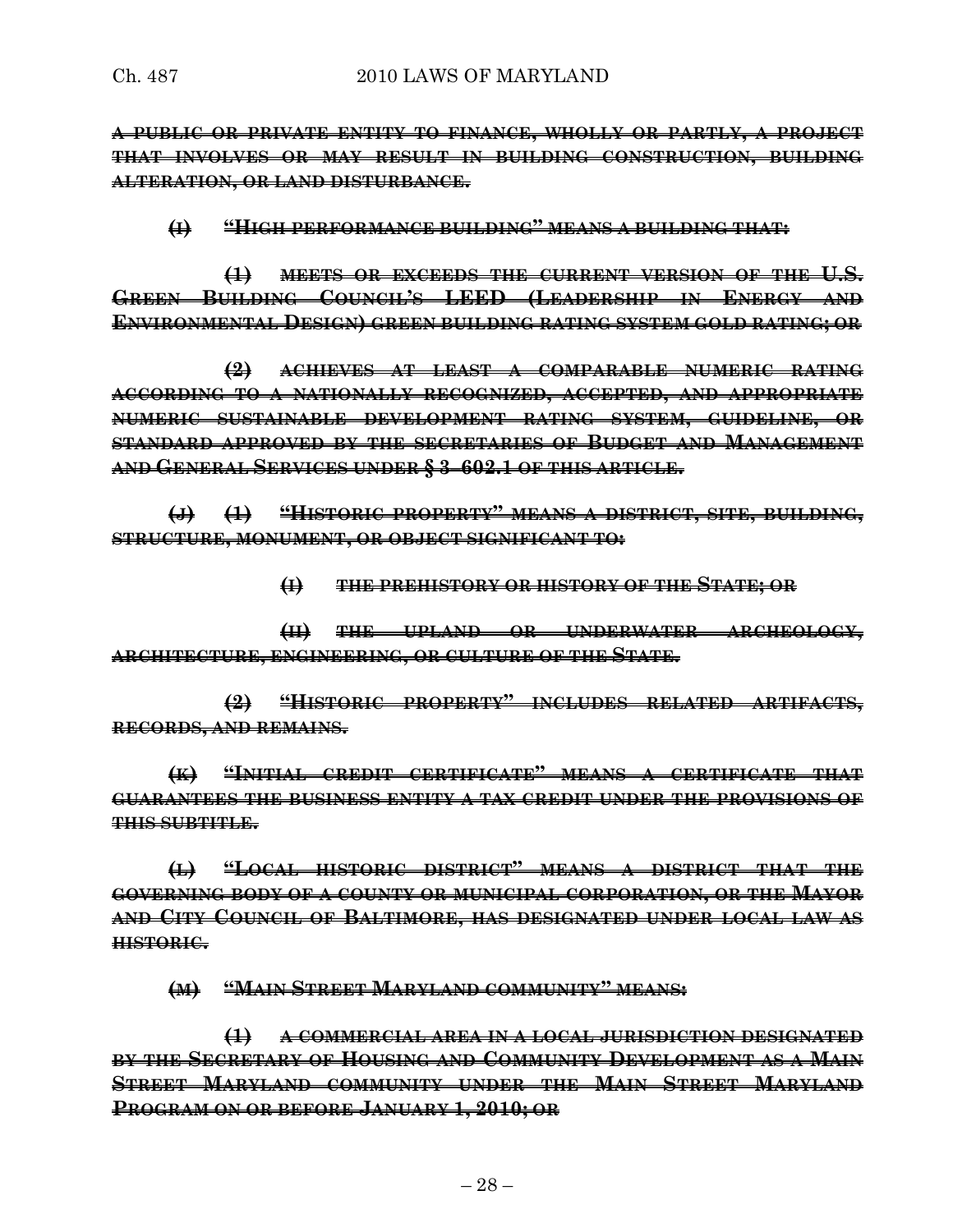**A PUBLIC OR PRIVATE ENTITY TO FINANCE, WHOLLY OR PARTLY, A PROJECT THAT INVOLVES OR MAY RESULT IN BUILDING CONSTRUCTION, BUILDING ALTERATION, OR LAND DISTURBANCE.**

#### **(I) "HIGH PERFORMANCE BUILDING" MEANS A BUILDING THAT:**

**(1) MEETS OR EXCEEDS THE CURRENT VERSION OF THE U.S. GREEN BUILDING COUNCIL'S LEED (LEADERSHIP IN ENERGY AND ENVIRONMENTAL DESIGN) GREEN BUILDING RATING SYSTEM GOLD RATING; OR**

**(2) ACHIEVES AT LEAST A COMPARABLE NUMERIC RATING ACCORDING TO A NATIONALLY RECOGNIZED, ACCEPTED, AND APPROPRIATE NUMERIC SUSTAINABLE DEVELOPMENT RATING SYSTEM, GUIDELINE, OR STANDARD APPROVED BY THE SECRETARIES OF BUDGET AND MANAGEMENT AND GENERAL SERVICES UNDER § 3–602.1 OF THIS ARTICLE.**

**(J) (1) "HISTORIC PROPERTY" MEANS A DISTRICT, SITE, BUILDING, STRUCTURE, MONUMENT, OR OBJECT SIGNIFICANT TO:**

**(I) THE PREHISTORY OR HISTORY OF THE STATE; OR**

**(II) THE UPLAND OR UNDERWATER ARCHEOLOGY, ARCHITECTURE, ENGINEERING, OR CULTURE OF THE STATE.**

**(2) "HISTORIC PROPERTY" INCLUDES RELATED ARTIFACTS, RECORDS, AND REMAINS.**

**(K) "INITIAL CREDIT CERTIFICATE" MEANS A CERTIFICATE THAT GUARANTEES THE BUSINESS ENTITY A TAX CREDIT UNDER THE PROVISIONS OF THIS SUBTITLE.**

**(L) "LOCAL HISTORIC DISTRICT" MEANS A DISTRICT THAT THE GOVERNING BODY OF A COUNTY OR MUNICIPAL CORPORATION, OR THE MAYOR AND CITY COUNCIL OF BALTIMORE, HAS DESIGNATED UNDER LOCAL LAW AS HISTORIC.**

**(M) "MAIN STREET MARYLAND COMMUNITY" MEANS:**

**(1) A COMMERCIAL AREA IN A LOCAL JURISDICTION DESIGNATED BY THE SECRETARY OF HOUSING AND COMMUNITY DEVELOPMENT AS A MAIN STREET MARYLAND COMMUNITY UNDER THE MAIN STREET MARYLAND PROGRAM ON OR BEFORE JANUARY 1, 2010; OR**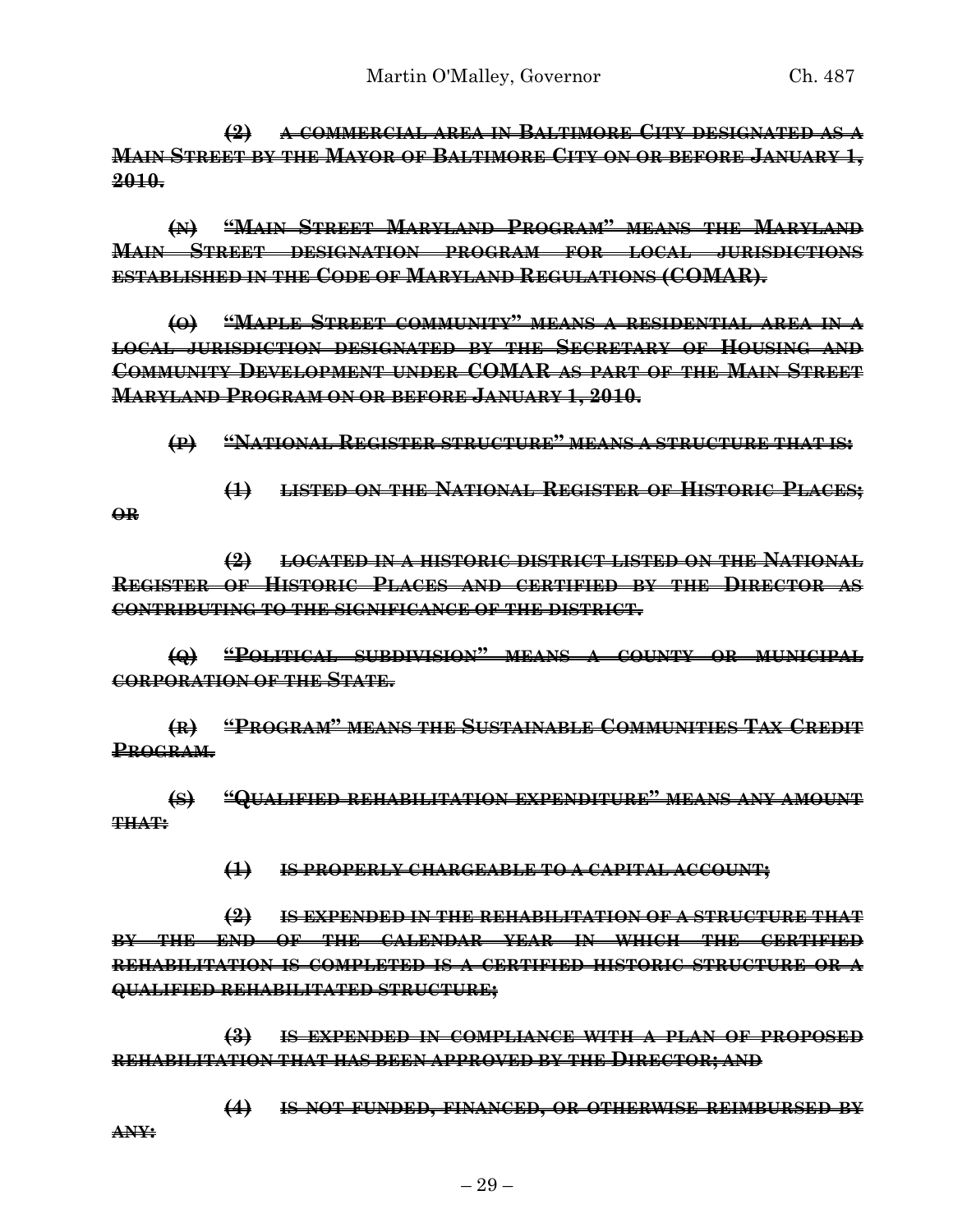**(2) A COMMERCIAL AREA IN BALTIMORE CITY DESIGNATED AS A MAIN STREET BY THE MAYOR OF BALTIMORE CITY ON OR BEFORE JANUARY 1, 2010.**

**(N) "MAIN STREET MARYLAND PROGRAM" MEANS THE MARYLAND MAIN STREET DESIGNATION PROGRAM FOR LOCAL JURISDICTIONS ESTABLISHED IN THE CODE OF MARYLAND REGULATIONS (COMAR).**

**(O) "MAPLE STREET COMMUNITY" MEANS A RESIDENTIAL AREA IN A LOCAL JURISDICTION DESIGNATED BY THE SECRETARY OF HOUSING AND COMMUNITY DEVELOPMENT UNDER COMAR AS PART OF THE MAIN STREET MARYLAND PROGRAM ON OR BEFORE JANUARY 1, 2010.**

**(P) "NATIONAL REGISTER STRUCTURE" MEANS A STRUCTURE THAT IS:**

**(1) LISTED ON THE NATIONAL REGISTER OF HISTORIC PLACES; OR**

**(2) LOCATED IN A HISTORIC DISTRICT LISTED ON THE NATIONAL REGISTER OF HISTORIC PLACES AND CERTIFIED BY THE DIRECTOR AS CONTRIBUTING TO THE SIGNIFICANCE OF THE DISTRICT.**

**(Q) "POLITICAL SUBDIVISION" MEANS A COUNTY OR MUNICIPAL CORPORATION OF THE STATE.**

**(R) "PROGRAM" MEANS THE SUSTAINABLE COMMUNITIES TAX CREDIT PROGRAM.**

**(S) "QUALIFIED REHABILITATION EXPENDITURE" MEANS ANY AMOUNT THAT:**

**(1) IS PROPERLY CHARGEABLE TO A CAPITAL ACCOUNT;**

**(2) IS EXPENDED IN THE REHABILITATION OF A STRUCTURE THAT BY THE END OF THE CALENDAR YEAR IN WHICH THE CERTIFIED REHABILITATION IS COMPLETED IS A CERTIFIED HISTORIC STRUCTURE OR A QUALIFIED REHABILITATED STRUCTURE;**

**(3) IS EXPENDED IN COMPLIANCE WITH A PLAN OF PROPOSED REHABILITATION THAT HAS BEEN APPROVED BY THE DIRECTOR; AND**

**(4) IS NOT FUNDED, FINANCED, OR OTHERWISE REIMBURSED BY ANY:**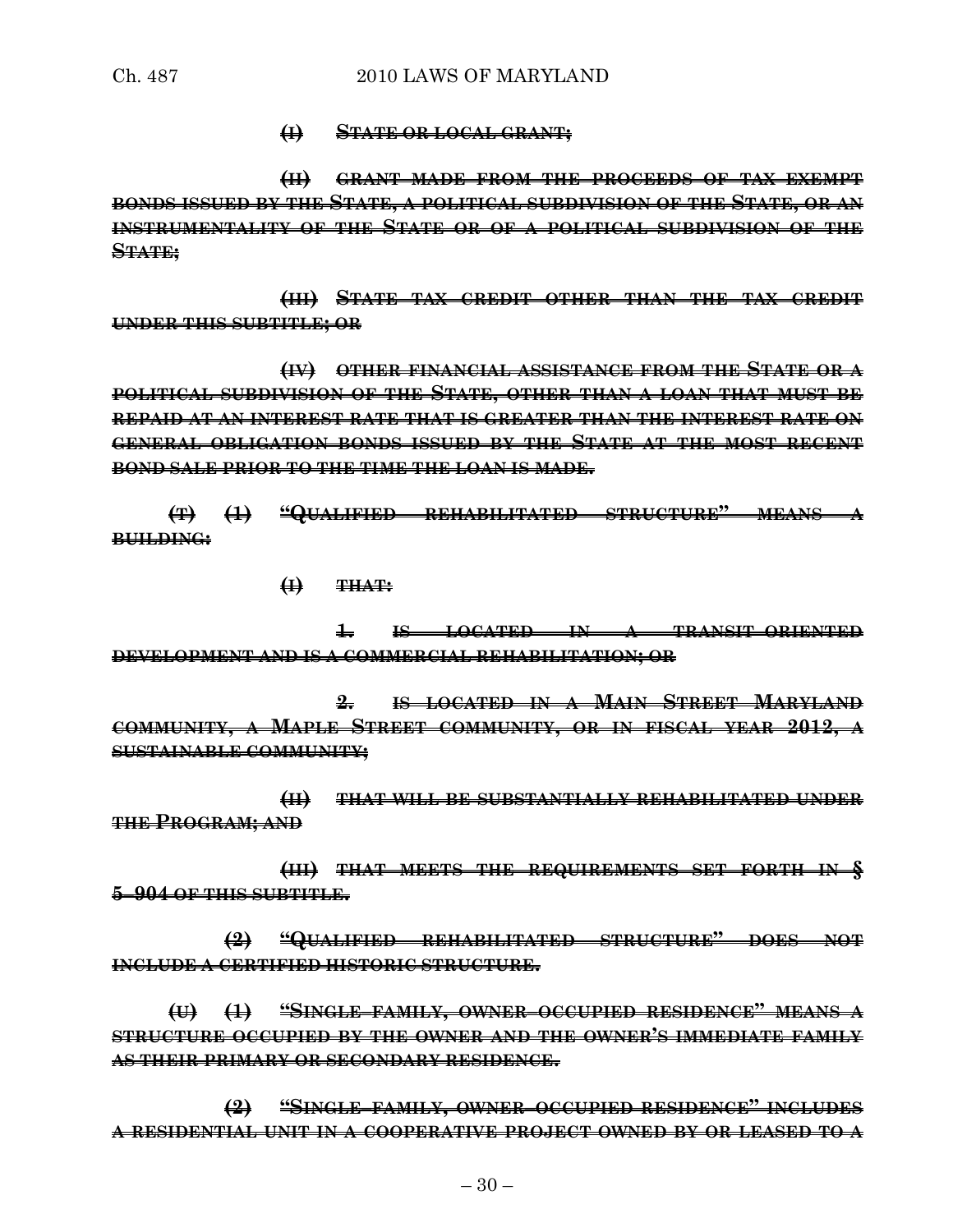#### **(I) STATE OR LOCAL GRANT;**

**(II) GRANT MADE FROM THE PROCEEDS OF TAX–EXEMPT BONDS ISSUED BY THE STATE, A POLITICAL SUBDIVISION OF THE STATE, OR AN INSTRUMENTALITY OF THE STATE OR OF A POLITICAL SUBDIVISION OF THE STATE;**

**(III) STATE TAX CREDIT OTHER THAN THE TAX CREDIT UNDER THIS SUBTITLE; OR**

**(IV) OTHER FINANCIAL ASSISTANCE FROM THE STATE OR A POLITICAL SUBDIVISION OF THE STATE, OTHER THAN A LOAN THAT MUST BE REPAID AT AN INTEREST RATE THAT IS GREATER THAN THE INTEREST RATE ON GENERAL OBLIGATION BONDS ISSUED BY THE STATE AT THE MOST RECENT BOND SALE PRIOR TO THE TIME THE LOAN IS MADE.**

**(T) (1) "QUALIFIED REHABILITATED STRUCTURE" MEANS A BUILDING:**

**(I) THAT:**

**1. IS LOCATED IN A TRANSIT–ORIENTED DEVELOPMENT AND IS A COMMERCIAL REHABILITATION; OR**

**2. IS LOCATED IN A MAIN STREET MARYLAND COMMUNITY, A MAPLE STREET COMMUNITY, OR IN FISCAL YEAR 2012, A SUSTAINABLE COMMUNITY;**

**(II) THAT WILL BE SUBSTANTIALLY REHABILITATED UNDER THE PROGRAM; AND**

**(III) THAT MEETS THE REQUIREMENTS SET FORTH IN § 5–904 OF THIS SUBTITLE.**

**(2) "QUALIFIED REHABILITATED STRUCTURE" DOES NOT INCLUDE A CERTIFIED HISTORIC STRUCTURE.**

**(U) (1) "SINGLE–FAMILY, OWNER–OCCUPIED RESIDENCE" MEANS A STRUCTURE OCCUPIED BY THE OWNER AND THE OWNER'S IMMEDIATE FAMILY AS THEIR PRIMARY OR SECONDARY RESIDENCE.**

**(2) "SINGLE–FAMILY, OWNER–OCCUPIED RESIDENCE" INCLUDES A RESIDENTIAL UNIT IN A COOPERATIVE PROJECT OWNED BY OR LEASED TO A**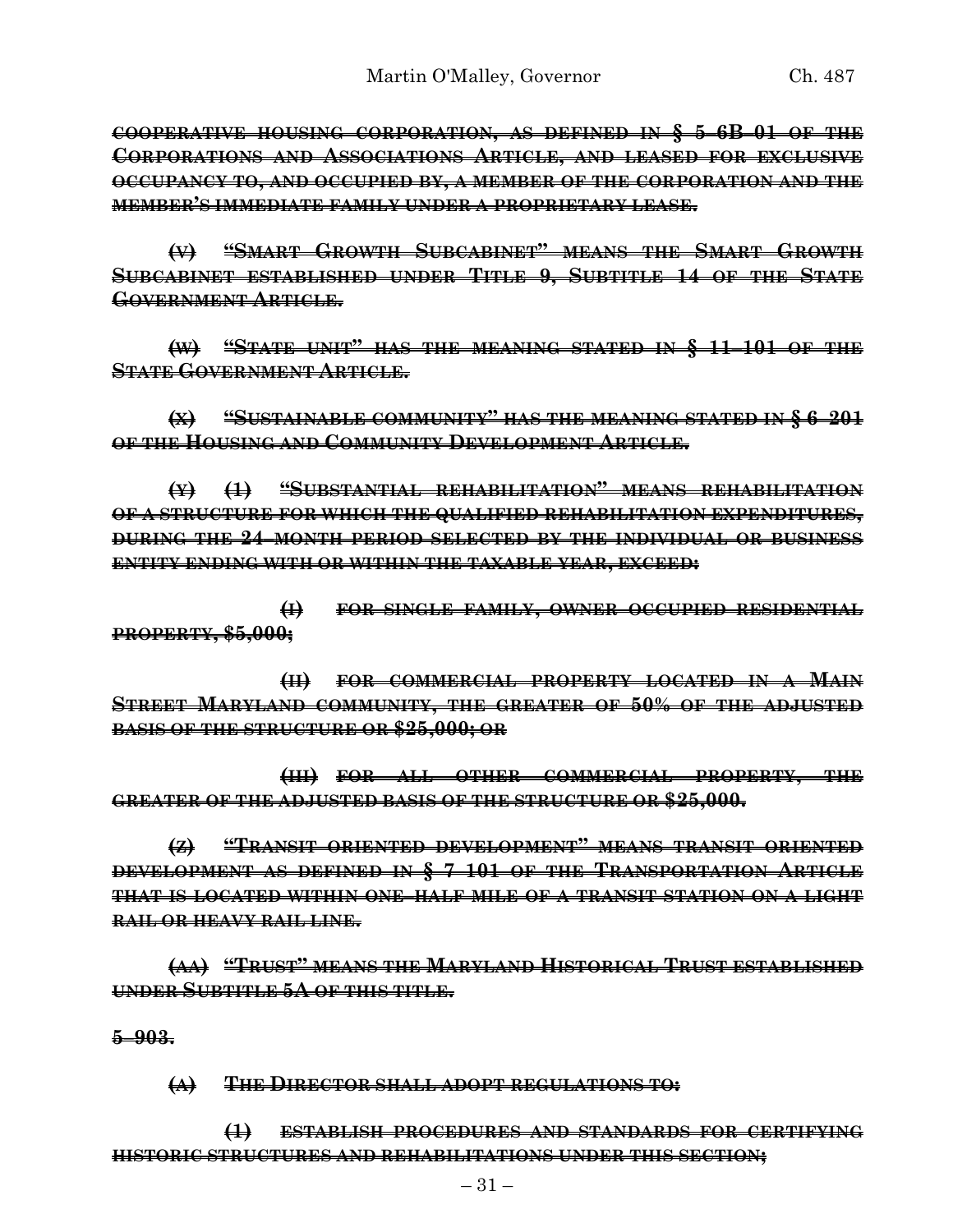**COOPERATIVE HOUSING CORPORATION, AS DEFINED IN § 5–6B–01 OF THE CORPORATIONS AND ASSOCIATIONS ARTICLE, AND LEASED FOR EXCLUSIVE OCCUPANCY TO, AND OCCUPIED BY, A MEMBER OF THE CORPORATION AND THE MEMBER'S IMMEDIATE FAMILY UNDER A PROPRIETARY LEASE.**

**(V) "SMART GROWTH SUBCABINET" MEANS THE SMART GROWTH SUBCABINET ESTABLISHED UNDER TITLE 9, SUBTITLE 14 OF THE STATE GOVERNMENT ARTICLE.**

**(W) "STATE UNIT" HAS THE MEANING STATED IN § 11–101 OF THE STATE GOVERNMENT ARTICLE.**

**(X) "SUSTAINABLE COMMUNITY" HAS THE MEANING STATED IN § 6–201 OF THE HOUSING AND COMMUNITY DEVELOPMENT ARTICLE.**

**(Y) (1) "SUBSTANTIAL REHABILITATION" MEANS REHABILITATION OF A STRUCTURE FOR WHICH THE QUALIFIED REHABILITATION EXPENDITURES, DURING THE 24–MONTH PERIOD SELECTED BY THE INDIVIDUAL OR BUSINESS ENTITY ENDING WITH OR WITHIN THE TAXABLE YEAR, EXCEED:**

**(I) FOR SINGLE–FAMILY, OWNER–OCCUPIED RESIDENTIAL PROPERTY, \$5,000;**

**(II) FOR COMMERCIAL PROPERTY LOCATED IN A MAIN STREET MARYLAND COMMUNITY, THE GREATER OF 50% OF THE ADJUSTED BASIS OF THE STRUCTURE OR \$25,000; OR**

**(III) FOR ALL OTHER COMMERCIAL PROPERTY, THE GREATER OF THE ADJUSTED BASIS OF THE STRUCTURE OR \$25,000.**

**(Z) "TRANSIT–ORIENTED DEVELOPMENT" MEANS TRANSIT–ORIENTED DEVELOPMENT AS DEFINED IN § 7–101 OF THE TRANSPORTATION ARTICLE THAT IS LOCATED WITHIN ONE–HALF MILE OF A TRANSIT STATION ON A LIGHT RAIL OR HEAVY RAIL LINE.**

**(AA) "TRUST" MEANS THE MARYLAND HISTORICAL TRUST ESTABLISHED UNDER SUBTITLE 5A OF THIS TITLE.**

**5–903.**

**(A) THE DIRECTOR SHALL ADOPT REGULATIONS TO:**

**(1) ESTABLISH PROCEDURES AND STANDARDS FOR CERTIFYING HISTORIC STRUCTURES AND REHABILITATIONS UNDER THIS SECTION;**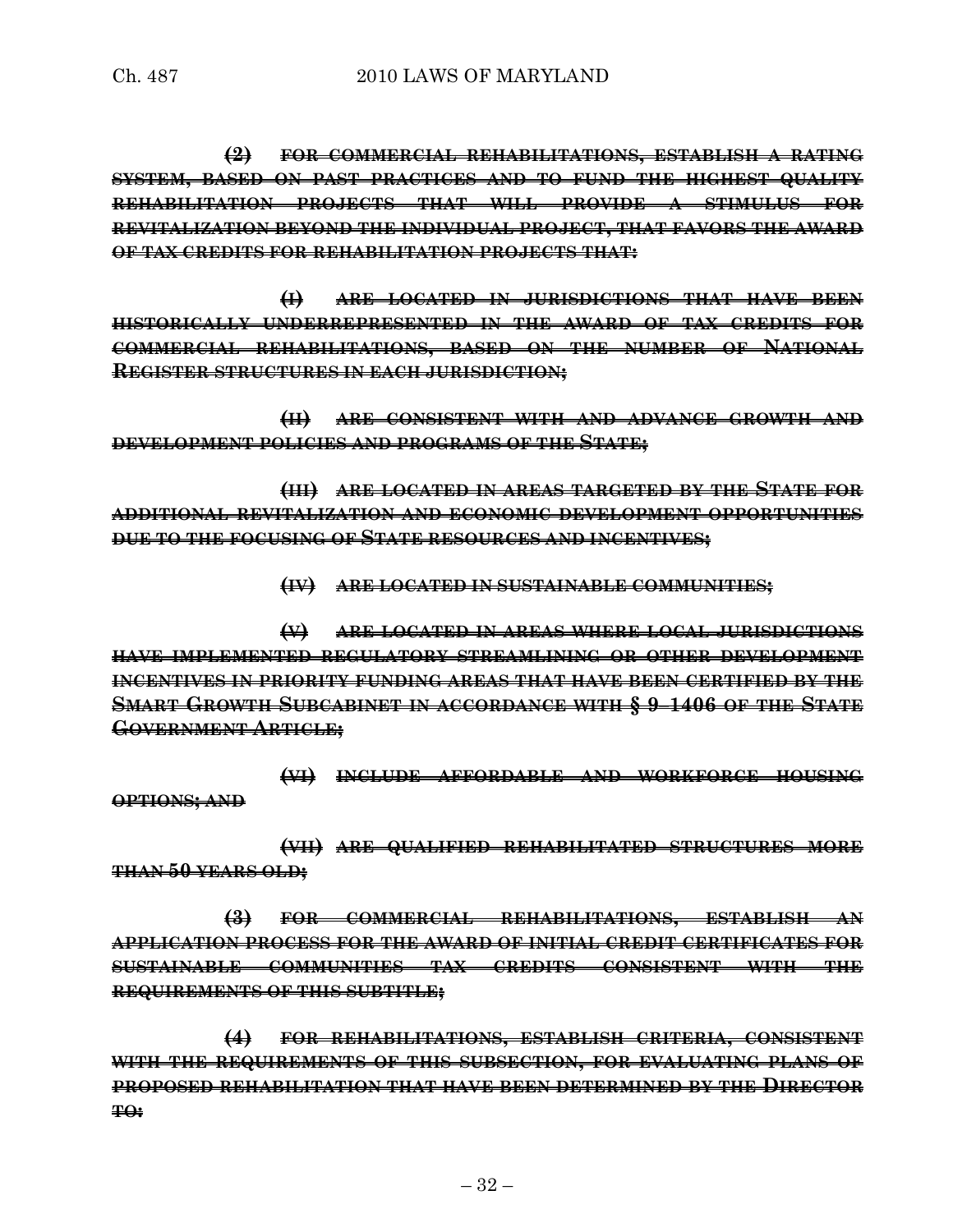**(2) FOR COMMERCIAL REHABILITATIONS, ESTABLISH A RATING SYSTEM, BASED ON PAST PRACTICES AND TO FUND THE HIGHEST QUALITY REHABILITATION PROJECTS THAT WILL PROVIDE A STIMULUS FOR REVITALIZATION BEYOND THE INDIVIDUAL PROJECT, THAT FAVORS THE AWARD OF TAX CREDITS FOR REHABILITATION PROJECTS THAT:**

**(I) ARE LOCATED IN JURISDICTIONS THAT HAVE BEEN HISTORICALLY UNDERREPRESENTED IN THE AWARD OF TAX CREDITS FOR COMMERCIAL REHABILITATIONS, BASED ON THE NUMBER OF NATIONAL REGISTER STRUCTURES IN EACH JURISDICTION;**

**(II) ARE CONSISTENT WITH AND ADVANCE GROWTH AND DEVELOPMENT POLICIES AND PROGRAMS OF THE STATE;**

**(III) ARE LOCATED IN AREAS TARGETED BY THE STATE FOR ADDITIONAL REVITALIZATION AND ECONOMIC DEVELOPMENT OPPORTUNITIES DUE TO THE FOCUSING OF STATE RESOURCES AND INCENTIVES;**

**(IV) ARE LOCATED IN SUSTAINABLE COMMUNITIES;**

**(V) ARE LOCATED IN AREAS WHERE LOCAL JURISDICTIONS HAVE IMPLEMENTED REGULATORY STREAMLINING OR OTHER DEVELOPMENT INCENTIVES IN PRIORITY FUNDING AREAS THAT HAVE BEEN CERTIFIED BY THE SMART GROWTH SUBCABINET IN ACCORDANCE WITH § 9–1406 OF THE STATE GOVERNMENT ARTICLE;**

**(VI) INCLUDE AFFORDABLE AND WORKFORCE HOUSING OPTIONS; AND**

**(VII) ARE QUALIFIED REHABILITATED STRUCTURES MORE THAN 50 YEARS OLD;**

**(3) FOR COMMERCIAL REHABILITATIONS, ESTABLISH AN APPLICATION PROCESS FOR THE AWARD OF INITIAL CREDIT CERTIFICATES FOR SUSTAINABLE COMMUNITIES TAX CREDITS CONSISTENT WITH THE REQUIREMENTS OF THIS SUBTITLE;**

**(4) FOR REHABILITATIONS, ESTABLISH CRITERIA, CONSISTENT WITH THE REQUIREMENTS OF THIS SUBSECTION, FOR EVALUATING PLANS OF PROPOSED REHABILITATION THAT HAVE BEEN DETERMINED BY THE DIRECTOR TO:**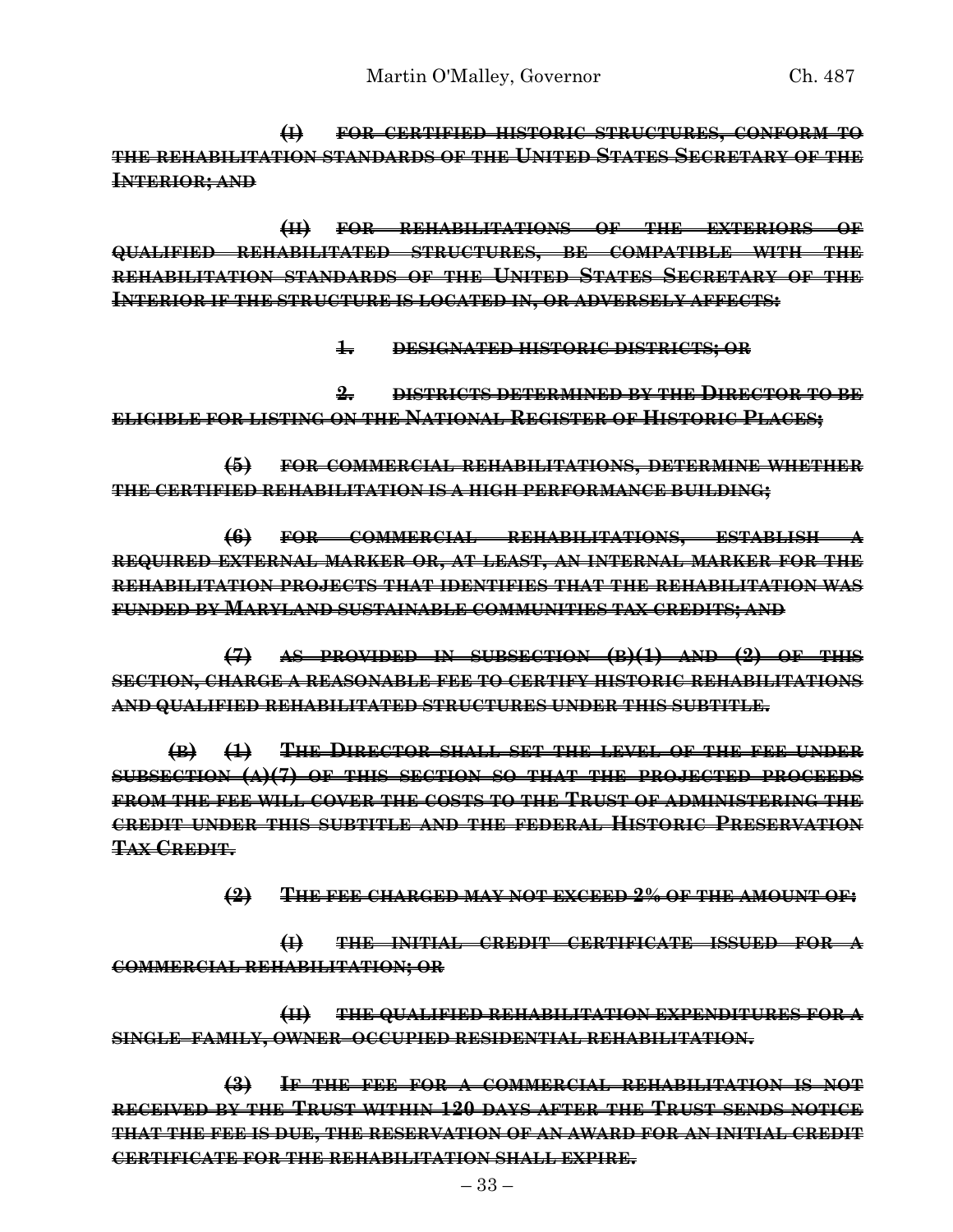**(I) FOR CERTIFIED HISTORIC STRUCTURES, CONFORM TO THE REHABILITATION STANDARDS OF THE UNITED STATES SECRETARY OF THE INTERIOR; AND**

**(II) FOR REHABILITATIONS OF THE EXTERIORS OF QUALIFIED REHABILITATED STRUCTURES, BE COMPATIBLE WITH THE REHABILITATION STANDARDS OF THE UNITED STATES SECRETARY OF THE INTERIOR IF THE STRUCTURE IS LOCATED IN, OR ADVERSELY AFFECTS:**

**1. DESIGNATED HISTORIC DISTRICTS; OR**

**2. DISTRICTS DETERMINED BY THE DIRECTOR TO BE ELIGIBLE FOR LISTING ON THE NATIONAL REGISTER OF HISTORIC PLACES;**

**(5) FOR COMMERCIAL REHABILITATIONS, DETERMINE WHETHER THE CERTIFIED REHABILITATION IS A HIGH PERFORMANCE BUILDING;**

**(6) FOR COMMERCIAL REHABILITATIONS, ESTABLISH A REQUIRED EXTERNAL MARKER OR, AT LEAST, AN INTERNAL MARKER FOR THE REHABILITATION PROJECTS THAT IDENTIFIES THAT THE REHABILITATION WAS FUNDED BY MARYLAND SUSTAINABLE COMMUNITIES TAX CREDITS; AND**

**(7) AS PROVIDED IN SUBSECTION (B)(1) AND (2) OF THIS SECTION, CHARGE A REASONABLE FEE TO CERTIFY HISTORIC REHABILITATIONS AND QUALIFIED REHABILITATED STRUCTURES UNDER THIS SUBTITLE.**

**(B) (1) THE DIRECTOR SHALL SET THE LEVEL OF THE FEE UNDER SUBSECTION (A)(7) OF THIS SECTION SO THAT THE PROJECTED PROCEEDS FROM THE FEE WILL COVER THE COSTS TO THE TRUST OF ADMINISTERING THE CREDIT UNDER THIS SUBTITLE AND THE FEDERAL HISTORIC PRESERVATION TAX CREDIT.**

**(2) THE FEE CHARGED MAY NOT EXCEED 2% OF THE AMOUNT OF:**

**(I) THE INITIAL CREDIT CERTIFICATE ISSUED FOR A COMMERCIAL REHABILITATION; OR**

**(II) THE QUALIFIED REHABILITATION EXPENDITURES FOR A SINGLE–FAMILY, OWNER–OCCUPIED RESIDENTIAL REHABILITATION.**

**(3) IF THE FEE FOR A COMMERCIAL REHABILITATION IS NOT RECEIVED BY THE TRUST WITHIN 120 DAYS AFTER THE TRUST SENDS NOTICE THAT THE FEE IS DUE, THE RESERVATION OF AN AWARD FOR AN INITIAL CREDIT CERTIFICATE FOR THE REHABILITATION SHALL EXPIRE.**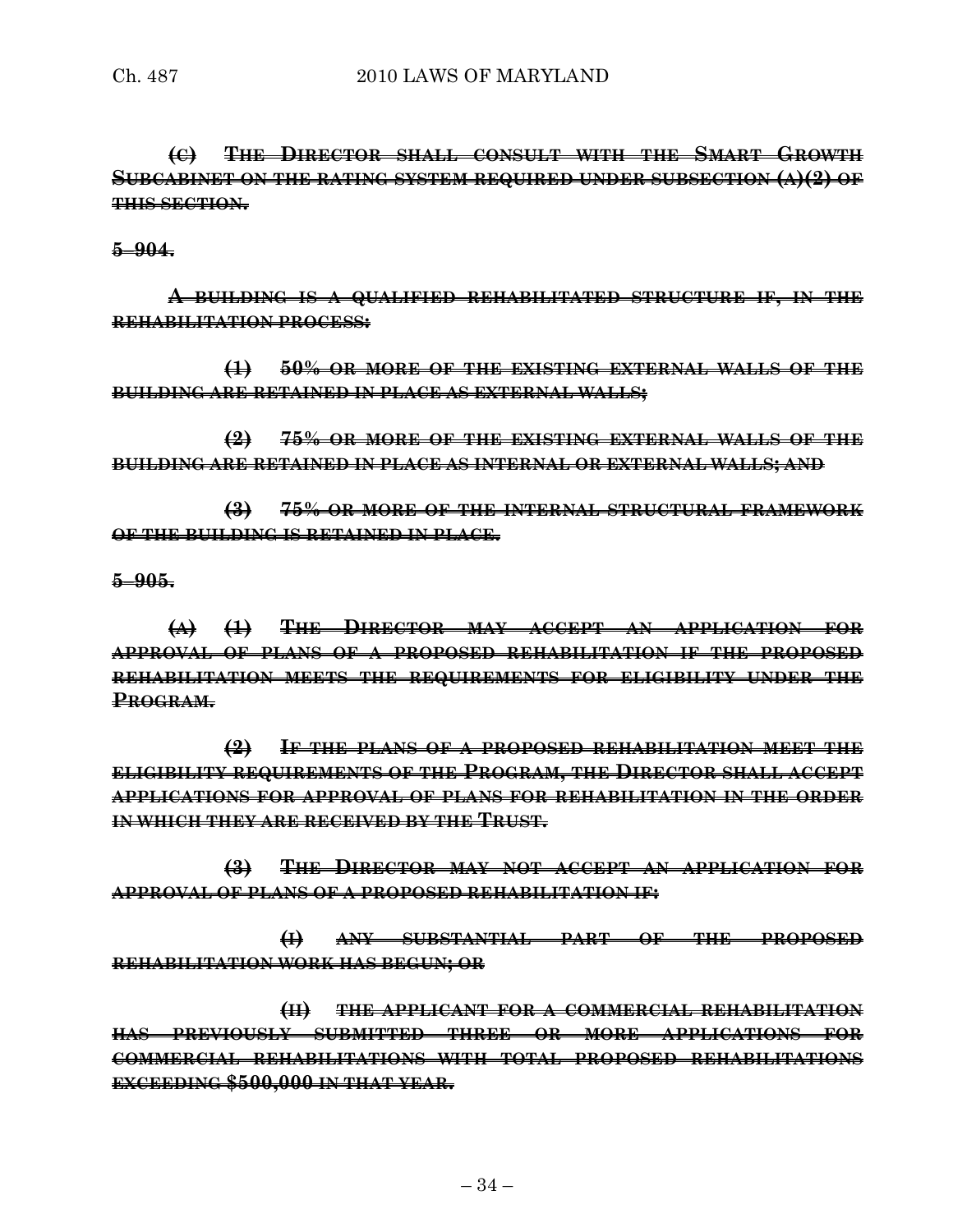**(C) THE DIRECTOR SHALL CONSULT WITH THE SMART GROWTH SUBCABINET ON THE RATING SYSTEM REQUIRED UNDER SUBSECTION (A)(2) OF THIS SECTION.**

**5–904.**

**A BUILDING IS A QUALIFIED REHABILITATED STRUCTURE IF, IN THE REHABILITATION PROCESS:**

**(1) 50% OR MORE OF THE EXISTING EXTERNAL WALLS OF THE BUILDING ARE RETAINED IN PLACE AS EXTERNAL WALLS;**

**(2) 75% OR MORE OF THE EXISTING EXTERNAL WALLS OF THE BUILDING ARE RETAINED IN PLACE AS INTERNAL OR EXTERNAL WALLS; AND**

**(3) 75% OR MORE OF THE INTERNAL STRUCTURAL FRAMEWORK OF THE BUILDING IS RETAINED IN PLACE.**

#### **5–905.**

**(A) (1) THE DIRECTOR MAY ACCEPT AN APPLICATION FOR APPROVAL OF PLANS OF A PROPOSED REHABILITATION IF THE PROPOSED REHABILITATION MEETS THE REQUIREMENTS FOR ELIGIBILITY UNDER THE PROGRAM.**

**(2) IF THE PLANS OF A PROPOSED REHABILITATION MEET THE ELIGIBILITY REQUIREMENTS OF THE PROGRAM, THE DIRECTOR SHALL ACCEPT APPLICATIONS FOR APPROVAL OF PLANS FOR REHABILITATION IN THE ORDER IN WHICH THEY ARE RECEIVED BY THE TRUST.**

**(3) THE DIRECTOR MAY NOT ACCEPT AN APPLICATION FOR APPROVAL OF PLANS OF A PROPOSED REHABILITATION IF:**

**(I) ANY SUBSTANTIAL PART OF THE PROPOSED REHABILITATION WORK HAS BEGUN; OR**

**(II) THE APPLICANT FOR A COMMERCIAL REHABILITATION HAS PREVIOUSLY SUBMITTED THREE OR MORE APPLICATIONS FOR COMMERCIAL REHABILITATIONS WITH TOTAL PROPOSED REHABILITATIONS EXCEEDING \$500,000 IN THAT YEAR.**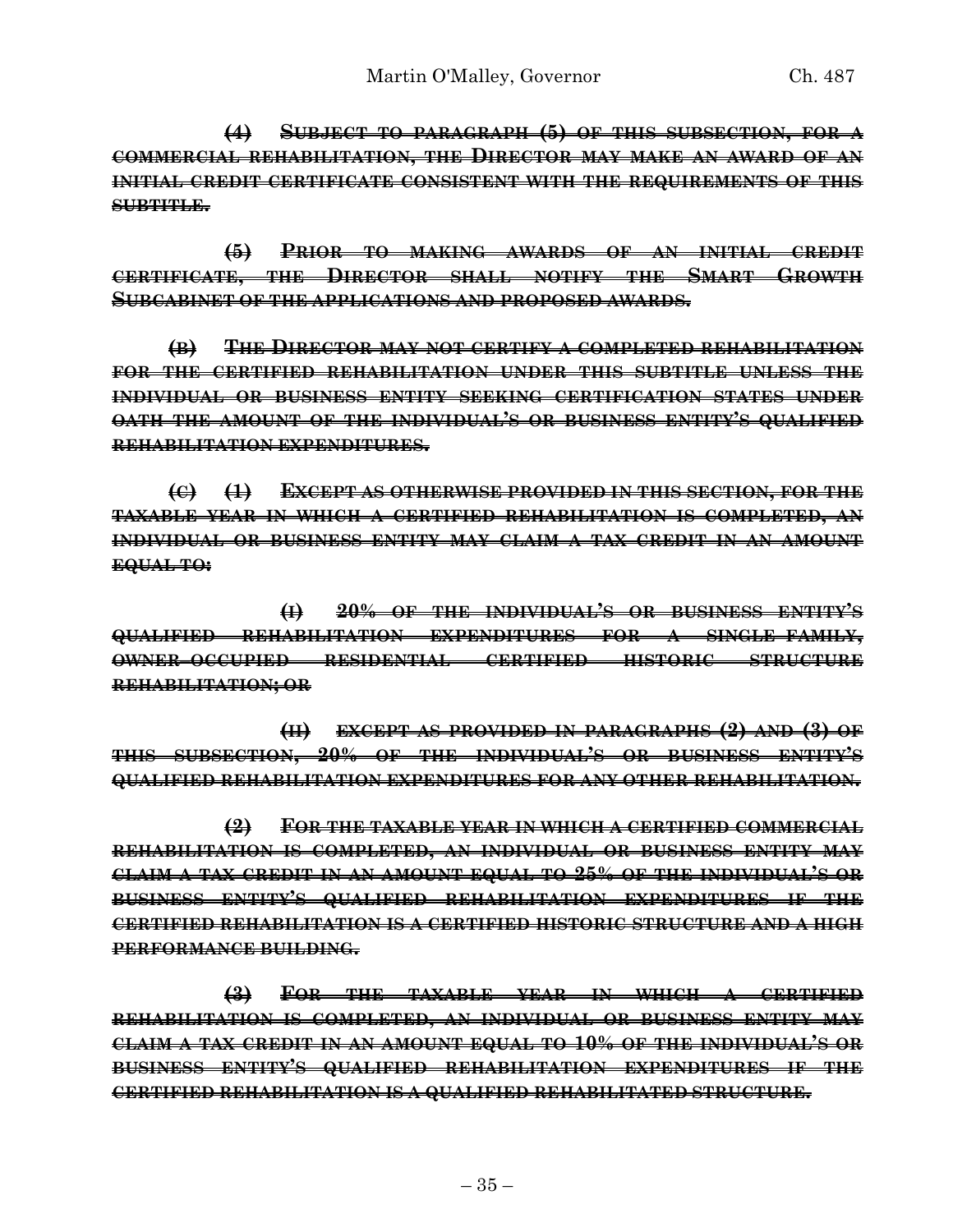**(4) SUBJECT TO PARAGRAPH (5) OF THIS SUBSECTION, FOR A COMMERCIAL REHABILITATION, THE DIRECTOR MAY MAKE AN AWARD OF AN INITIAL CREDIT CERTIFICATE CONSISTENT WITH THE REQUIREMENTS OF THIS SUBTITLE.**

**(5) PRIOR TO MAKING AWARDS OF AN INITIAL CREDIT CERTIFICATE, THE DIRECTOR SHALL NOTIFY THE SMART GROWTH SUBCABINET OF THE APPLICATIONS AND PROPOSED AWARDS.**

**(B) THE DIRECTOR MAY NOT CERTIFY A COMPLETED REHABILITATION FOR THE CERTIFIED REHABILITATION UNDER THIS SUBTITLE UNLESS THE INDIVIDUAL OR BUSINESS ENTITY SEEKING CERTIFICATION STATES UNDER OATH THE AMOUNT OF THE INDIVIDUAL'S OR BUSINESS ENTITY'S QUALIFIED REHABILITATION EXPENDITURES.**

**(C) (1) EXCEPT AS OTHERWISE PROVIDED IN THIS SECTION, FOR THE TAXABLE YEAR IN WHICH A CERTIFIED REHABILITATION IS COMPLETED, AN INDIVIDUAL OR BUSINESS ENTITY MAY CLAIM A TAX CREDIT IN AN AMOUNT EQUAL TO:**

**(I) 20% OF THE INDIVIDUAL'S OR BUSINESS ENTITY'S QUALIFIED REHABILITATION EXPENDITURES FOR A SINGLE–FAMILY, OWNER–OCCUPIED RESIDENTIAL CERTIFIED HISTORIC STRUCTURE REHABILITATION; OR** 

**(II) EXCEPT AS PROVIDED IN PARAGRAPHS (2) AND (3) OF THIS SUBSECTION, 20% OF THE INDIVIDUAL'S OR BUSINESS ENTITY'S QUALIFIED REHABILITATION EXPENDITURES FOR ANY OTHER REHABILITATION.**

**(2) FOR THE TAXABLE YEAR IN WHICH A CERTIFIED COMMERCIAL REHABILITATION IS COMPLETED, AN INDIVIDUAL OR BUSINESS ENTITY MAY CLAIM A TAX CREDIT IN AN AMOUNT EQUAL TO 25% OF THE INDIVIDUAL'S OR BUSINESS ENTITY'S QUALIFIED REHABILITATION EXPENDITURES IF THE CERTIFIED REHABILITATION IS A CERTIFIED HISTORIC STRUCTURE AND A HIGH PERFORMANCE BUILDING.**

**(3) FOR THE TAXABLE YEAR IN WHICH A CERTIFIED REHABILITATION IS COMPLETED, AN INDIVIDUAL OR BUSINESS ENTITY MAY CLAIM A TAX CREDIT IN AN AMOUNT EQUAL TO 10% OF THE INDIVIDUAL'S OR BUSINESS ENTITY'S QUALIFIED REHABILITATION EXPENDITURES IF THE CERTIFIED REHABILITATION IS A QUALIFIED REHABILITATED STRUCTURE.**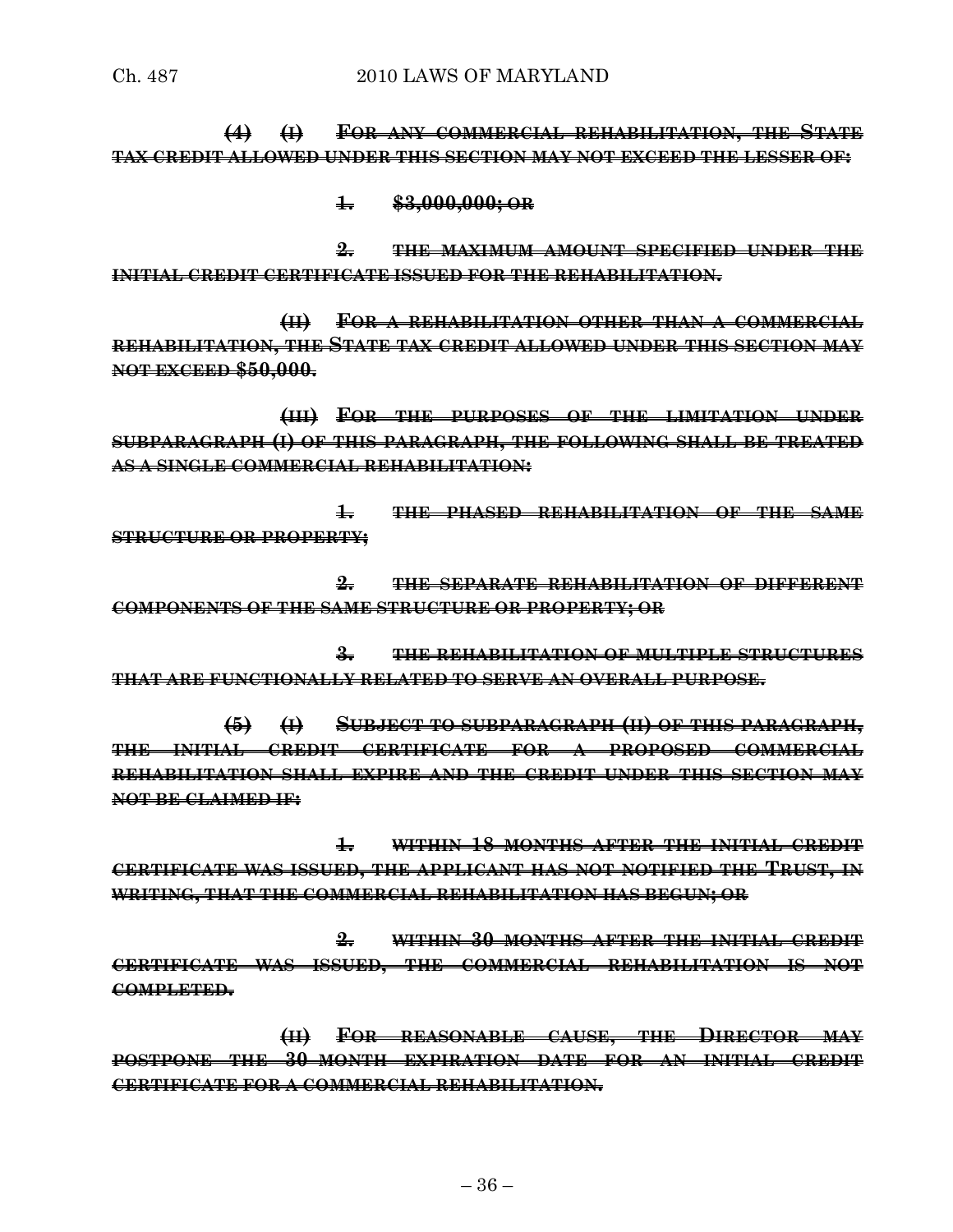**(4) (I) FOR ANY COMMERCIAL REHABILITATION, THE STATE TAX CREDIT ALLOWED UNDER THIS SECTION MAY NOT EXCEED THE LESSER OF:**

**1. \$3,000,000; OR** 

**2. THE MAXIMUM AMOUNT SPECIFIED UNDER THE INITIAL CREDIT CERTIFICATE ISSUED FOR THE REHABILITATION.**

**(II) FOR A REHABILITATION OTHER THAN A COMMERCIAL REHABILITATION, THE STATE TAX CREDIT ALLOWED UNDER THIS SECTION MAY NOT EXCEED \$50,000.**

**(III) FOR THE PURPOSES OF THE LIMITATION UNDER SUBPARAGRAPH (I) OF THIS PARAGRAPH, THE FOLLOWING SHALL BE TREATED AS A SINGLE COMMERCIAL REHABILITATION:**

**1. THE PHASED REHABILITATION OF THE SAME STRUCTURE OR PROPERTY;**

**2. THE SEPARATE REHABILITATION OF DIFFERENT COMPONENTS OF THE SAME STRUCTURE OR PROPERTY; OR** 

**3. THE REHABILITATION OF MULTIPLE STRUCTURES THAT ARE FUNCTIONALLY RELATED TO SERVE AN OVERALL PURPOSE.**

**(5) (I) SUBJECT TO SUBPARAGRAPH (II) OF THIS PARAGRAPH, THE INITIAL CREDIT CERTIFICATE FOR A PROPOSED COMMERCIAL REHABILITATION SHALL EXPIRE AND THE CREDIT UNDER THIS SECTION MAY NOT BE CLAIMED IF:**

**1. WITHIN 18 MONTHS AFTER THE INITIAL CREDIT CERTIFICATE WAS ISSUED, THE APPLICANT HAS NOT NOTIFIED THE TRUST, IN WRITING, THAT THE COMMERCIAL REHABILITATION HAS BEGUN; OR**

**2. WITHIN 30 MONTHS AFTER THE INITIAL CREDIT CERTIFICATE WAS ISSUED, THE COMMERCIAL REHABILITATION IS NOT COMPLETED.**

**(II) FOR REASONABLE CAUSE, THE DIRECTOR MAY POSTPONE THE 30–MONTH EXPIRATION DATE FOR AN INITIAL CREDIT CERTIFICATE FOR A COMMERCIAL REHABILITATION.**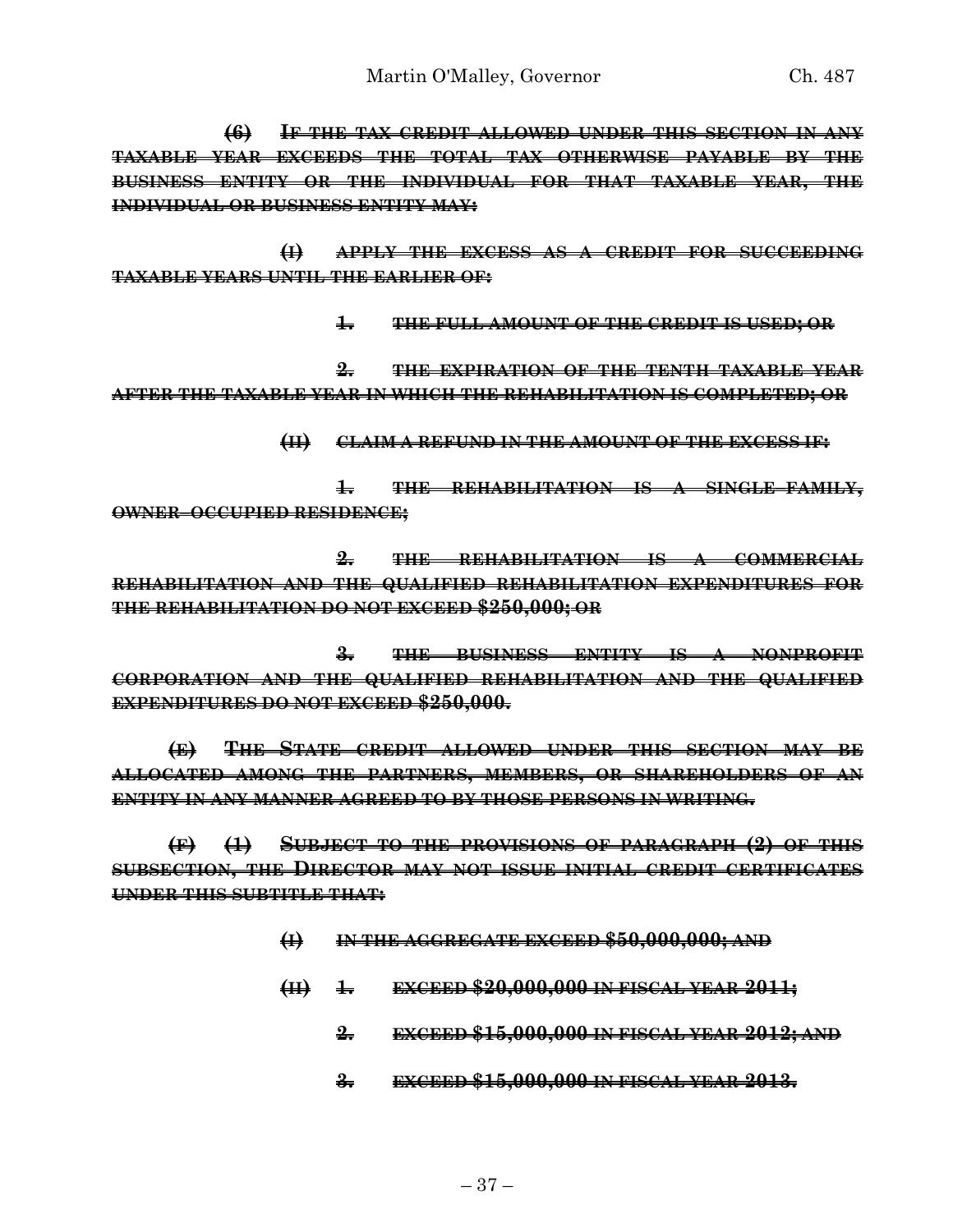**(6) IF THE TAX CREDIT ALLOWED UNDER THIS SECTION IN ANY TAXABLE YEAR EXCEEDS THE TOTAL TAX OTHERWISE PAYABLE BY THE BUSINESS ENTITY OR THE INDIVIDUAL FOR THAT TAXABLE YEAR, THE INDIVIDUAL OR BUSINESS ENTITY MAY:**

**(I) APPLY THE EXCESS AS A CREDIT FOR SUCCEEDING TAXABLE YEARS UNTIL THE EARLIER OF:**

**1. THE FULL AMOUNT OF THE CREDIT IS USED; OR**

**2. THE EXPIRATION OF THE TENTH TAXABLE YEAR AFTER THE TAXABLE YEAR IN WHICH THE REHABILITATION IS COMPLETED; OR**

**(II) CLAIM A REFUND IN THE AMOUNT OF THE EXCESS IF:**

**1. THE REHABILITATION IS A SINGLE–FAMILY, OWNER–OCCUPIED RESIDENCE;**

**2. THE REHABILITATION IS A COMMERCIAL REHABILITATION AND THE QUALIFIED REHABILITATION EXPENDITURES FOR THE REHABILITATION DO NOT EXCEED \$250,000; OR**

**3. THE BUSINESS ENTITY IS A NONPROFIT CORPORATION AND THE QUALIFIED REHABILITATION AND THE QUALIFIED EXPENDITURES DO NOT EXCEED \$250,000.**

**(E) THE STATE CREDIT ALLOWED UNDER THIS SECTION MAY BE ALLOCATED AMONG THE PARTNERS, MEMBERS, OR SHAREHOLDERS OF AN ENTITY IN ANY MANNER AGREED TO BY THOSE PERSONS IN WRITING.**

**(F) (1) SUBJECT TO THE PROVISIONS OF PARAGRAPH (2) OF THIS SUBSECTION, THE DIRECTOR MAY NOT ISSUE INITIAL CREDIT CERTIFICATES UNDER THIS SUBTITLE THAT:**

- **(I) IN THE AGGREGATE EXCEED \$50,000,000; AND**
- **(II) 1. EXCEED \$20,000,000 IN FISCAL YEAR 2011;**
	- **2. EXCEED \$15,000,000 IN FISCAL YEAR 2012; AND**
	- **3. EXCEED \$15,000,000 IN FISCAL YEAR 2013.**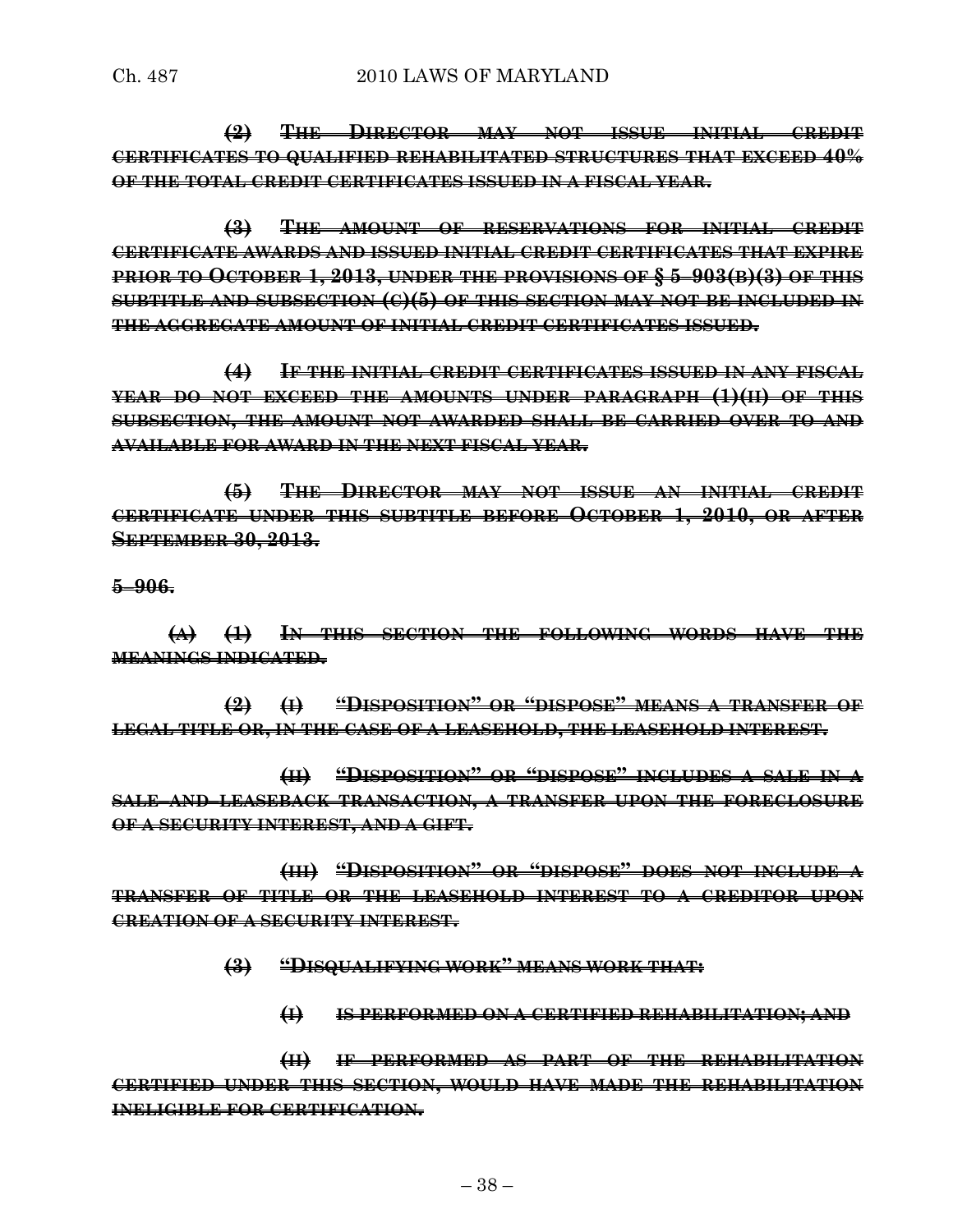**(2) THE DIRECTOR MAY NOT ISSUE INITIAL CREDIT CERTIFICATES TO QUALIFIED REHABILITATED STRUCTURES THAT EXCEED 40% OF THE TOTAL CREDIT CERTIFICATES ISSUED IN A FISCAL YEAR.**

**(3) THE AMOUNT OF RESERVATIONS FOR INITIAL CREDIT CERTIFICATE AWARDS AND ISSUED INITIAL CREDIT CERTIFICATES THAT EXPIRE PRIOR TO OCTOBER 1, 2013, UNDER THE PROVISIONS OF § 5–903(B)(3) OF THIS SUBTITLE AND SUBSECTION (C)(5) OF THIS SECTION MAY NOT BE INCLUDED IN THE AGGREGATE AMOUNT OF INITIAL CREDIT CERTIFICATES ISSUED.**

**(4) IF THE INITIAL CREDIT CERTIFICATES ISSUED IN ANY FISCAL YEAR DO NOT EXCEED THE AMOUNTS UNDER PARAGRAPH (1)(II) OF THIS SUBSECTION, THE AMOUNT NOT AWARDED SHALL BE CARRIED OVER TO AND AVAILABLE FOR AWARD IN THE NEXT FISCAL YEAR.**

**(5) THE DIRECTOR MAY NOT ISSUE AN INITIAL CREDIT CERTIFICATE UNDER THIS SUBTITLE BEFORE OCTOBER 1, 2010, OR AFTER SEPTEMBER 30, 2013.**

**5–906.**

**(A) (1) IN THIS SECTION THE FOLLOWING WORDS HAVE THE MEANINGS INDICATED.**

**(2) (I) "DISPOSITION" OR "DISPOSE" MEANS A TRANSFER OF LEGAL TITLE OR, IN THE CASE OF A LEASEHOLD, THE LEASEHOLD INTEREST.**

**(II) "DISPOSITION" OR "DISPOSE" INCLUDES A SALE IN A SALE–AND–LEASEBACK TRANSACTION, A TRANSFER UPON THE FORECLOSURE OF A SECURITY INTEREST, AND A GIFT.**

**(III) "DISPOSITION" OR "DISPOSE" DOES NOT INCLUDE A TRANSFER OF TITLE OR THE LEASEHOLD INTEREST TO A CREDITOR UPON CREATION OF A SECURITY INTEREST.**

**(3) "DISQUALIFYING WORK" MEANS WORK THAT:**

**(I) IS PERFORMED ON A CERTIFIED REHABILITATION; AND** 

**(II) IF PERFORMED AS PART OF THE REHABILITATION CERTIFIED UNDER THIS SECTION, WOULD HAVE MADE THE REHABILITATION INELIGIBLE FOR CERTIFICATION.**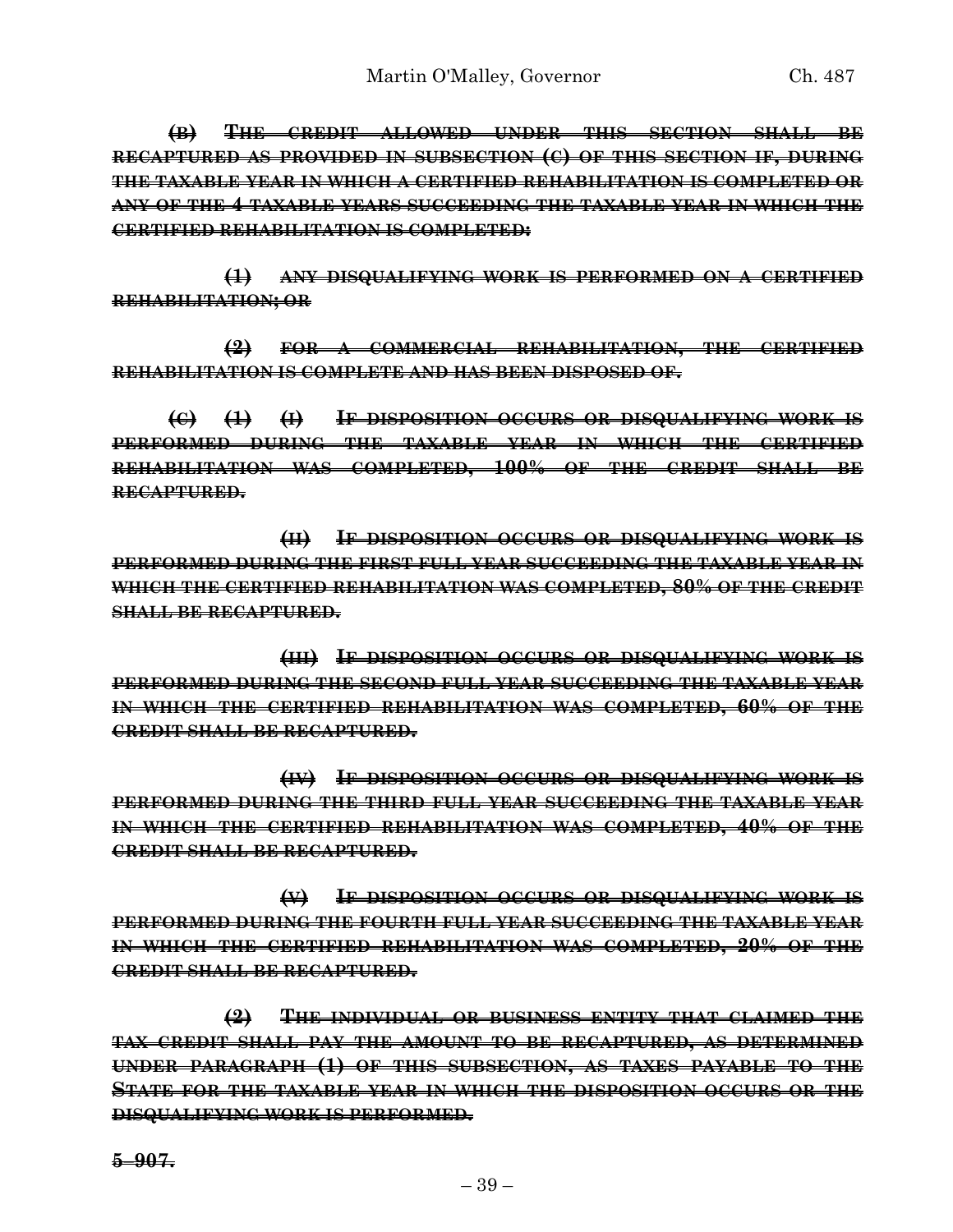**(B) THE CREDIT ALLOWED UNDER THIS SECTION SHALL BE RECAPTURED AS PROVIDED IN SUBSECTION (C) OF THIS SECTION IF, DURING THE TAXABLE YEAR IN WHICH A CERTIFIED REHABILITATION IS COMPLETED OR ANY OF THE 4 TAXABLE YEARS SUCCEEDING THE TAXABLE YEAR IN WHICH THE CERTIFIED REHABILITATION IS COMPLETED:**

**(1) ANY DISQUALIFYING WORK IS PERFORMED ON A CERTIFIED REHABILITATION; OR**

**(2) FOR A COMMERCIAL REHABILITATION, THE CERTIFIED REHABILITATION IS COMPLETE AND HAS BEEN DISPOSED OF.**

**(C) (1) (I) IF DISPOSITION OCCURS OR DISQUALIFYING WORK IS PERFORMED DURING THE TAXABLE YEAR IN WHICH THE CERTIFIED REHABILITATION WAS COMPLETED, 100% OF THE CREDIT SHALL BE RECAPTURED.**

**(II) IF DISPOSITION OCCURS OR DISQUALIFYING WORK IS PERFORMED DURING THE FIRST FULL YEAR SUCCEEDING THE TAXABLE YEAR IN WHICH THE CERTIFIED REHABILITATION WAS COMPLETED, 80% OF THE CREDIT SHALL BE RECAPTURED.**

**(III) IF DISPOSITION OCCURS OR DISQUALIFYING WORK IS PERFORMED DURING THE SECOND FULL YEAR SUCCEEDING THE TAXABLE YEAR IN WHICH THE CERTIFIED REHABILITATION WAS COMPLETED, 60% OF THE CREDIT SHALL BE RECAPTURED.**

**(IV) IF DISPOSITION OCCURS OR DISQUALIFYING WORK IS PERFORMED DURING THE THIRD FULL YEAR SUCCEEDING THE TAXABLE YEAR IN WHICH THE CERTIFIED REHABILITATION WAS COMPLETED, 40% OF THE CREDIT SHALL BE RECAPTURED.**

**(V) IF DISPOSITION OCCURS OR DISQUALIFYING WORK IS PERFORMED DURING THE FOURTH FULL YEAR SUCCEEDING THE TAXABLE YEAR IN WHICH THE CERTIFIED REHABILITATION WAS COMPLETED, 20% OF THE CREDIT SHALL BE RECAPTURED.**

**(2) THE INDIVIDUAL OR BUSINESS ENTITY THAT CLAIMED THE TAX CREDIT SHALL PAY THE AMOUNT TO BE RECAPTURED, AS DETERMINED UNDER PARAGRAPH (1) OF THIS SUBSECTION, AS TAXES PAYABLE TO THE STATE FOR THE TAXABLE YEAR IN WHICH THE DISPOSITION OCCURS OR THE DISQUALIFYING WORK IS PERFORMED.**

**5–907.**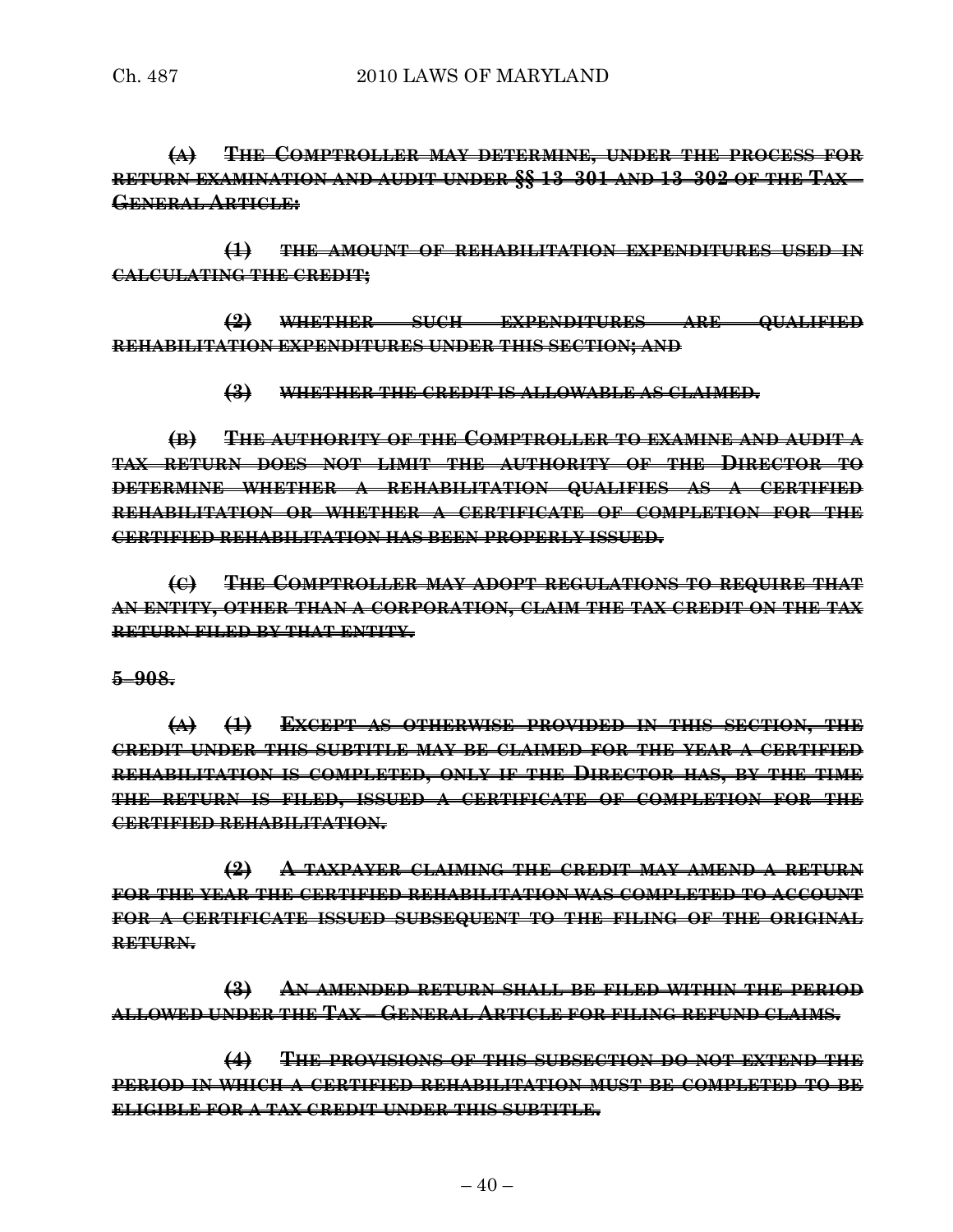**(A) THE COMPTROLLER MAY DETERMINE, UNDER THE PROCESS FOR RETURN EXAMINATION AND AUDIT UNDER §§ 13–301 AND 13–302 OF THE TAX – GENERAL ARTICLE:**

**(1) THE AMOUNT OF REHABILITATION EXPENDITURES USED IN CALCULATING THE CREDIT;**

**(2) WHETHER SUCH EXPENDITURES ARE QUALIFIED REHABILITATION EXPENDITURES UNDER THIS SECTION; AND** 

**(3) WHETHER THE CREDIT IS ALLOWABLE AS CLAIMED.**

**(B) THE AUTHORITY OF THE COMPTROLLER TO EXAMINE AND AUDIT A TAX RETURN DOES NOT LIMIT THE AUTHORITY OF THE DIRECTOR TO DETERMINE WHETHER A REHABILITATION QUALIFIES AS A CERTIFIED REHABILITATION OR WHETHER A CERTIFICATE OF COMPLETION FOR THE CERTIFIED REHABILITATION HAS BEEN PROPERLY ISSUED.**

**(C) THE COMPTROLLER MAY ADOPT REGULATIONS TO REQUIRE THAT AN ENTITY, OTHER THAN A CORPORATION, CLAIM THE TAX CREDIT ON THE TAX RETURN FILED BY THAT ENTITY.**

#### **5–908.**

**(A) (1) EXCEPT AS OTHERWISE PROVIDED IN THIS SECTION, THE CREDIT UNDER THIS SUBTITLE MAY BE CLAIMED FOR THE YEAR A CERTIFIED REHABILITATION IS COMPLETED, ONLY IF THE DIRECTOR HAS, BY THE TIME THE RETURN IS FILED, ISSUED A CERTIFICATE OF COMPLETION FOR THE CERTIFIED REHABILITATION.**

**(2) A TAXPAYER CLAIMING THE CREDIT MAY AMEND A RETURN FOR THE YEAR THE CERTIFIED REHABILITATION WAS COMPLETED TO ACCOUNT FOR A CERTIFICATE ISSUED SUBSEQUENT TO THE FILING OF THE ORIGINAL RETURN.**

**(3) AN AMENDED RETURN SHALL BE FILED WITHIN THE PERIOD ALLOWED UNDER THE TAX – GENERAL ARTICLE FOR FILING REFUND CLAIMS.**

**(4) THE PROVISIONS OF THIS SUBSECTION DO NOT EXTEND THE PERIOD IN WHICH A CERTIFIED REHABILITATION MUST BE COMPLETED TO BE ELIGIBLE FOR A TAX CREDIT UNDER THIS SUBTITLE.**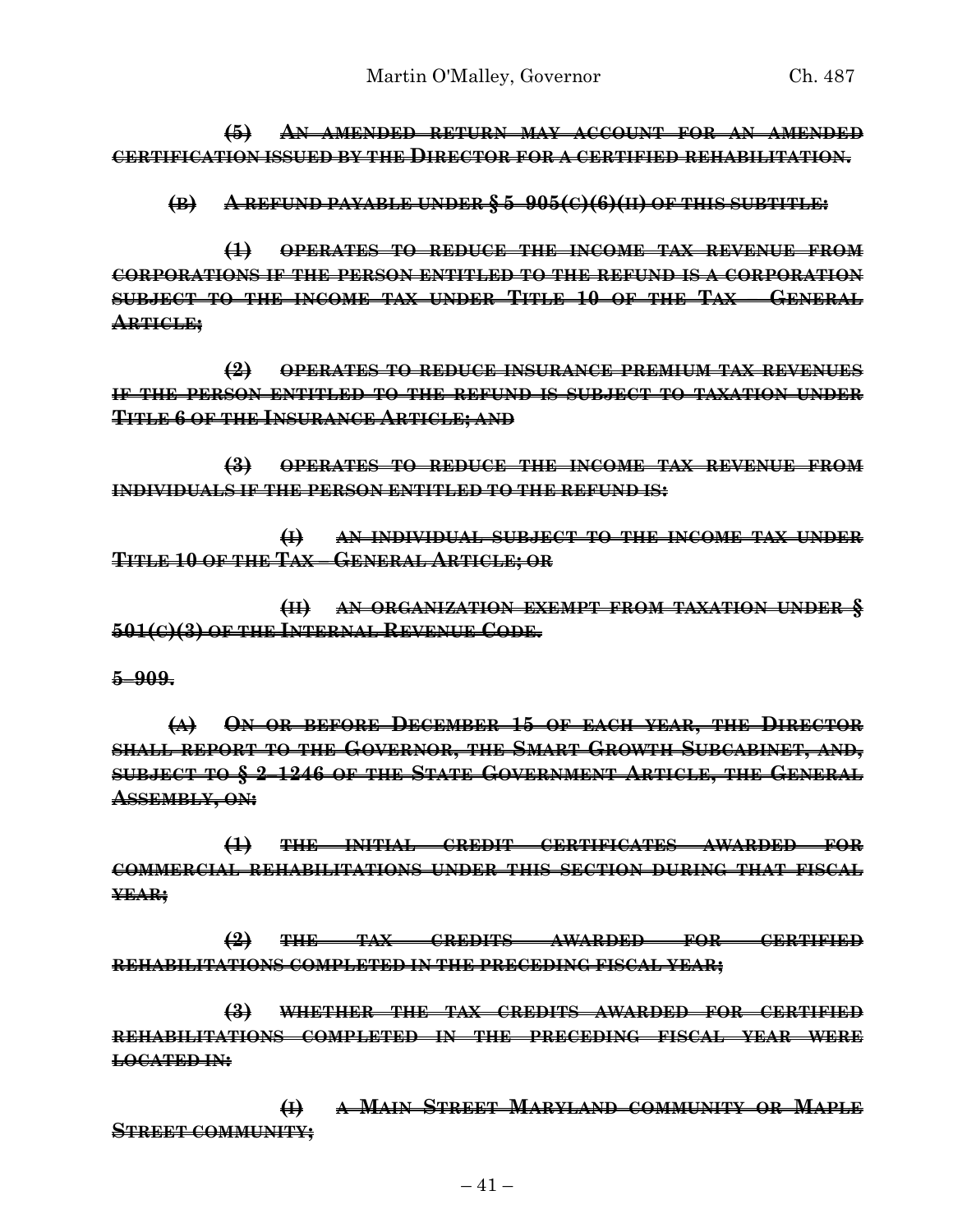**(5) AN AMENDED RETURN MAY ACCOUNT FOR AN AMENDED CERTIFICATION ISSUED BY THE DIRECTOR FOR A CERTIFIED REHABILITATION.**

**(B) A REFUND PAYABLE UNDER § 5–905(C)(6)(II) OF THIS SUBTITLE:**

**(1) OPERATES TO REDUCE THE INCOME TAX REVENUE FROM CORPORATIONS IF THE PERSON ENTITLED TO THE REFUND IS A CORPORATION SUBJECT TO THE INCOME TAX UNDER TITLE 10 OF THE TAX – GENERAL ARTICLE;**

**(2) OPERATES TO REDUCE INSURANCE PREMIUM TAX REVENUES IF THE PERSON ENTITLED TO THE REFUND IS SUBJECT TO TAXATION UNDER TITLE 6 OF THE INSURANCE ARTICLE; AND** 

**(3) OPERATES TO REDUCE THE INCOME TAX REVENUE FROM INDIVIDUALS IF THE PERSON ENTITLED TO THE REFUND IS:**

**(I) AN INDIVIDUAL SUBJECT TO THE INCOME TAX UNDER TITLE 10 OF THE TAX – GENERAL ARTICLE; OR** 

**(II) AN ORGANIZATION EXEMPT FROM TAXATION UNDER § 501(C)(3) OF THE INTERNAL REVENUE CODE.**

**5–909.**

**(A) ON OR BEFORE DECEMBER 15 OF EACH YEAR, THE DIRECTOR SHALL REPORT TO THE GOVERNOR, THE SMART GROWTH SUBCABINET, AND, SUBJECT TO § 2–1246 OF THE STATE GOVERNMENT ARTICLE, THE GENERAL ASSEMBLY, ON:**

**(1) THE INITIAL CREDIT CERTIFICATES AWARDED FOR COMMERCIAL REHABILITATIONS UNDER THIS SECTION DURING THAT FISCAL YEAR;**

**(2) THE TAX CREDITS AWARDED FOR CERTIFIED REHABILITATIONS COMPLETED IN THE PRECEDING FISCAL YEAR;**

**(3) WHETHER THE TAX CREDITS AWARDED FOR CERTIFIED REHABILITATIONS COMPLETED IN THE PRECEDING FISCAL YEAR WERE LOCATED IN:**

**(I) A MAIN STREET MARYLAND COMMUNITY OR MAPLE STREET COMMUNITY;**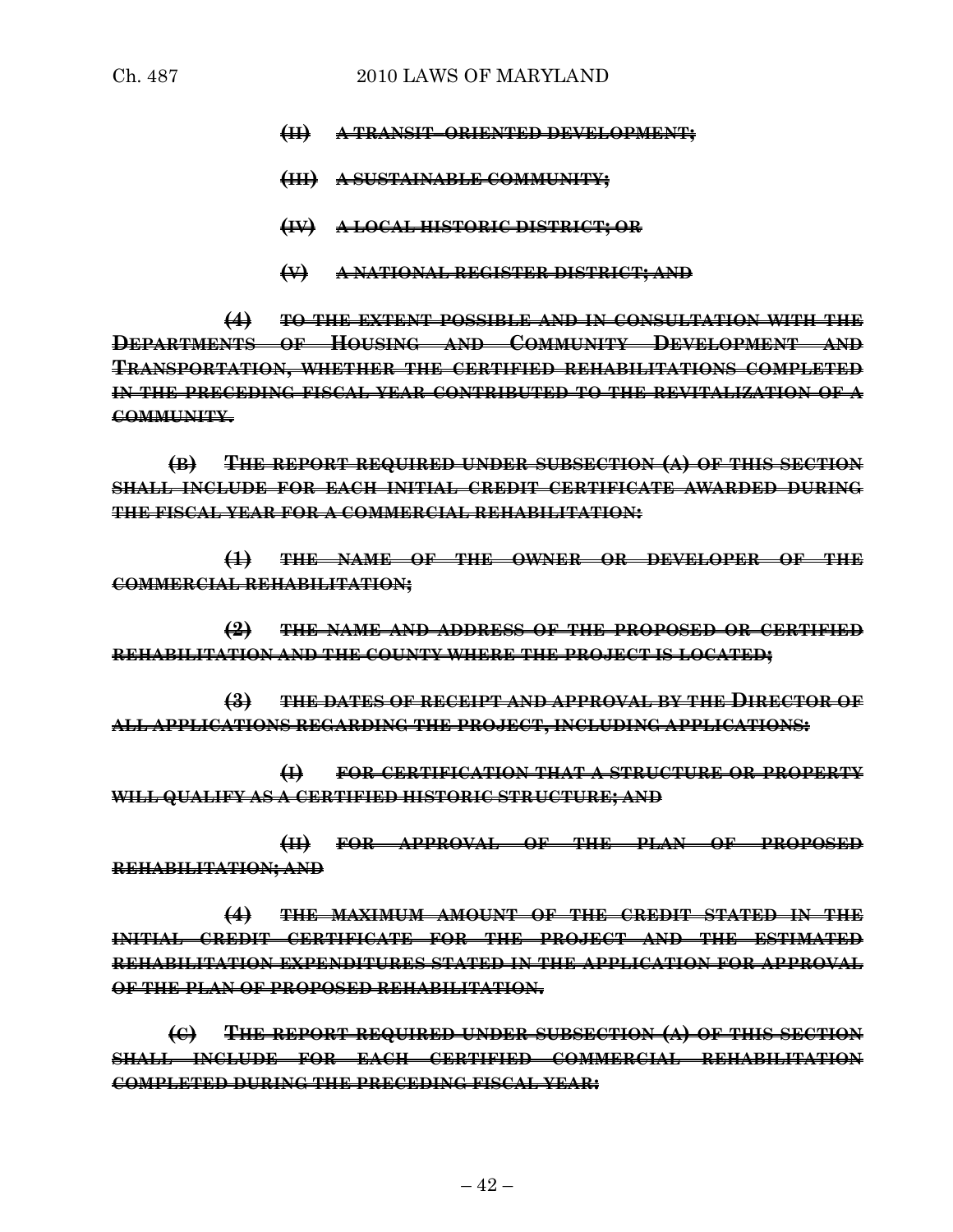- **(II) A TRANSIT–ORIENTED DEVELOPMENT;**
- **(III) A SUSTAINABLE COMMUNITY;**
- **(IV) A LOCAL HISTORIC DISTRICT; OR**
- **(V) A NATIONAL REGISTER DISTRICT; AND**

**(4) TO THE EXTENT POSSIBLE AND IN CONSULTATION WITH THE DEPARTMENTS OF HOUSING AND COMMUNITY DEVELOPMENT AND TRANSPORTATION, WHETHER THE CERTIFIED REHABILITATIONS COMPLETED IN THE PRECEDING FISCAL YEAR CONTRIBUTED TO THE REVITALIZATION OF A COMMUNITY.**

**(B) THE REPORT REQUIRED UNDER SUBSECTION (A) OF THIS SECTION SHALL INCLUDE FOR EACH INITIAL CREDIT CERTIFICATE AWARDED DURING THE FISCAL YEAR FOR A COMMERCIAL REHABILITATION:**

**(1) THE NAME OF THE OWNER OR DEVELOPER OF THE COMMERCIAL REHABILITATION;**

**(2) THE NAME AND ADDRESS OF THE PROPOSED OR CERTIFIED REHABILITATION AND THE COUNTY WHERE THE PROJECT IS LOCATED;**

**(3) THE DATES OF RECEIPT AND APPROVAL BY THE DIRECTOR OF ALL APPLICATIONS REGARDING THE PROJECT, INCLUDING APPLICATIONS:**

**(I) FOR CERTIFICATION THAT A STRUCTURE OR PROPERTY WILL QUALIFY AS A CERTIFIED HISTORIC STRUCTURE; AND** 

**(II) FOR APPROVAL OF THE PLAN OF PROPOSED REHABILITATION; AND** 

**(4) THE MAXIMUM AMOUNT OF THE CREDIT STATED IN THE INITIAL CREDIT CERTIFICATE FOR THE PROJECT AND THE ESTIMATED REHABILITATION EXPENDITURES STATED IN THE APPLICATION FOR APPROVAL OF THE PLAN OF PROPOSED REHABILITATION.**

**(C) THE REPORT REQUIRED UNDER SUBSECTION (A) OF THIS SECTION SHALL INCLUDE FOR EACH CERTIFIED COMMERCIAL REHABILITATION COMPLETED DURING THE PRECEDING FISCAL YEAR:**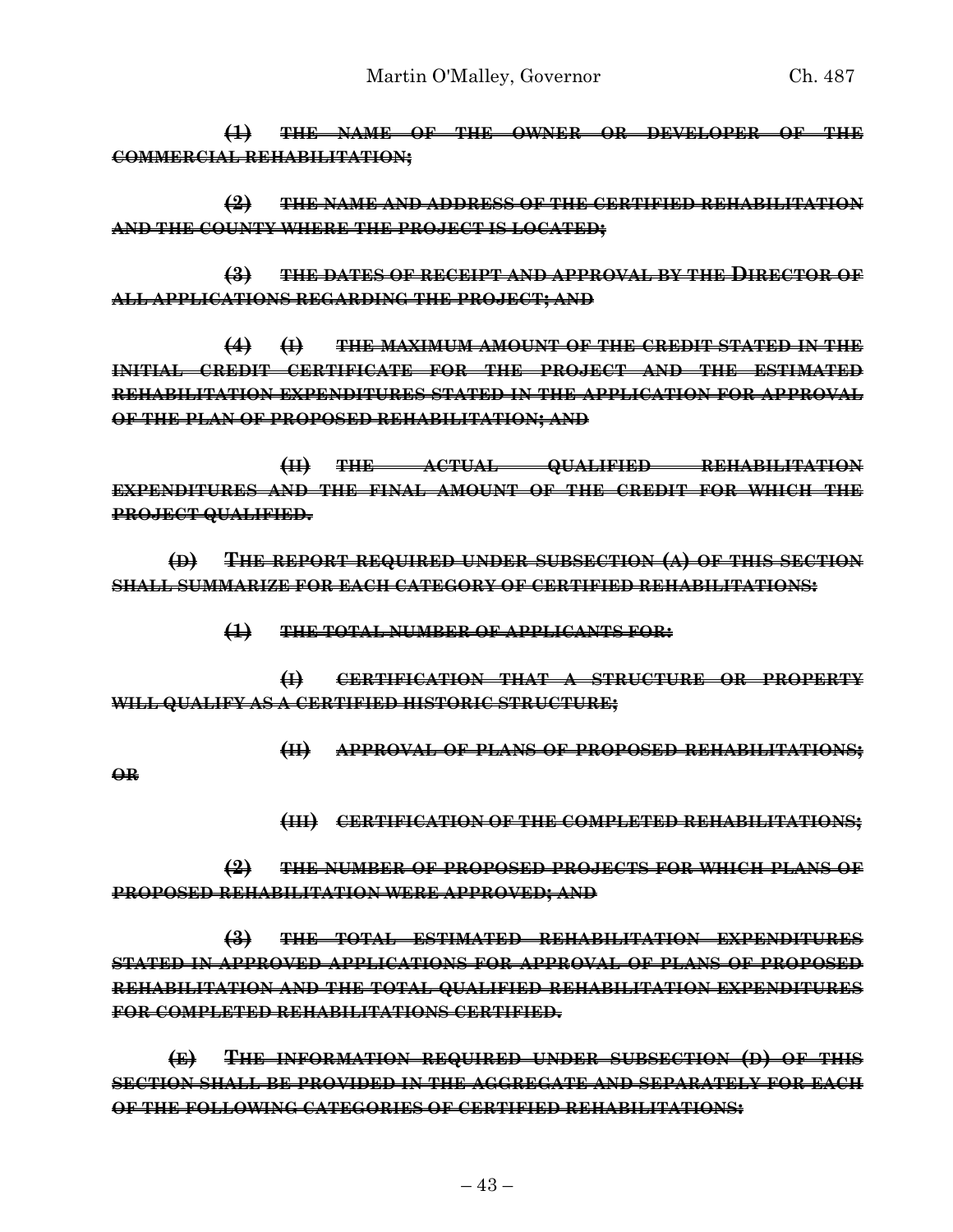**(1) THE NAME OF THE OWNER OR DEVELOPER OF THE COMMERCIAL REHABILITATION;**

**(2) THE NAME AND ADDRESS OF THE CERTIFIED REHABILITATION AND THE COUNTY WHERE THE PROJECT IS LOCATED;**

**(3) THE DATES OF RECEIPT AND APPROVAL BY THE DIRECTOR OF ALL APPLICATIONS REGARDING THE PROJECT; AND** 

**(4) (I) THE MAXIMUM AMOUNT OF THE CREDIT STATED IN THE INITIAL CREDIT CERTIFICATE FOR THE PROJECT AND THE ESTIMATED REHABILITATION EXPENDITURES STATED IN THE APPLICATION FOR APPROVAL OF THE PLAN OF PROPOSED REHABILITATION; AND** 

**(II) THE ACTUAL QUALIFIED REHABILITATION EXPENDITURES AND THE FINAL AMOUNT OF THE CREDIT FOR WHICH THE PROJECT QUALIFIED.**

**(D) THE REPORT REQUIRED UNDER SUBSECTION (A) OF THIS SECTION SHALL SUMMARIZE FOR EACH CATEGORY OF CERTIFIED REHABILITATIONS:**

**(1) THE TOTAL NUMBER OF APPLICANTS FOR:**

**(I) CERTIFICATION THAT A STRUCTURE OR PROPERTY WILL QUALIFY AS A CERTIFIED HISTORIC STRUCTURE;**

**(II) APPROVAL OF PLANS OF PROPOSED REHABILITATIONS;**

**OR** 

**(III) CERTIFICATION OF THE COMPLETED REHABILITATIONS;**

**(2) THE NUMBER OF PROPOSED PROJECTS FOR WHICH PLANS OF PROPOSED REHABILITATION WERE APPROVED; AND** 

**(3) THE TOTAL ESTIMATED REHABILITATION EXPENDITURES STATED IN APPROVED APPLICATIONS FOR APPROVAL OF PLANS OF PROPOSED REHABILITATION AND THE TOTAL QUALIFIED REHABILITATION EXPENDITURES FOR COMPLETED REHABILITATIONS CERTIFIED.**

**(E) THE INFORMATION REQUIRED UNDER SUBSECTION (D) OF THIS SECTION SHALL BE PROVIDED IN THE AGGREGATE AND SEPARATELY FOR EACH OF THE FOLLOWING CATEGORIES OF CERTIFIED REHABILITATIONS:**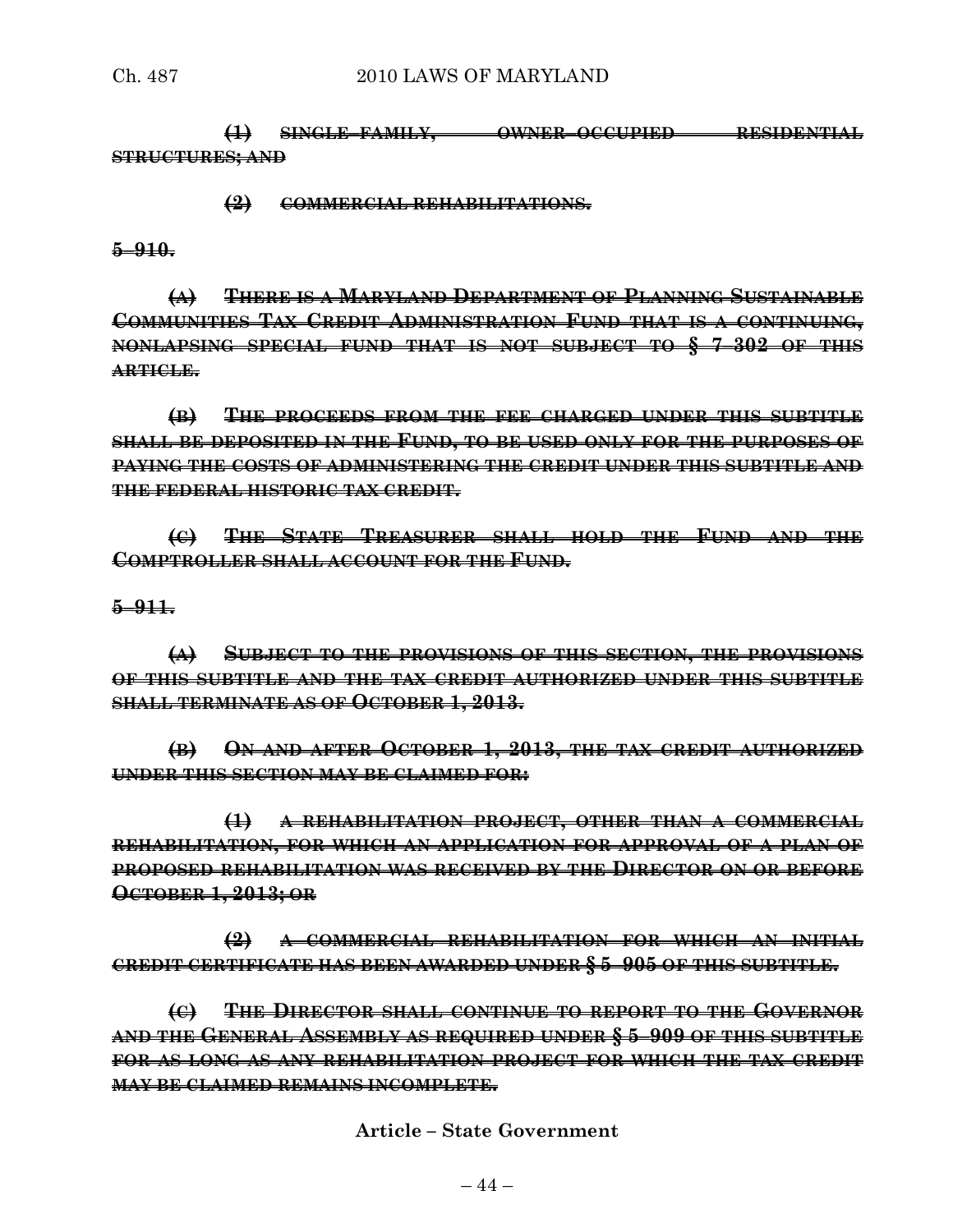**(1) SINGLE–FAMILY, OWNER–OCCUPIED RESIDENTIAL STRUCTURES; AND** 

**(2) COMMERCIAL REHABILITATIONS.**

**5–910.**

**(A) THERE IS A MARYLAND DEPARTMENT OF PLANNING SUSTAINABLE COMMUNITIES TAX CREDIT ADMINISTRATION FUND THAT IS A CONTINUING, NONLAPSING SPECIAL FUND THAT IS NOT SUBJECT TO § 7–302 OF THIS ARTICLE.**

**(B) THE PROCEEDS FROM THE FEE CHARGED UNDER THIS SUBTITLE SHALL BE DEPOSITED IN THE FUND, TO BE USED ONLY FOR THE PURPOSES OF PAYING THE COSTS OF ADMINISTERING THE CREDIT UNDER THIS SUBTITLE AND THE FEDERAL HISTORIC TAX CREDIT.**

**(C) THE STATE TREASURER SHALL HOLD THE FUND AND THE COMPTROLLER SHALL ACCOUNT FOR THE FUND.**

**5–911.**

**(A) SUBJECT TO THE PROVISIONS OF THIS SECTION, THE PROVISIONS OF THIS SUBTITLE AND THE TAX CREDIT AUTHORIZED UNDER THIS SUBTITLE SHALL TERMINATE AS OF OCTOBER 1, 2013.**

**(B) ON AND AFTER OCTOBER 1, 2013, THE TAX CREDIT AUTHORIZED UNDER THIS SECTION MAY BE CLAIMED FOR:**

**(1) A REHABILITATION PROJECT, OTHER THAN A COMMERCIAL REHABILITATION, FOR WHICH AN APPLICATION FOR APPROVAL OF A PLAN OF PROPOSED REHABILITATION WAS RECEIVED BY THE DIRECTOR ON OR BEFORE OCTOBER 1, 2013; OR** 

**(2) A COMMERCIAL REHABILITATION FOR WHICH AN INITIAL CREDIT CERTIFICATE HAS BEEN AWARDED UNDER § 5–905 OF THIS SUBTITLE.**

**(C) THE DIRECTOR SHALL CONTINUE TO REPORT TO THE GOVERNOR AND THE GENERAL ASSEMBLY AS REQUIRED UNDER § 5–909 OF THIS SUBTITLE FOR AS LONG AS ANY REHABILITATION PROJECT FOR WHICH THE TAX CREDIT MAY BE CLAIMED REMAINS INCOMPLETE.**

**Article – State Government**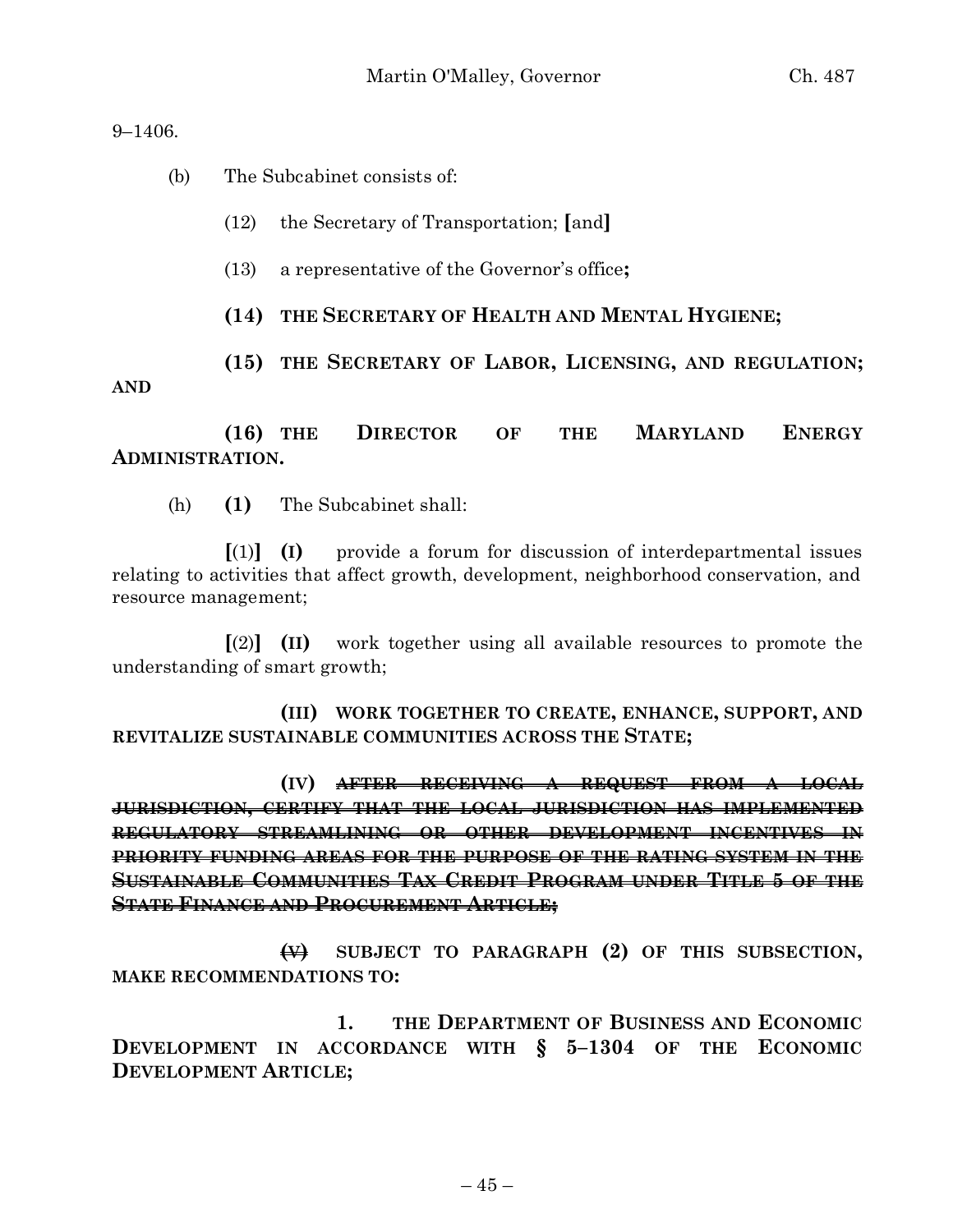9–1406.

(b) The Subcabinet consists of:

- (12) the Secretary of Transportation; **[**and**]**
- (13) a representative of the Governor's office**;**
- **(14) THE SECRETARY OF HEALTH AND MENTAL HYGIENE;**

**(15) THE SECRETARY OF LABOR, LICENSING, AND REGULATION; AND**

**(16) THE DIRECTOR OF THE MARYLAND ENERGY ADMINISTRATION.**

(h) **(1)** The Subcabinet shall:

**[**(1)**] (I)** provide a forum for discussion of interdepartmental issues relating to activities that affect growth, development, neighborhood conservation, and resource management;

**[**(2)**] (II)** work together using all available resources to promote the understanding of smart growth;

**(III) WORK TOGETHER TO CREATE, ENHANCE, SUPPORT, AND REVITALIZE SUSTAINABLE COMMUNITIES ACROSS THE STATE;**

**(IV) AFTER RECEIVING A REQUEST FROM A LOCAL JURISDICTION, CERTIFY THAT THE LOCAL JURISDICTION HAS IMPLEMENTED REGULATORY STREAMLINING OR OTHER DEVELOPMENT INCENTIVES IN PRIORITY FUNDING AREAS FOR THE PURPOSE OF THE RATING SYSTEM IN THE SUSTAINABLE COMMUNITIES TAX CREDIT PROGRAM UNDER TITLE 5 OF THE STATE FINANCE AND PROCUREMENT ARTICLE;**

**(V) SUBJECT TO PARAGRAPH (2) OF THIS SUBSECTION, MAKE RECOMMENDATIONS TO:**

**1. THE DEPARTMENT OF BUSINESS AND ECONOMIC DEVELOPMENT IN ACCORDANCE WITH § 5–1304 OF THE ECONOMIC DEVELOPMENT ARTICLE;**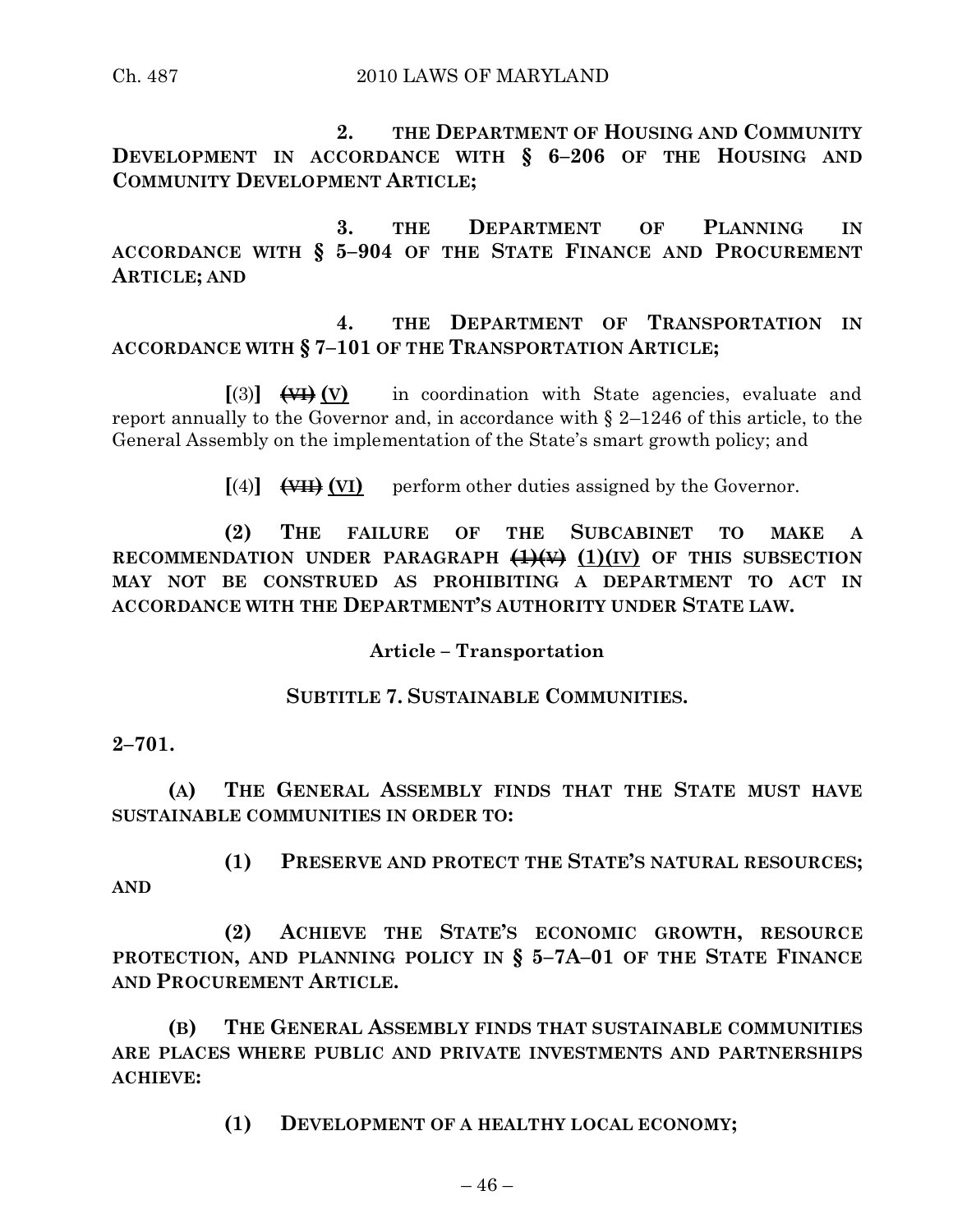Ch. 487 2010 LAWS OF MARYLAND

**2. THE DEPARTMENT OF HOUSING AND COMMUNITY DEVELOPMENT IN ACCORDANCE WITH § 6–206 OF THE HOUSING AND COMMUNITY DEVELOPMENT ARTICLE;**

**3. THE DEPARTMENT OF PLANNING IN ACCORDANCE WITH § 5–904 OF THE STATE FINANCE AND PROCUREMENT ARTICLE; AND**

# **4. THE DEPARTMENT OF TRANSPORTATION IN ACCORDANCE WITH § 7–101 OF THE TRANSPORTATION ARTICLE;**

**[**(3)**] (VI) (V)** in coordination with State agencies, evaluate and report annually to the Governor and, in accordance with § 2–1246 of this article, to the General Assembly on the implementation of the State's smart growth policy; and

 $[(4)]$   $(\overline{\text{VII}})$   $(\overline{\text{VI}})$  perform other duties assigned by the Governor.

**(2) THE FAILURE OF THE SUBCABINET TO MAKE A RECOMMENDATION UNDER PARAGRAPH (1)(V) (1)(IV) OF THIS SUBSECTION MAY NOT BE CONSTRUED AS PROHIBITING A DEPARTMENT TO ACT IN ACCORDANCE WITH THE DEPARTMENT'S AUTHORITY UNDER STATE LAW.**

**Article – Transportation**

# **SUBTITLE 7. SUSTAINABLE COMMUNITIES.**

**2–701.**

**(A) THE GENERAL ASSEMBLY FINDS THAT THE STATE MUST HAVE SUSTAINABLE COMMUNITIES IN ORDER TO:**

**(1) PRESERVE AND PROTECT THE STATE'S NATURAL RESOURCES; AND** 

**(2) ACHIEVE THE STATE'S ECONOMIC GROWTH, RESOURCE PROTECTION, AND PLANNING POLICY IN § 5–7A–01 OF THE STATE FINANCE AND PROCUREMENT ARTICLE.**

**(B) THE GENERAL ASSEMBLY FINDS THAT SUSTAINABLE COMMUNITIES ARE PLACES WHERE PUBLIC AND PRIVATE INVESTMENTS AND PARTNERSHIPS ACHIEVE:**

**(1) DEVELOPMENT OF A HEALTHY LOCAL ECONOMY;**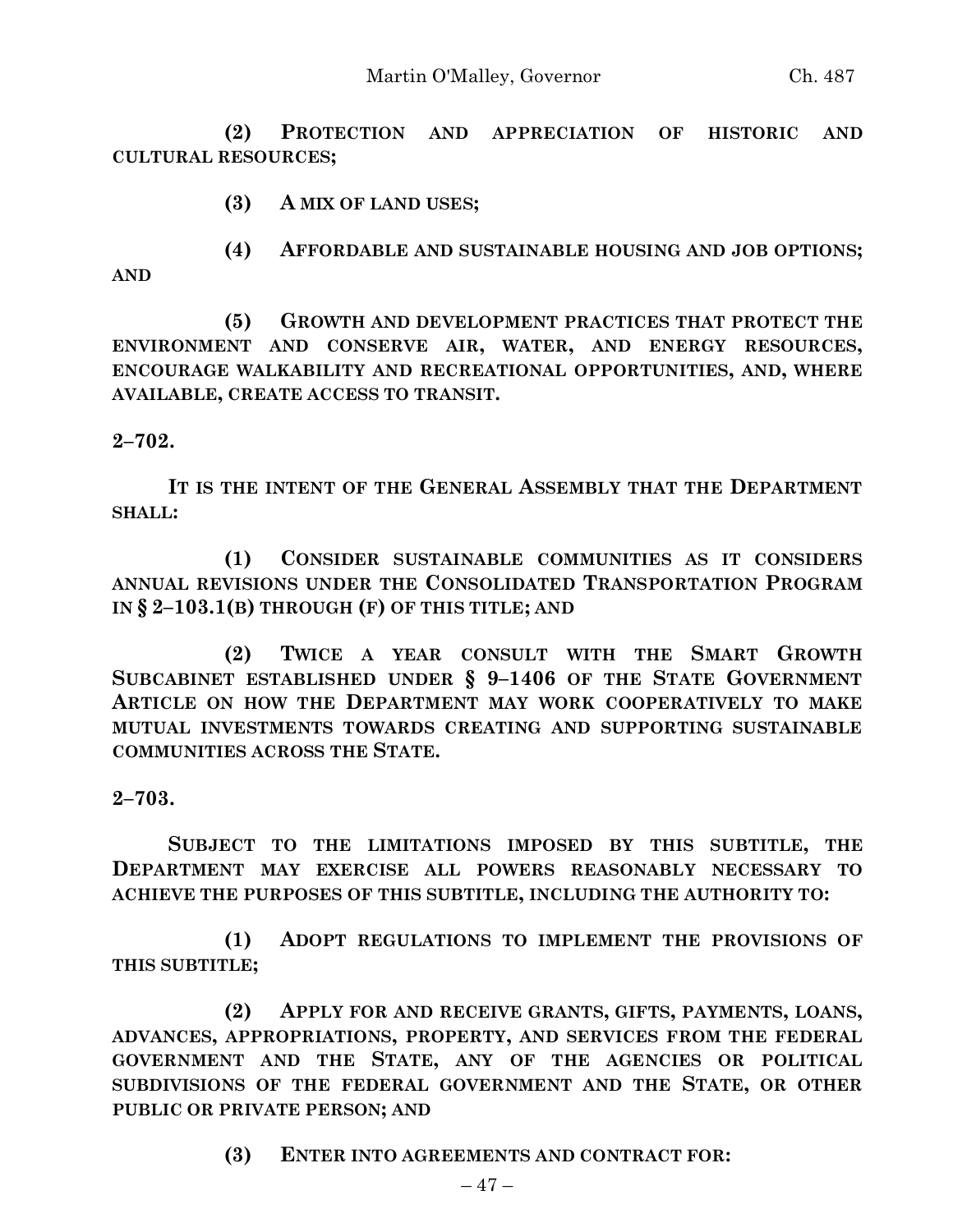**(2) PROTECTION AND APPRECIATION OF HISTORIC AND CULTURAL RESOURCES;**

**(3) A MIX OF LAND USES;**

**(4) AFFORDABLE AND SUSTAINABLE HOUSING AND JOB OPTIONS; AND**

**(5) GROWTH AND DEVELOPMENT PRACTICES THAT PROTECT THE ENVIRONMENT AND CONSERVE AIR, WATER, AND ENERGY RESOURCES, ENCOURAGE WALKABILITY AND RECREATIONAL OPPORTUNITIES, AND, WHERE AVAILABLE, CREATE ACCESS TO TRANSIT.**

### **2–702.**

**IT IS THE INTENT OF THE GENERAL ASSEMBLY THAT THE DEPARTMENT SHALL:**

**(1) CONSIDER SUSTAINABLE COMMUNITIES AS IT CONSIDERS ANNUAL REVISIONS UNDER THE CONSOLIDATED TRANSPORTATION PROGRAM IN § 2–103.1(B) THROUGH (F) OF THIS TITLE; AND**

**(2) TWICE A YEAR CONSULT WITH THE SMART GROWTH SUBCABINET ESTABLISHED UNDER § 9–1406 OF THE STATE GOVERNMENT ARTICLE ON HOW THE DEPARTMENT MAY WORK COOPERATIVELY TO MAKE MUTUAL INVESTMENTS TOWARDS CREATING AND SUPPORTING SUSTAINABLE COMMUNITIES ACROSS THE STATE.**

# **2–703.**

**SUBJECT TO THE LIMITATIONS IMPOSED BY THIS SUBTITLE, THE DEPARTMENT MAY EXERCISE ALL POWERS REASONABLY NECESSARY TO ACHIEVE THE PURPOSES OF THIS SUBTITLE, INCLUDING THE AUTHORITY TO:**

**(1) ADOPT REGULATIONS TO IMPLEMENT THE PROVISIONS OF THIS SUBTITLE;**

**(2) APPLY FOR AND RECEIVE GRANTS, GIFTS, PAYMENTS, LOANS, ADVANCES, APPROPRIATIONS, PROPERTY, AND SERVICES FROM THE FEDERAL GOVERNMENT AND THE STATE, ANY OF THE AGENCIES OR POLITICAL SUBDIVISIONS OF THE FEDERAL GOVERNMENT AND THE STATE, OR OTHER PUBLIC OR PRIVATE PERSON; AND**

**(3) ENTER INTO AGREEMENTS AND CONTRACT FOR:**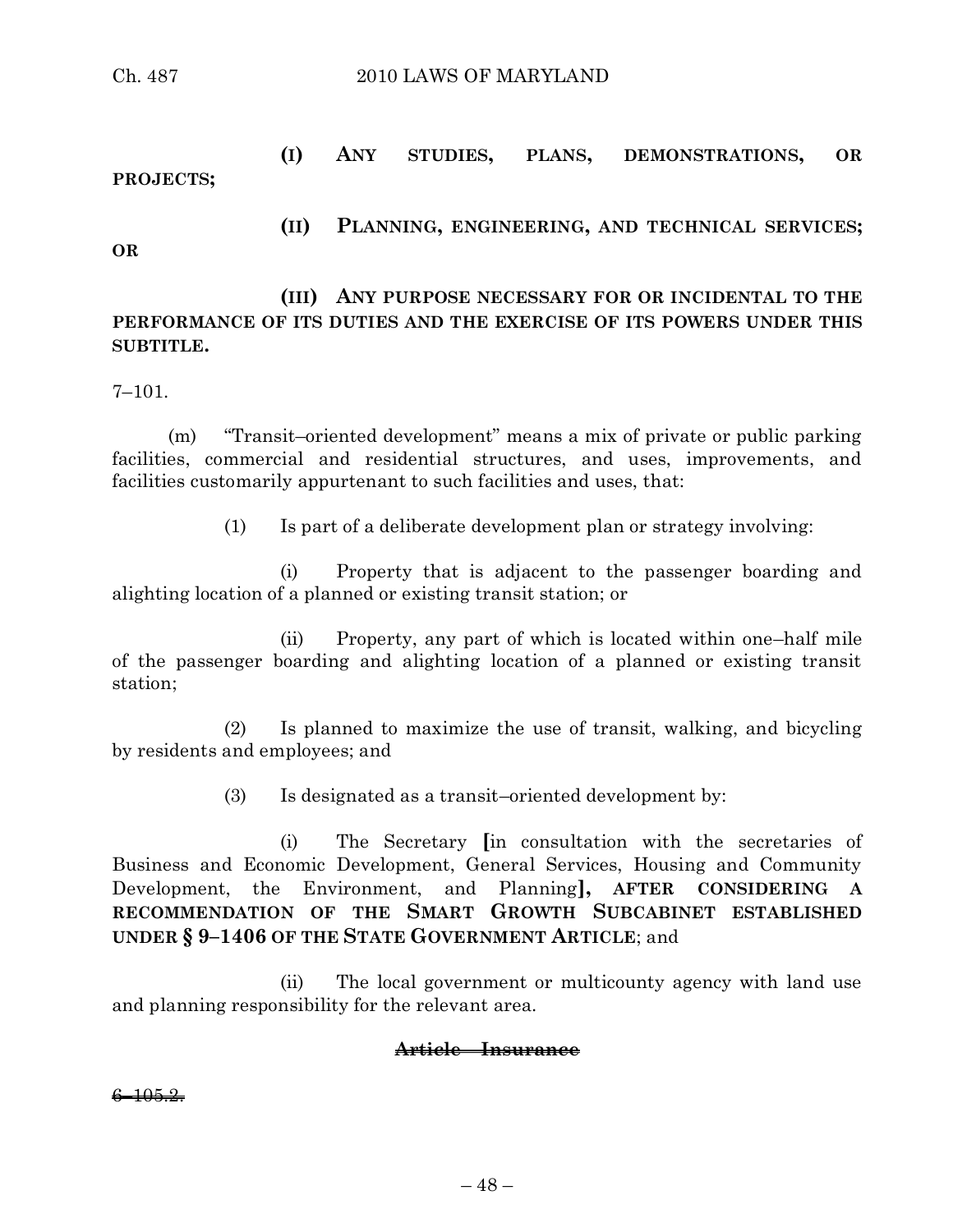# **(I) ANY STUDIES, PLANS, DEMONSTRATIONS, OR PROJECTS;**

**(II) PLANNING, ENGINEERING, AND TECHNICAL SERVICES;**

#### **OR**

**(III) ANY PURPOSE NECESSARY FOR OR INCIDENTAL TO THE PERFORMANCE OF ITS DUTIES AND THE EXERCISE OF ITS POWERS UNDER THIS SUBTITLE.**

7–101.

(m) "Transit–oriented development" means a mix of private or public parking facilities, commercial and residential structures, and uses, improvements, and facilities customarily appurtenant to such facilities and uses, that:

(1) Is part of a deliberate development plan or strategy involving:

(i) Property that is adjacent to the passenger boarding and alighting location of a planned or existing transit station; or

(ii) Property, any part of which is located within one–half mile of the passenger boarding and alighting location of a planned or existing transit station;

(2) Is planned to maximize the use of transit, walking, and bicycling by residents and employees; and

(3) Is designated as a transit–oriented development by:

(i) The Secretary **[**in consultation with the secretaries of Business and Economic Development, General Services, Housing and Community Development, the Environment, and Planning**], AFTER CONSIDERING A RECOMMENDATION OF THE SMART GROWTH SUBCABINET ESTABLISHED UNDER § 9–1406 OF THE STATE GOVERNMENT ARTICLE**; and

(ii) The local government or multicounty agency with land use and planning responsibility for the relevant area.

### **Article – Insurance**

 $6 - 105.2.$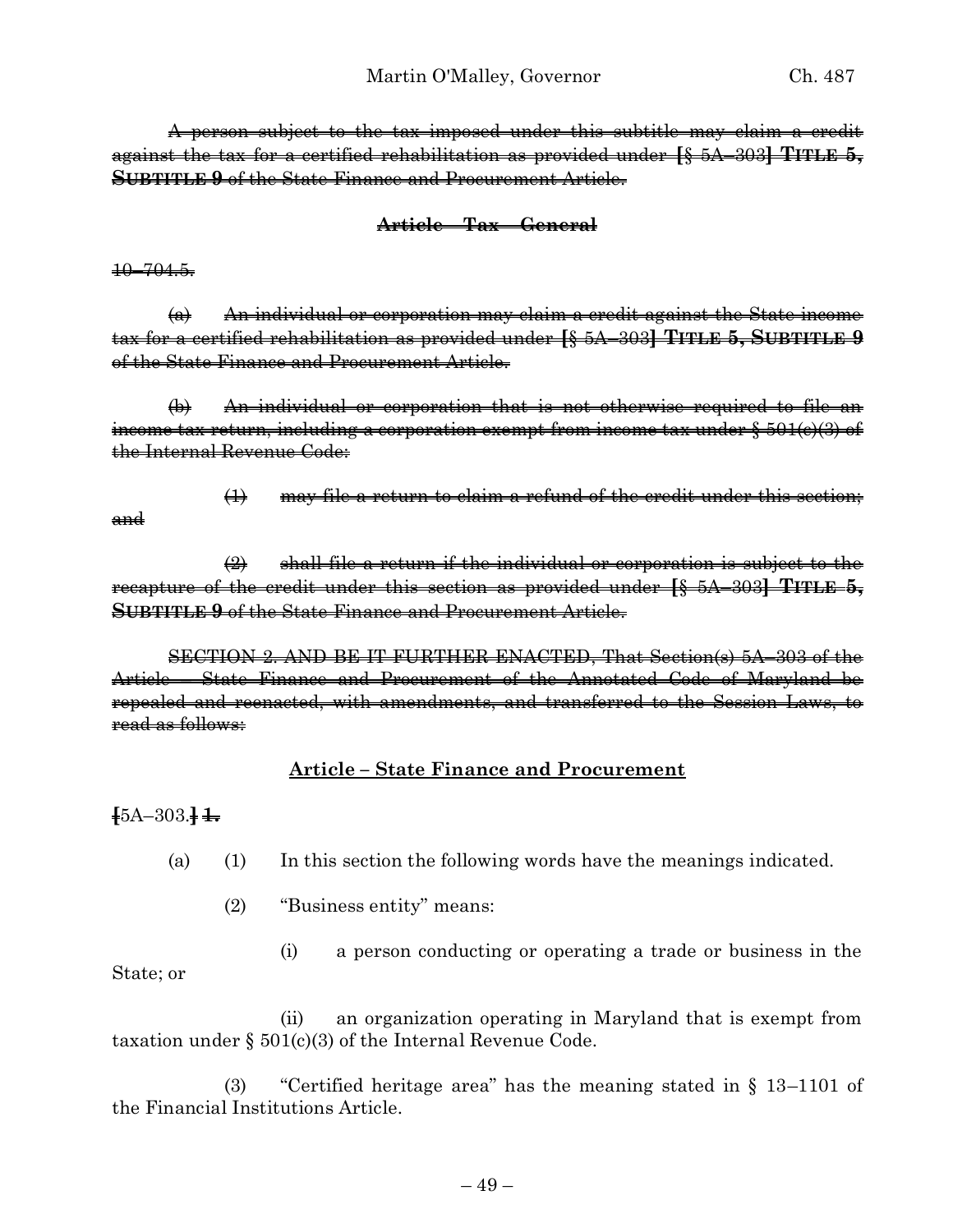A person subject to the tax imposed under this subtitle may claim a credit against the tax for a certified rehabilitation as provided under **[**§ 5A–303**] TITLE 5, SUBTITLE 9** of the State Finance and Procurement Article.

### **Article – Tax – General**

10–704.5.

(a) An individual or corporation may claim a credit against the State income tax for a certified rehabilitation as provided under **[**§ 5A–303**] TITLE 5, SUBTITLE 9** of the State Finance and Procurement Article.

(b) An individual or corporation that is not otherwise required to file an income tax return, including a corporation exempt from income tax under § 501(c)(3) of the Internal Revenue Code:

- and
- $(1)$  may file a return to claim a refund of the credit under this section;

 $\left( 2 \right)$  shall file a return if the individual or corporation is subject to the recapture of the credit under this section as provided under **[**§ 5A–303**] TITLE 5, SUBTITLE 9** of the State Finance and Procurement Article.

SECTION 2. AND BE IT FURTHER ENACTED, That Section(s) 5A–303 of the Article – State Finance and Procurement of the Annotated Code of Maryland be repealed and reenacted, with amendments, and transferred to the Session Laws, to read as follows:

### **Article – State Finance and Procurement**

**[**5A–303.**] 1.**

(a) (1) In this section the following words have the meanings indicated.

(2) "Business entity" means:

(i) a person conducting or operating a trade or business in the State; or

(ii) an organization operating in Maryland that is exempt from taxation under  $\S$  501(c)(3) of the Internal Revenue Code.

(3) "Certified heritage area" has the meaning stated in § 13–1101 of the Financial Institutions Article.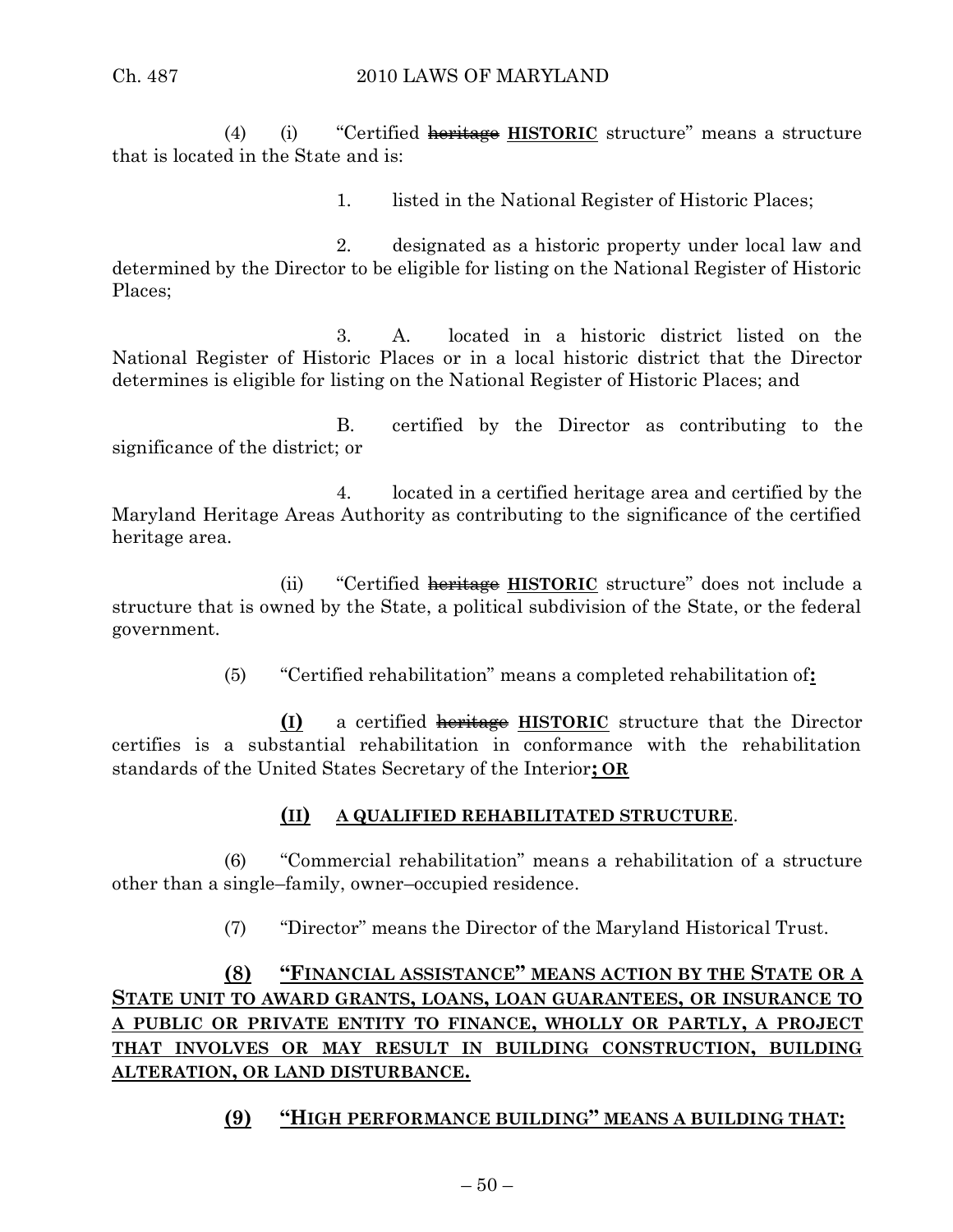(4) (i) "Certified heritage **HISTORIC** structure" means a structure that is located in the State and is:

1. listed in the National Register of Historic Places;

2. designated as a historic property under local law and determined by the Director to be eligible for listing on the National Register of Historic Places;

3. A. located in a historic district listed on the National Register of Historic Places or in a local historic district that the Director determines is eligible for listing on the National Register of Historic Places; and

B. certified by the Director as contributing to the significance of the district; or

4. located in a certified heritage area and certified by the Maryland Heritage Areas Authority as contributing to the significance of the certified heritage area.

(ii) "Certified heritage **HISTORIC** structure" does not include a structure that is owned by the State, a political subdivision of the State, or the federal government.

(5) "Certified rehabilitation" means a completed rehabilitation of**:**

**(I)** a certified heritage **HISTORIC** structure that the Director certifies is a substantial rehabilitation in conformance with the rehabilitation standards of the United States Secretary of the Interior**; OR**

# **(II) A QUALIFIED REHABILITATED STRUCTURE**.

(6) "Commercial rehabilitation" means a rehabilitation of a structure other than a single–family, owner–occupied residence.

(7) "Director" means the Director of the Maryland Historical Trust.

# **(8) "FINANCIAL ASSISTANCE" MEANS ACTION BY THE STATE OR A STATE UNIT TO AWARD GRANTS, LOANS, LOAN GUARANTEES, OR INSURANCE TO A PUBLIC OR PRIVATE ENTITY TO FINANCE, WHOLLY OR PARTLY, A PROJECT THAT INVOLVES OR MAY RESULT IN BUILDING CONSTRUCTION, BUILDING ALTERATION, OR LAND DISTURBANCE.**

# **(9) "HIGH PERFORMANCE BUILDING" MEANS A BUILDING THAT:**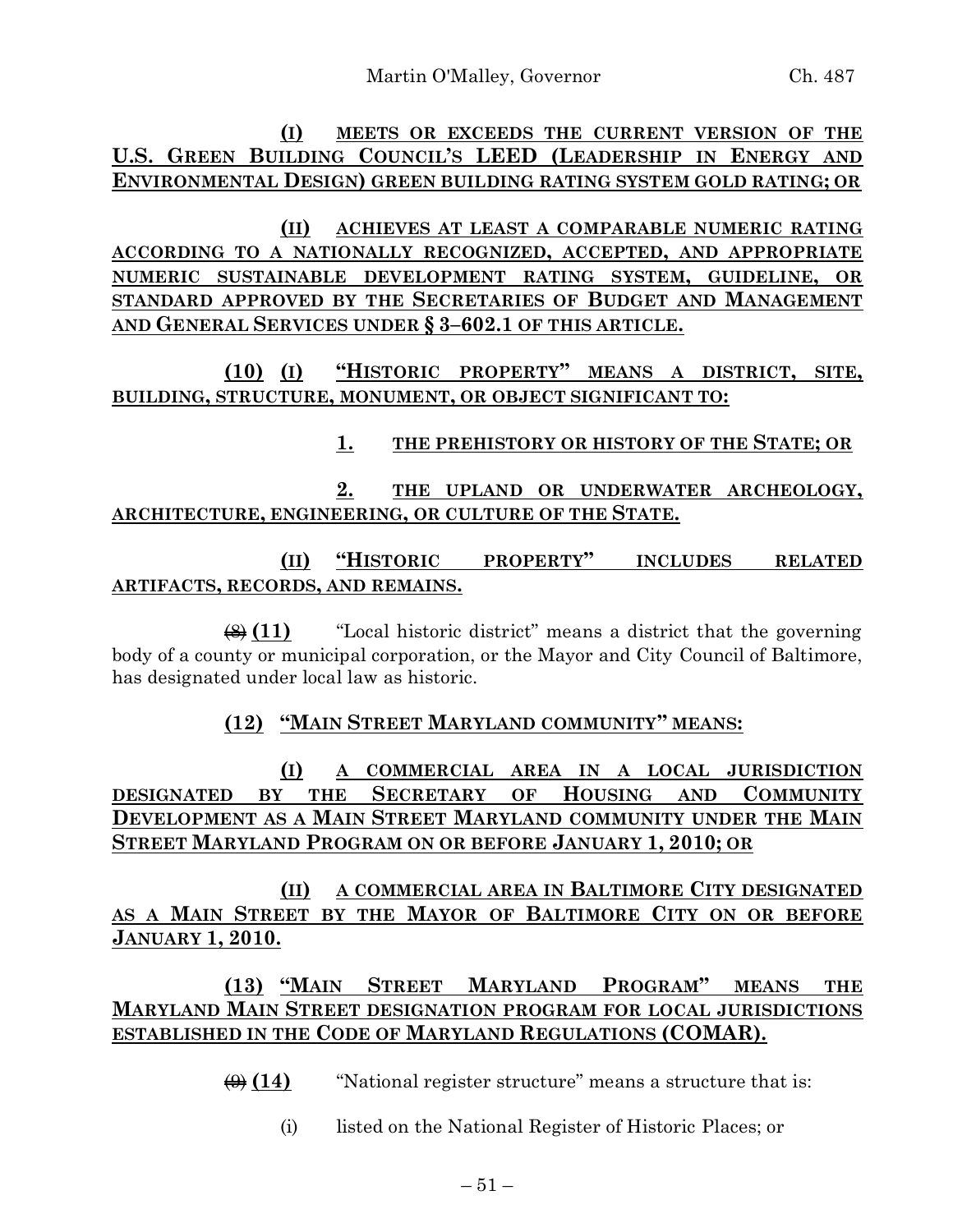**(I) MEETS OR EXCEEDS THE CURRENT VERSION OF THE U.S. GREEN BUILDING COUNCIL'S LEED (LEADERSHIP IN ENERGY AND ENVIRONMENTAL DESIGN) GREEN BUILDING RATING SYSTEM GOLD RATING; OR**

**(II) ACHIEVES AT LEAST A COMPARABLE NUMERIC RATING ACCORDING TO A NATIONALLY RECOGNIZED, ACCEPTED, AND APPROPRIATE NUMERIC SUSTAINABLE DEVELOPMENT RATING SYSTEM, GUIDELINE, OR STANDARD APPROVED BY THE SECRETARIES OF BUDGET AND MANAGEMENT AND GENERAL SERVICES UNDER § 3–602.1 OF THIS ARTICLE.**

**(10) (I) "HISTORIC PROPERTY" MEANS A DISTRICT, SITE, BUILDING, STRUCTURE, MONUMENT, OR OBJECT SIGNIFICANT TO:**

# **1. THE PREHISTORY OR HISTORY OF THE STATE; OR**

**2. THE UPLAND OR UNDERWATER ARCHEOLOGY, ARCHITECTURE, ENGINEERING, OR CULTURE OF THE STATE.**

**(II) "HISTORIC PROPERTY" INCLUDES RELATED ARTIFACTS, RECORDS, AND REMAINS.**

(8) **(11)** "Local historic district" means a district that the governing body of a county or municipal corporation, or the Mayor and City Council of Baltimore, has designated under local law as historic.

**(12) "MAIN STREET MARYLAND COMMUNITY" MEANS:**

**(I) A COMMERCIAL AREA IN A LOCAL JURISDICTION DESIGNATED BY THE SECRETARY OF HOUSING AND COMMUNITY DEVELOPMENT AS A MAIN STREET MARYLAND COMMUNITY UNDER THE MAIN STREET MARYLAND PROGRAM ON OR BEFORE JANUARY 1, 2010; OR**

**(II) A COMMERCIAL AREA IN BALTIMORE CITY DESIGNATED AS A MAIN STREET BY THE MAYOR OF BALTIMORE CITY ON OR BEFORE JANUARY 1, 2010.**

**(13) "MAIN STREET MARYLAND PROGRAM" MEANS THE MARYLAND MAIN STREET DESIGNATION PROGRAM FOR LOCAL JURISDICTIONS ESTABLISHED IN THE CODE OF MARYLAND REGULATIONS (COMAR).**

 $\left(\frac{\Theta}{\Theta}\right)$  (14) "National register structure" means a structure that is:

(i) listed on the National Register of Historic Places; or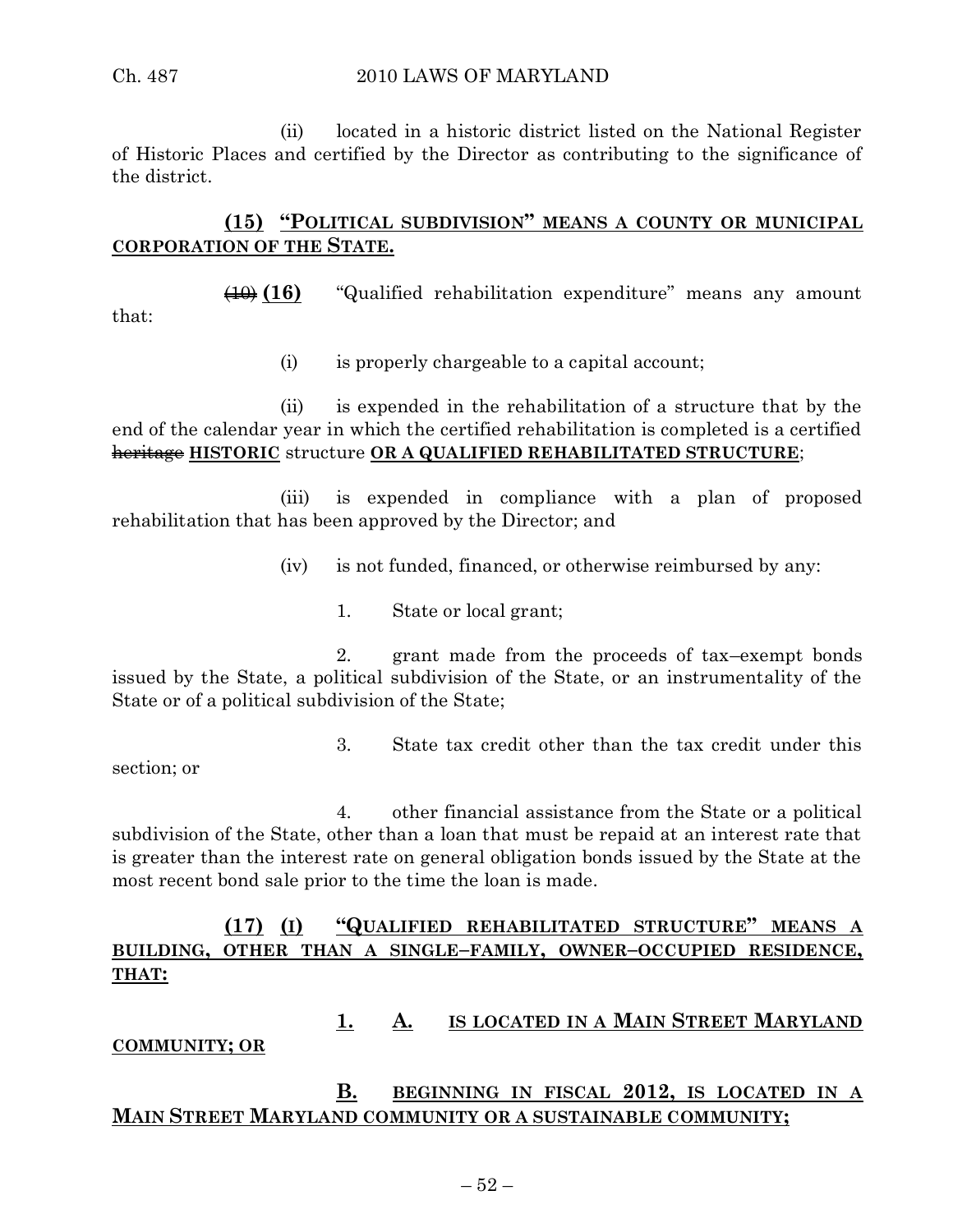#### Ch. 487 2010 LAWS OF MARYLAND

(ii) located in a historic district listed on the National Register of Historic Places and certified by the Director as contributing to the significance of the district.

# **(15) "POLITICAL SUBDIVISION" MEANS A COUNTY OR MUNICIPAL CORPORATION OF THE STATE.**

(10) **(16)** "Qualified rehabilitation expenditure" means any amount

(i) is properly chargeable to a capital account;

(ii) is expended in the rehabilitation of a structure that by the end of the calendar year in which the certified rehabilitation is completed is a certified heritage **HISTORIC** structure **OR A QUALIFIED REHABILITATED STRUCTURE**;

(iii) is expended in compliance with a plan of proposed rehabilitation that has been approved by the Director; and

- (iv) is not funded, financed, or otherwise reimbursed by any:
	- 1. State or local grant;

2. grant made from the proceeds of tax–exempt bonds issued by the State, a political subdivision of the State, or an instrumentality of the State or of a political subdivision of the State;

- section; or
- 3. State tax credit other than the tax credit under this

4. other financial assistance from the State or a political subdivision of the State, other than a loan that must be repaid at an interest rate that is greater than the interest rate on general obligation bonds issued by the State at the most recent bond sale prior to the time the loan is made.

# **(17) (I) "QUALIFIED REHABILITATED STRUCTURE" MEANS A BUILDING, OTHER THAN A SINGLE–FAMILY, OWNER–OCCUPIED RESIDENCE, THAT:**

# **1. A. IS LOCATED IN A MAIN STREET MARYLAND**

### **COMMUNITY; OR**

# **B. BEGINNING IN FISCAL 2012, IS LOCATED IN A MAIN STREET MARYLAND COMMUNITY OR A SUSTAINABLE COMMUNITY;**

that: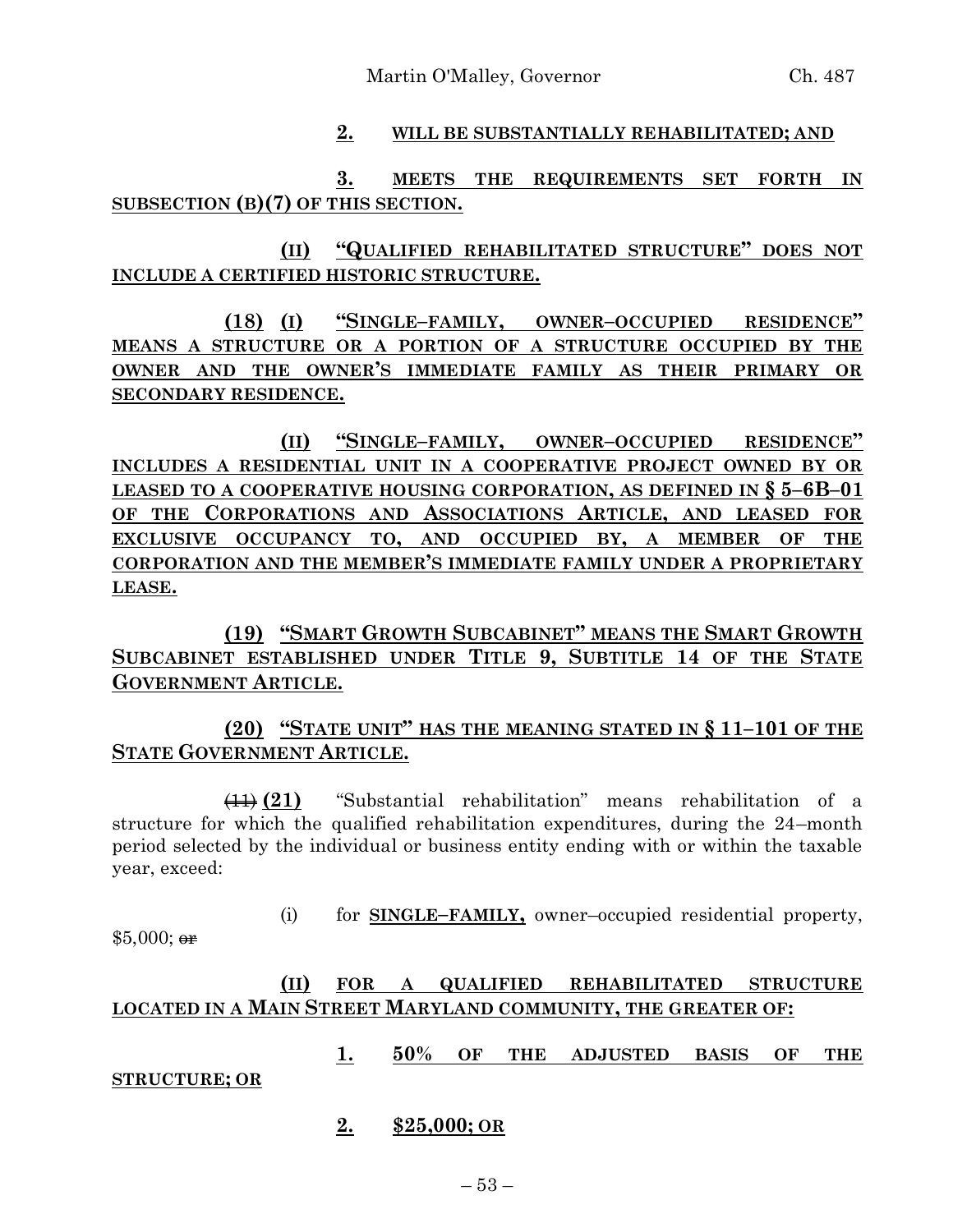## **2. WILL BE SUBSTANTIALLY REHABILITATED; AND**

# **3. MEETS THE REQUIREMENTS SET FORTH IN SUBSECTION (B)(7) OF THIS SECTION.**

# **(II) "QUALIFIED REHABILITATED STRUCTURE" DOES NOT INCLUDE A CERTIFIED HISTORIC STRUCTURE.**

**(18) (I) "SINGLE–FAMILY, OWNER–OCCUPIED RESIDENCE" MEANS A STRUCTURE OR A PORTION OF A STRUCTURE OCCUPIED BY THE OWNER AND THE OWNER'S IMMEDIATE FAMILY AS THEIR PRIMARY OR SECONDARY RESIDENCE.**

**(II) "SINGLE–FAMILY, OWNER–OCCUPIED RESIDENCE" INCLUDES A RESIDENTIAL UNIT IN A COOPERATIVE PROJECT OWNED BY OR LEASED TO A COOPERATIVE HOUSING CORPORATION, AS DEFINED IN § 5–6B–01 OF THE CORPORATIONS AND ASSOCIATIONS ARTICLE, AND LEASED FOR EXCLUSIVE OCCUPANCY TO, AND OCCUPIED BY, A MEMBER OF THE CORPORATION AND THE MEMBER'S IMMEDIATE FAMILY UNDER A PROPRIETARY LEASE.**

**(19) "SMART GROWTH SUBCABINET" MEANS THE SMART GROWTH SUBCABINET ESTABLISHED UNDER TITLE 9, SUBTITLE 14 OF THE STATE GOVERNMENT ARTICLE.**

# **(20) "STATE UNIT" HAS THE MEANING STATED IN § 11–101 OF THE STATE GOVERNMENT ARTICLE.**

(11) **(21)** "Substantial rehabilitation" means rehabilitation of a structure for which the qualified rehabilitation expenditures, during the 24–month period selected by the individual or business entity ending with or within the taxable year, exceed:

(i) for **SINGLE–FAMILY,** owner–occupied residential property,

 $$5,000;$  or

# **(II) FOR A QUALIFIED REHABILITATED STRUCTURE LOCATED IN A MAIN STREET MARYLAND COMMUNITY, THE GREATER OF:**

**1. 50% OF THE ADJUSTED BASIS OF THE** 

#### **STRUCTURE; OR**

**2. \$25,000; OR**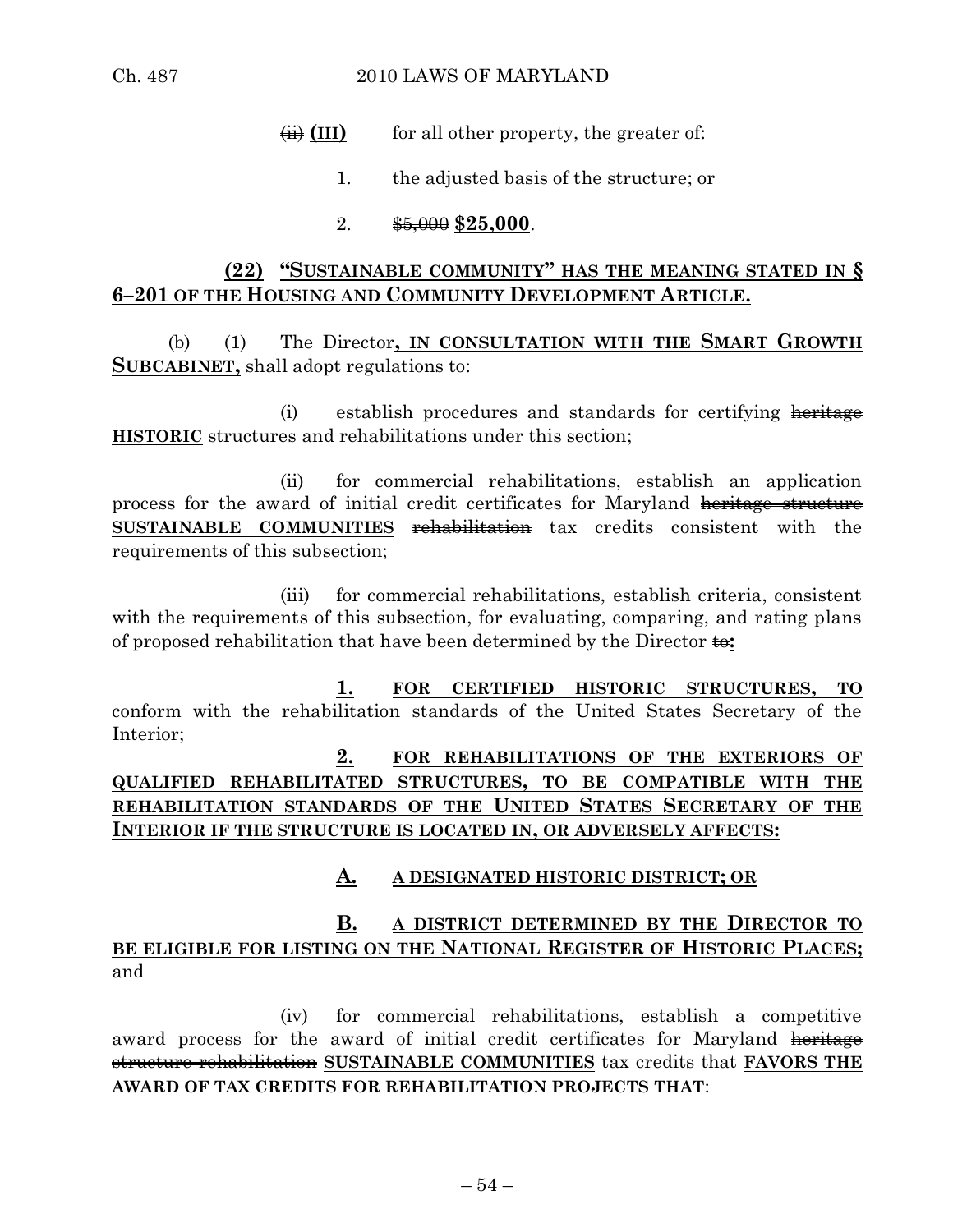$\overline{f}$  (III) for all other property, the greater of:

- 1. the adjusted basis of the structure; or
- 2. \$5,000 **\$25,000**.

# **(22) "SUSTAINABLE COMMUNITY" HAS THE MEANING STATED IN § 6–201 OF THE HOUSING AND COMMUNITY DEVELOPMENT ARTICLE.**

(b) (1) The Director**, IN CONSULTATION WITH THE SMART GROWTH SUBCABINET,** shall adopt regulations to:

(i) establish procedures and standards for certifying heritage **HISTORIC** structures and rehabilitations under this section;

(ii) for commercial rehabilitations, establish an application process for the award of initial credit certificates for Maryland heritage structure **SUSTAINABLE COMMUNITIES** rehabilitation tax credits consistent with the requirements of this subsection;

(iii) for commercial rehabilitations, establish criteria, consistent with the requirements of this subsection, for evaluating, comparing, and rating plans of proposed rehabilitation that have been determined by the Director to**:**

**1. FOR CERTIFIED HISTORIC STRUCTURES, TO** conform with the rehabilitation standards of the United States Secretary of the Interior;

# **2. FOR REHABILITATIONS OF THE EXTERIORS OF QUALIFIED REHABILITATED STRUCTURES, TO BE COMPATIBLE WITH THE REHABILITATION STANDARDS OF THE UNITED STATES SECRETARY OF THE INTERIOR IF THE STRUCTURE IS LOCATED IN, OR ADVERSELY AFFECTS:**

# **A. A DESIGNATED HISTORIC DISTRICT; OR**

# **B. A DISTRICT DETERMINED BY THE DIRECTOR TO BE ELIGIBLE FOR LISTING ON THE NATIONAL REGISTER OF HISTORIC PLACES;** and

(iv) for commercial rehabilitations, establish a competitive award process for the award of initial credit certificates for Maryland heritage structure rehabilitation **SUSTAINABLE COMMUNITIES** tax credits that **FAVORS THE AWARD OF TAX CREDITS FOR REHABILITATION PROJECTS THAT**: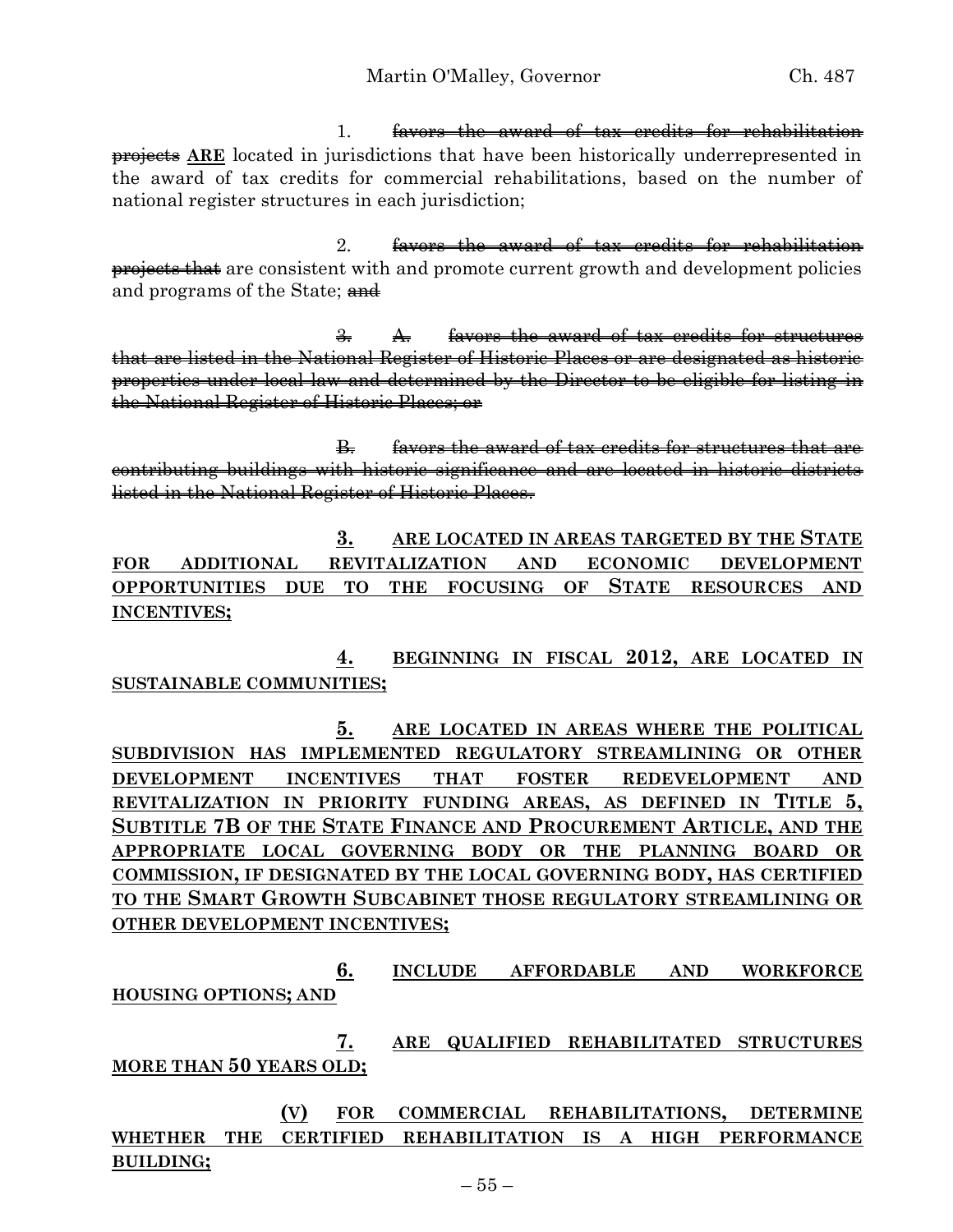1. favors the award of tax credits for rehabilitation **projects ARE** located in jurisdictions that have been historically underrepresented in the award of tax credits for commercial rehabilitations, based on the number of national register structures in each jurisdiction;

2. favors the award of tax credits for rehabilitation projects that are consistent with and promote current growth and development policies and programs of the State; and

3. A. favors the award of tax credits for structures that are listed in the National Register of Historic Places or are designated as historic properties under local law and determined by the Director to be eligible for listing in the National Register of Historic Places; or

B. favors the award of tax credits for structures that are contributing buildings with historic significance and are located in historic districts listed in the National Register of Historic Places.

**3. ARE LOCATED IN AREAS TARGETED BY THE STATE FOR ADDITIONAL REVITALIZATION AND ECONOMIC DEVELOPMENT OPPORTUNITIES DUE TO THE FOCUSING OF STATE RESOURCES AND INCENTIVES;**

**4. BEGINNING IN FISCAL 2012, ARE LOCATED IN SUSTAINABLE COMMUNITIES;**

**5. ARE LOCATED IN AREAS WHERE THE POLITICAL SUBDIVISION HAS IMPLEMENTED REGULATORY STREAMLINING OR OTHER DEVELOPMENT INCENTIVES THAT FOSTER REDEVELOPMENT AND REVITALIZATION IN PRIORITY FUNDING AREAS, AS DEFINED IN TITLE 5, SUBTITLE 7B OF THE STATE FINANCE AND PROCUREMENT ARTICLE, AND THE APPROPRIATE LOCAL GOVERNING BODY OR THE PLANNING BOARD OR COMMISSION, IF DESIGNATED BY THE LOCAL GOVERNING BODY, HAS CERTIFIED TO THE SMART GROWTH SUBCABINET THOSE REGULATORY STREAMLINING OR OTHER DEVELOPMENT INCENTIVES;**

**6. INCLUDE AFFORDABLE AND WORKFORCE HOUSING OPTIONS; AND**

**7. ARE QUALIFIED REHABILITATED STRUCTURES MORE THAN 50 YEARS OLD;**

**(V) FOR COMMERCIAL REHABILITATIONS, DETERMINE WHETHER THE CERTIFIED REHABILITATION IS A HIGH PERFORMANCE BUILDING;**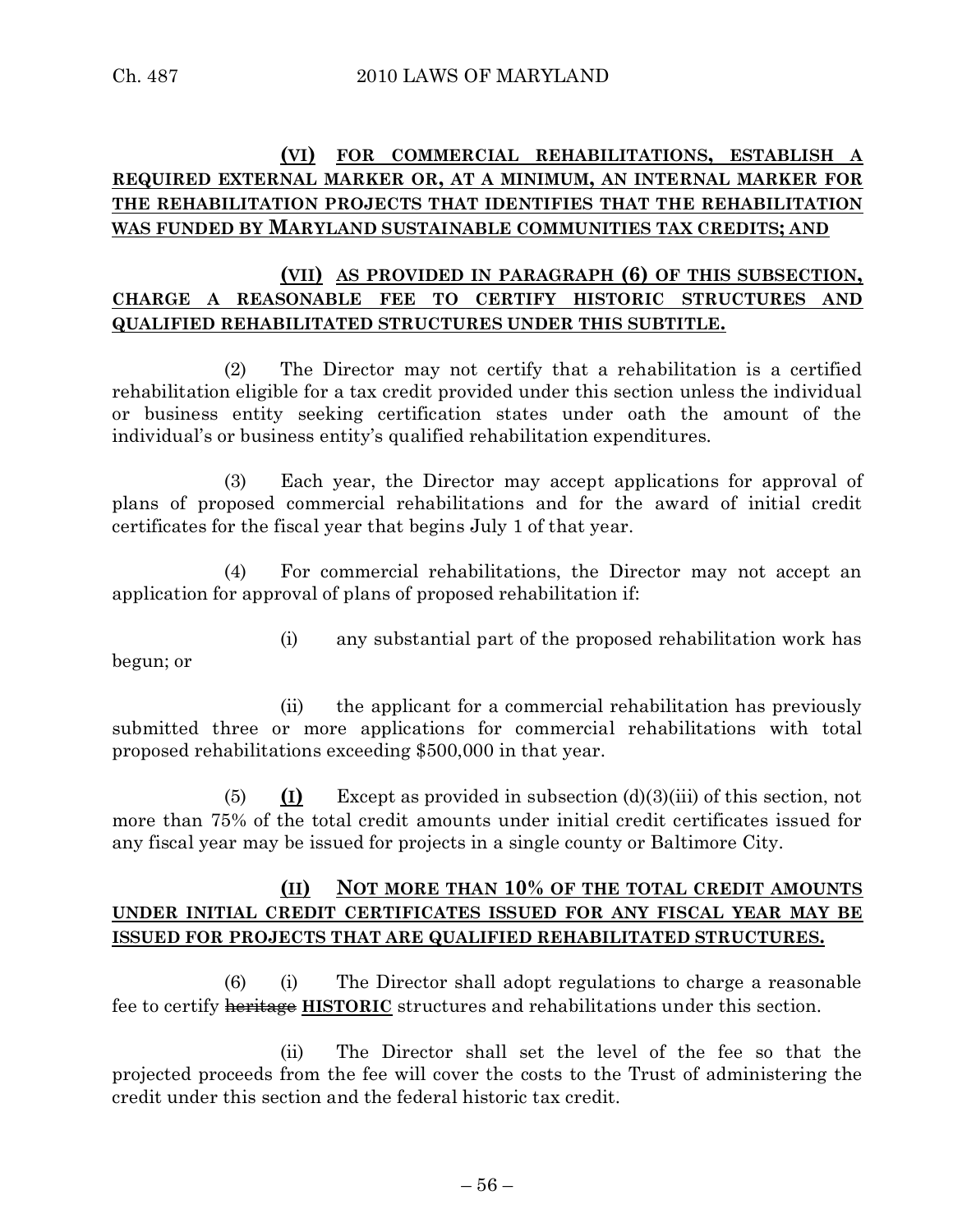# **(VI) FOR COMMERCIAL REHABILITATIONS, ESTABLISH A REQUIRED EXTERNAL MARKER OR, AT A MINIMUM, AN INTERNAL MARKER FOR THE REHABILITATION PROJECTS THAT IDENTIFIES THAT THE REHABILITATION WAS FUNDED BY MARYLAND SUSTAINABLE COMMUNITIES TAX CREDITS; AND**

### **(VII) AS PROVIDED IN PARAGRAPH (6) OF THIS SUBSECTION, CHARGE A REASONABLE FEE TO CERTIFY HISTORIC STRUCTURES AND QUALIFIED REHABILITATED STRUCTURES UNDER THIS SUBTITLE.**

(2) The Director may not certify that a rehabilitation is a certified rehabilitation eligible for a tax credit provided under this section unless the individual or business entity seeking certification states under oath the amount of the individual's or business entity's qualified rehabilitation expenditures.

(3) Each year, the Director may accept applications for approval of plans of proposed commercial rehabilitations and for the award of initial credit certificates for the fiscal year that begins July 1 of that year.

(4) For commercial rehabilitations, the Director may not accept an application for approval of plans of proposed rehabilitation if:

begun; or

(i) any substantial part of the proposed rehabilitation work has

(ii) the applicant for a commercial rehabilitation has previously submitted three or more applications for commercial rehabilitations with total proposed rehabilitations exceeding \$500,000 in that year.

(5) **(I)** Except as provided in subsection (d)(3)(iii) of this section, not more than 75% of the total credit amounts under initial credit certificates issued for any fiscal year may be issued for projects in a single county or Baltimore City.

# **(II) NOT MORE THAN 10% OF THE TOTAL CREDIT AMOUNTS UNDER INITIAL CREDIT CERTIFICATES ISSUED FOR ANY FISCAL YEAR MAY BE ISSUED FOR PROJECTS THAT ARE QUALIFIED REHABILITATED STRUCTURES.**

(6) (i) The Director shall adopt regulations to charge a reasonable fee to certify heritage **HISTORIC** structures and rehabilitations under this section.

(ii) The Director shall set the level of the fee so that the projected proceeds from the fee will cover the costs to the Trust of administering the credit under this section and the federal historic tax credit.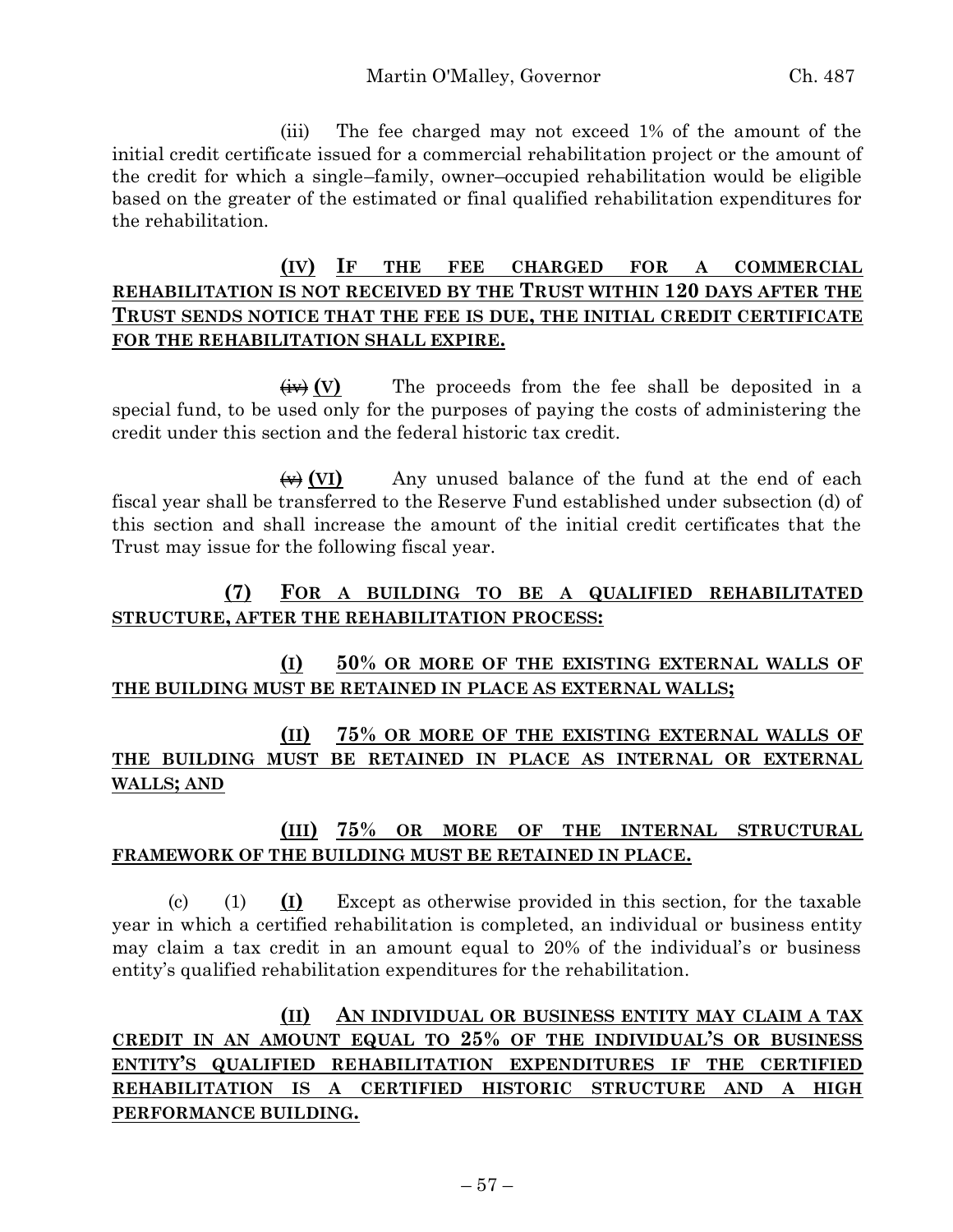(iii) The fee charged may not exceed 1% of the amount of the initial credit certificate issued for a commercial rehabilitation project or the amount of the credit for which a single–family, owner–occupied rehabilitation would be eligible based on the greater of the estimated or final qualified rehabilitation expenditures for the rehabilitation.

# **(IV) IF THE FEE CHARGED FOR A COMMERCIAL REHABILITATION IS NOT RECEIVED BY THE TRUST WITHIN 120 DAYS AFTER THE TRUST SENDS NOTICE THAT THE FEE IS DUE, THE INITIAL CREDIT CERTIFICATE FOR THE REHABILITATION SHALL EXPIRE.**

 $\overline{(iv)}$  **(V)** The proceeds from the fee shall be deposited in a special fund, to be used only for the purposes of paying the costs of administering the credit under this section and the federal historic tax credit.

(v) **(VI)** Any unused balance of the fund at the end of each fiscal year shall be transferred to the Reserve Fund established under subsection (d) of this section and shall increase the amount of the initial credit certificates that the Trust may issue for the following fiscal year.

# **(7) FOR A BUILDING TO BE A QUALIFIED REHABILITATED STRUCTURE, AFTER THE REHABILITATION PROCESS:**

# **(I) 50% OR MORE OF THE EXISTING EXTERNAL WALLS OF THE BUILDING MUST BE RETAINED IN PLACE AS EXTERNAL WALLS;**

**(II) 75% OR MORE OF THE EXISTING EXTERNAL WALLS OF THE BUILDING MUST BE RETAINED IN PLACE AS INTERNAL OR EXTERNAL WALLS; AND**

# **(III) 75% OR MORE OF THE INTERNAL STRUCTURAL FRAMEWORK OF THE BUILDING MUST BE RETAINED IN PLACE.**

(c) (1) **(I)** Except as otherwise provided in this section, for the taxable year in which a certified rehabilitation is completed, an individual or business entity may claim a tax credit in an amount equal to 20% of the individual's or business entity's qualified rehabilitation expenditures for the rehabilitation.

**(II) AN INDIVIDUAL OR BUSINESS ENTITY MAY CLAIM A TAX CREDIT IN AN AMOUNT EQUAL TO 25% OF THE INDIVIDUAL'S OR BUSINESS ENTITY'S QUALIFIED REHABILITATION EXPENDITURES IF THE CERTIFIED REHABILITATION IS A CERTIFIED HISTORIC STRUCTURE AND A HIGH PERFORMANCE BUILDING.**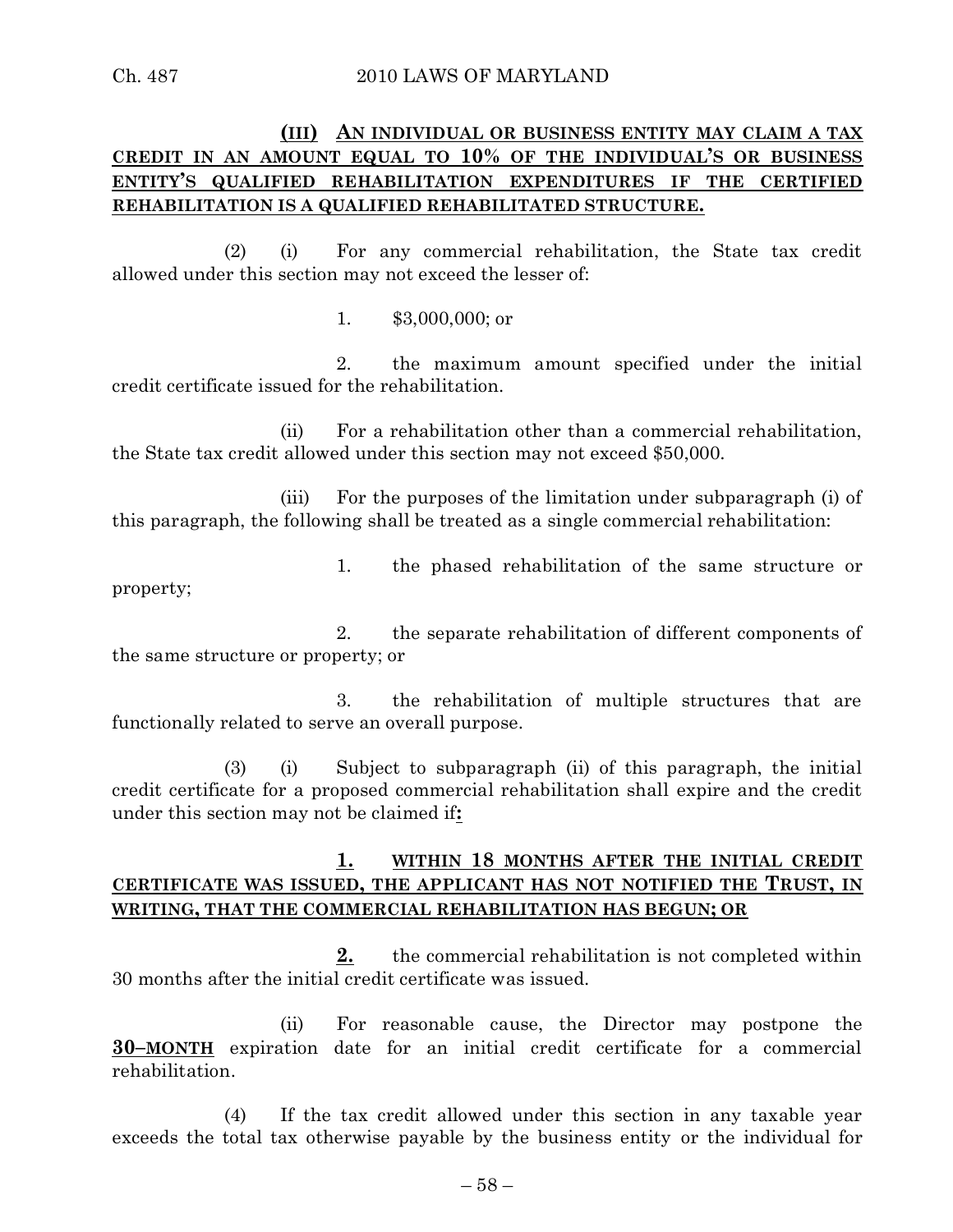# **(III) AN INDIVIDUAL OR BUSINESS ENTITY MAY CLAIM A TAX CREDIT IN AN AMOUNT EQUAL TO 10% OF THE INDIVIDUAL'S OR BUSINESS ENTITY'S QUALIFIED REHABILITATION EXPENDITURES IF THE CERTIFIED REHABILITATION IS A QUALIFIED REHABILITATED STRUCTURE.**

(2) (i) For any commercial rehabilitation, the State tax credit allowed under this section may not exceed the lesser of:

1. \$3,000,000; or

2. the maximum amount specified under the initial credit certificate issued for the rehabilitation.

(ii) For a rehabilitation other than a commercial rehabilitation, the State tax credit allowed under this section may not exceed \$50,000.

(iii) For the purposes of the limitation under subparagraph (i) of this paragraph, the following shall be treated as a single commercial rehabilitation:

1. the phased rehabilitation of the same structure or

property;

2. the separate rehabilitation of different components of the same structure or property; or

3. the rehabilitation of multiple structures that are functionally related to serve an overall purpose.

(3) (i) Subject to subparagraph (ii) of this paragraph, the initial credit certificate for a proposed commercial rehabilitation shall expire and the credit under this section may not be claimed if**:**

# **1. WITHIN 18 MONTHS AFTER THE INITIAL CREDIT CERTIFICATE WAS ISSUED, THE APPLICANT HAS NOT NOTIFIED THE TRUST, IN WRITING, THAT THE COMMERCIAL REHABILITATION HAS BEGUN; OR**

**2.** the commercial rehabilitation is not completed within 30 months after the initial credit certificate was issued.

(ii) For reasonable cause, the Director may postpone the **30–MONTH** expiration date for an initial credit certificate for a commercial rehabilitation.

(4) If the tax credit allowed under this section in any taxable year exceeds the total tax otherwise payable by the business entity or the individual for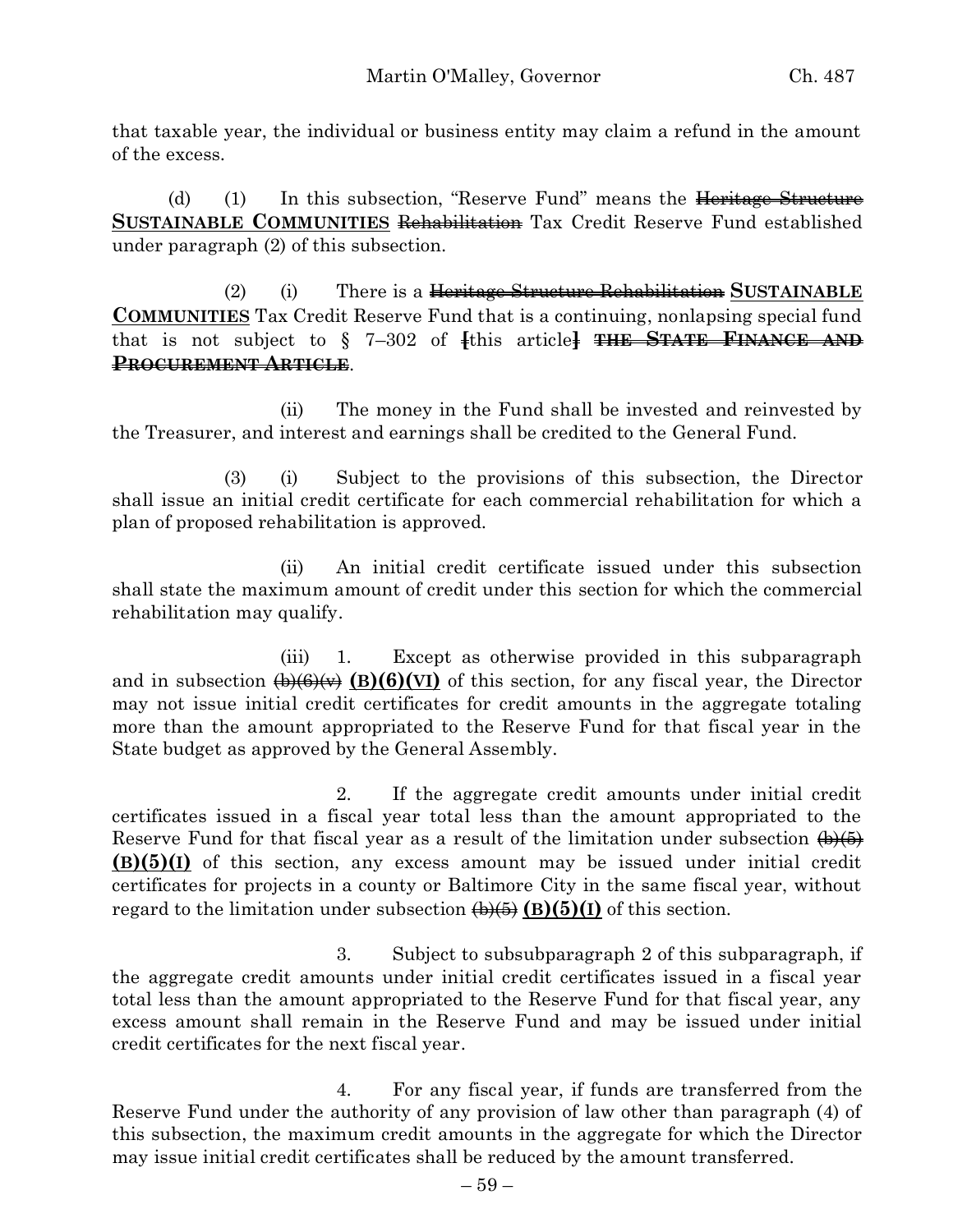that taxable year, the individual or business entity may claim a refund in the amount of the excess.

(d) (1) In this subsection, "Reserve Fund" means the Heritage Structure **SUSTAINABLE COMMUNITIES** Rehabilitation Tax Credit Reserve Fund established under paragraph (2) of this subsection.

(2) (i) There is a Heritage Structure Rehabilitation **SUSTAINABLE COMMUNITIES** Tax Credit Reserve Fund that is a continuing, nonlapsing special fund that is not subject to § 7–302 of **[**this article**] THE STATE FINANCE AND PROCUREMENT ARTICLE**.

(ii) The money in the Fund shall be invested and reinvested by the Treasurer, and interest and earnings shall be credited to the General Fund.

(3) (i) Subject to the provisions of this subsection, the Director shall issue an initial credit certificate for each commercial rehabilitation for which a plan of proposed rehabilitation is approved.

(ii) An initial credit certificate issued under this subsection shall state the maximum amount of credit under this section for which the commercial rehabilitation may qualify.

(iii) 1. Except as otherwise provided in this subparagraph and in subsection  $\bigoplus_{k} \bigoplus_{k} \bigoplus_{k} \bigoplus_{k} \bigoplus_{k} \bigoplus_{k} \bigoplus_{k} \bigoplus_{k} \bigoplus_{k} \bigoplus_{k} \bigoplus_{k} \bigoplus_{k} \bigoplus_{k} \bigoplus_{k} \bigoplus_{k} \bigoplus_{k} \bigoplus_{k} \bigoplus_{k} \bigoplus_{k} \bigoplus_{k} \bigoplus_{k} \bigoplus_{k} \bigoplus_{k} \bigoplus_{k} \bigoplus_{k} \bigoplus_{k} \bigoplus_{k} \bigoplus_{k} \bigoplus_{k$ may not issue initial credit certificates for credit amounts in the aggregate totaling more than the amount appropriated to the Reserve Fund for that fiscal year in the State budget as approved by the General Assembly.

2. If the aggregate credit amounts under initial credit certificates issued in a fiscal year total less than the amount appropriated to the Reserve Fund for that fiscal year as a result of the limitation under subsection  $\left(\frac{\mu}{6}\right)$ **(B)(5)(I)** of this section, any excess amount may be issued under initial credit certificates for projects in a county or Baltimore City in the same fiscal year, without regard to the limitation under subsection  $\overline{\left(\frac{\mathbf{b}}{\mathbf{b}}\right)}$  (B)(5)(I) of this section.

3. Subject to subsubparagraph 2 of this subparagraph, if the aggregate credit amounts under initial credit certificates issued in a fiscal year total less than the amount appropriated to the Reserve Fund for that fiscal year, any excess amount shall remain in the Reserve Fund and may be issued under initial credit certificates for the next fiscal year.

4. For any fiscal year, if funds are transferred from the Reserve Fund under the authority of any provision of law other than paragraph (4) of this subsection, the maximum credit amounts in the aggregate for which the Director may issue initial credit certificates shall be reduced by the amount transferred.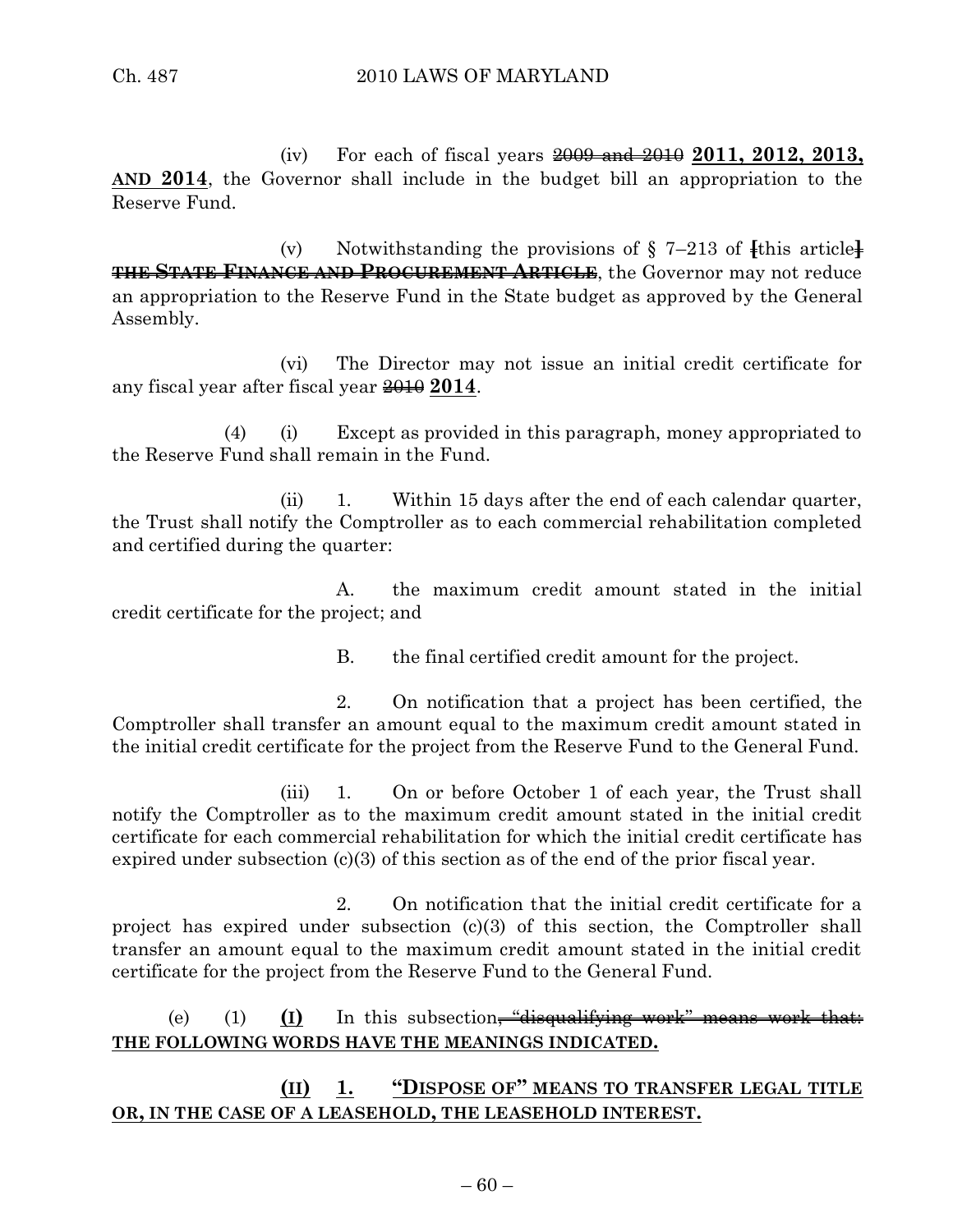(iv) For each of fiscal years 2009 and 2010 **2011, 2012, 2013, AND 2014**, the Governor shall include in the budget bill an appropriation to the Reserve Fund.

(v) Notwithstanding the provisions of  $\S$  7–213 of  $\{$ this article $\}$ **THE STATE FINANCE AND PROCUREMENT ARTICLE**, the Governor may not reduce an appropriation to the Reserve Fund in the State budget as approved by the General Assembly.

(vi) The Director may not issue an initial credit certificate for any fiscal year after fiscal year 2010 **2014**.

(4) (i) Except as provided in this paragraph, money appropriated to the Reserve Fund shall remain in the Fund.

(ii) 1. Within 15 days after the end of each calendar quarter, the Trust shall notify the Comptroller as to each commercial rehabilitation completed and certified during the quarter:

A. the maximum credit amount stated in the initial credit certificate for the project; and

B. the final certified credit amount for the project.

2. On notification that a project has been certified, the Comptroller shall transfer an amount equal to the maximum credit amount stated in the initial credit certificate for the project from the Reserve Fund to the General Fund.

(iii) 1. On or before October 1 of each year, the Trust shall notify the Comptroller as to the maximum credit amount stated in the initial credit certificate for each commercial rehabilitation for which the initial credit certificate has expired under subsection (c)(3) of this section as of the end of the prior fiscal year.

2. On notification that the initial credit certificate for a project has expired under subsection (c)(3) of this section, the Comptroller shall transfer an amount equal to the maximum credit amount stated in the initial credit certificate for the project from the Reserve Fund to the General Fund.

(e) (1) **(I)** In this subsection<del>, "disqualifying work" means work that:</del> **THE FOLLOWING WORDS HAVE THE MEANINGS INDICATED.**

**(II) 1. "DISPOSE OF" MEANS TO TRANSFER LEGAL TITLE OR, IN THE CASE OF A LEASEHOLD, THE LEASEHOLD INTEREST.**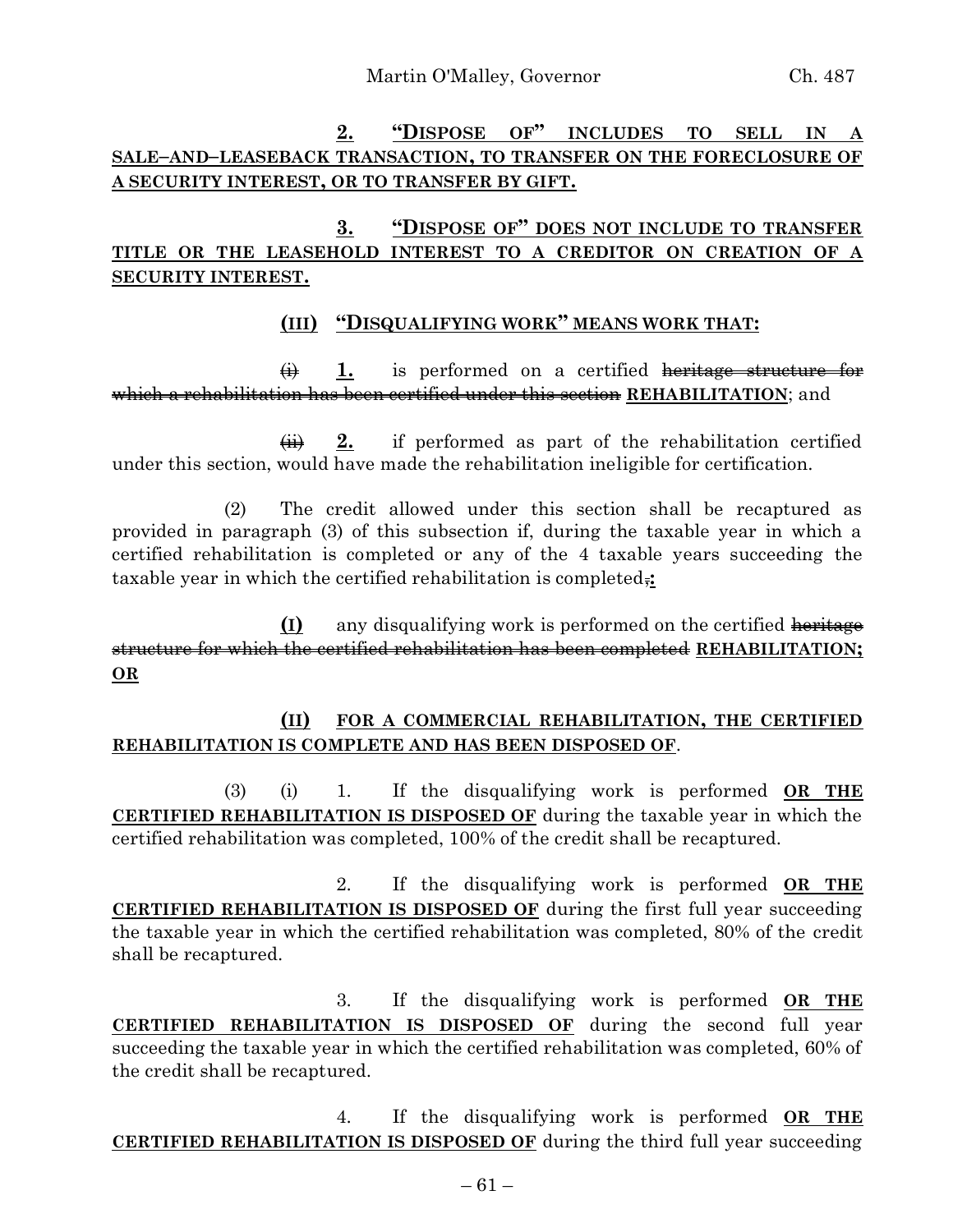# **2. "DISPOSE OF" INCLUDES TO SELL IN A SALE–AND–LEASEBACK TRANSACTION, TO TRANSFER ON THE FORECLOSURE OF A SECURITY INTEREST, OR TO TRANSFER BY GIFT.**

# **3. "DISPOSE OF" DOES NOT INCLUDE TO TRANSFER TITLE OR THE LEASEHOLD INTEREST TO A CREDITOR ON CREATION OF A SECURITY INTEREST.**

### **(III) "DISQUALIFYING WORK" MEANS WORK THAT:**

(i) **1.** is performed on a certified heritage structure for which a rehabilitation has been certified under this section **REHABILITATION**; and

 $\overrightarrow{4H}$  **2.** if performed as part of the rehabilitation certified under this section, would have made the rehabilitation ineligible for certification.

(2) The credit allowed under this section shall be recaptured as provided in paragraph (3) of this subsection if, during the taxable year in which a certified rehabilitation is completed or any of the 4 taxable years succeeding the taxable year in which the certified rehabilitation is completed,**:**

**(I)** any disqualifying work is performed on the certified heritage structure for which the certified rehabilitation has been completed **REHABILITATION; OR**

### **(II) FOR A COMMERCIAL REHABILITATION, THE CERTIFIED REHABILITATION IS COMPLETE AND HAS BEEN DISPOSED OF**.

(3) (i) 1. If the disqualifying work is performed **OR THE CERTIFIED REHABILITATION IS DISPOSED OF** during the taxable year in which the certified rehabilitation was completed, 100% of the credit shall be recaptured.

2. If the disqualifying work is performed **OR THE CERTIFIED REHABILITATION IS DISPOSED OF** during the first full year succeeding the taxable year in which the certified rehabilitation was completed, 80% of the credit shall be recaptured.

3. If the disqualifying work is performed **OR THE CERTIFIED REHABILITATION IS DISPOSED OF** during the second full year succeeding the taxable year in which the certified rehabilitation was completed, 60% of the credit shall be recaptured.

4. If the disqualifying work is performed **OR THE CERTIFIED REHABILITATION IS DISPOSED OF** during the third full year succeeding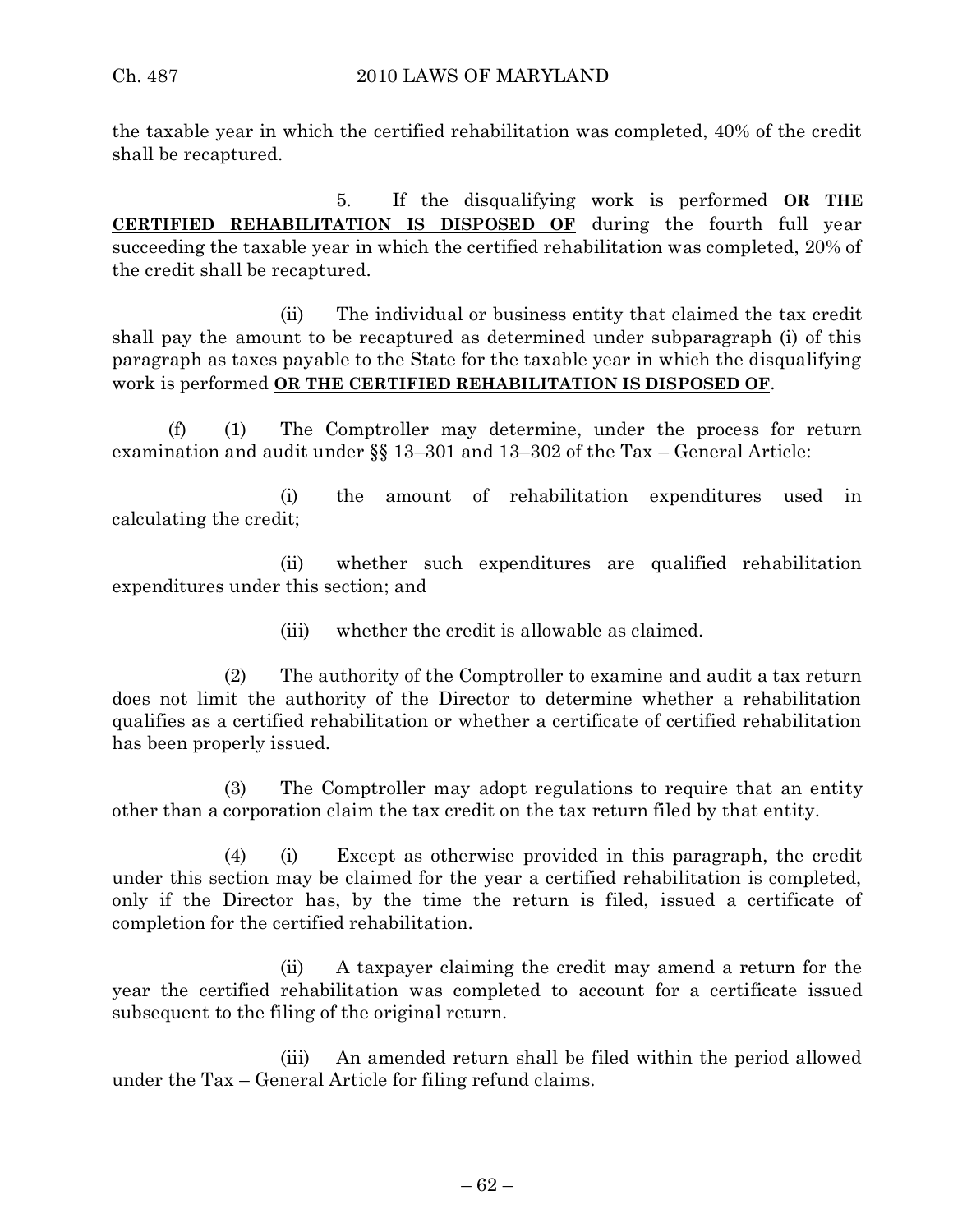the taxable year in which the certified rehabilitation was completed, 40% of the credit shall be recaptured.

5. If the disqualifying work is performed **OR THE CERTIFIED REHABILITATION IS DISPOSED OF** during the fourth full year succeeding the taxable year in which the certified rehabilitation was completed, 20% of the credit shall be recaptured.

(ii) The individual or business entity that claimed the tax credit shall pay the amount to be recaptured as determined under subparagraph (i) of this paragraph as taxes payable to the State for the taxable year in which the disqualifying work is performed **OR THE CERTIFIED REHABILITATION IS DISPOSED OF**.

(f) (1) The Comptroller may determine, under the process for return examination and audit under §§ 13–301 and 13–302 of the Tax – General Article:

(i) the amount of rehabilitation expenditures used in calculating the credit;

(ii) whether such expenditures are qualified rehabilitation expenditures under this section; and

(iii) whether the credit is allowable as claimed.

(2) The authority of the Comptroller to examine and audit a tax return does not limit the authority of the Director to determine whether a rehabilitation qualifies as a certified rehabilitation or whether a certificate of certified rehabilitation has been properly issued.

(3) The Comptroller may adopt regulations to require that an entity other than a corporation claim the tax credit on the tax return filed by that entity.

(4) (i) Except as otherwise provided in this paragraph, the credit under this section may be claimed for the year a certified rehabilitation is completed, only if the Director has, by the time the return is filed, issued a certificate of completion for the certified rehabilitation.

(ii) A taxpayer claiming the credit may amend a return for the year the certified rehabilitation was completed to account for a certificate issued subsequent to the filing of the original return.

(iii) An amended return shall be filed within the period allowed under the Tax – General Article for filing refund claims.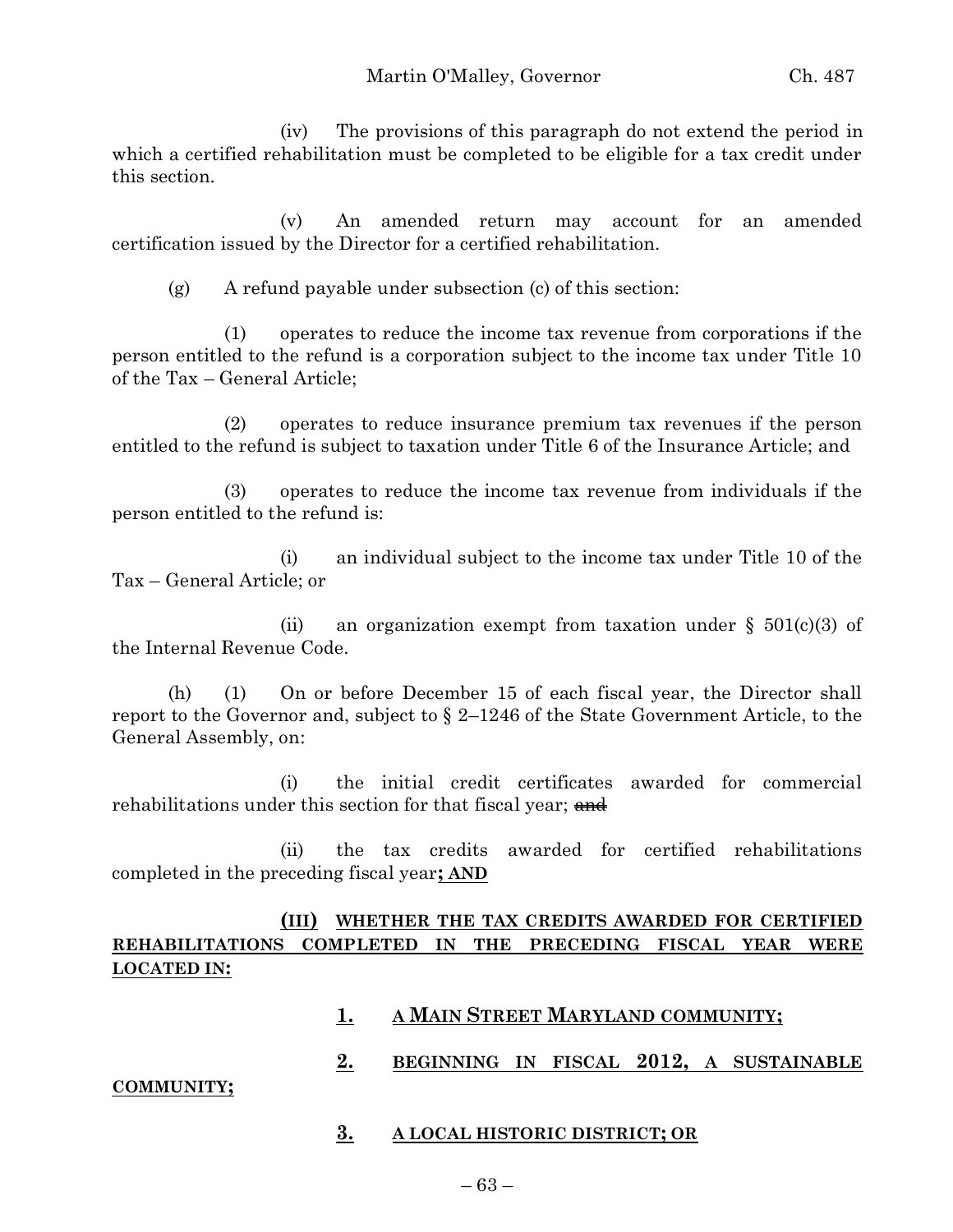(iv) The provisions of this paragraph do not extend the period in which a certified rehabilitation must be completed to be eligible for a tax credit under this section.

(v) An amended return may account for an amended certification issued by the Director for a certified rehabilitation.

(g) A refund payable under subsection (c) of this section:

(1) operates to reduce the income tax revenue from corporations if the person entitled to the refund is a corporation subject to the income tax under Title 10 of the Tax – General Article;

(2) operates to reduce insurance premium tax revenues if the person entitled to the refund is subject to taxation under Title 6 of the Insurance Article; and

(3) operates to reduce the income tax revenue from individuals if the person entitled to the refund is:

(i) an individual subject to the income tax under Title 10 of the Tax – General Article; or

(ii) an organization exempt from taxation under  $\S$  501(c)(3) of the Internal Revenue Code.

(h) (1) On or before December 15 of each fiscal year, the Director shall report to the Governor and, subject to § 2–1246 of the State Government Article, to the General Assembly, on:

(i) the initial credit certificates awarded for commercial rehabilitations under this section for that fiscal year; and

(ii) the tax credits awarded for certified rehabilitations completed in the preceding fiscal year**; AND**

# **(III) WHETHER THE TAX CREDITS AWARDED FOR CERTIFIED REHABILITATIONS COMPLETED IN THE PRECEDING FISCAL YEAR WERE LOCATED IN:**

- **1. A MAIN STREET MARYLAND COMMUNITY;**
- **2. BEGINNING IN FISCAL 2012, A SUSTAINABLE**

### **COMMUNITY;**

**3. A LOCAL HISTORIC DISTRICT; OR**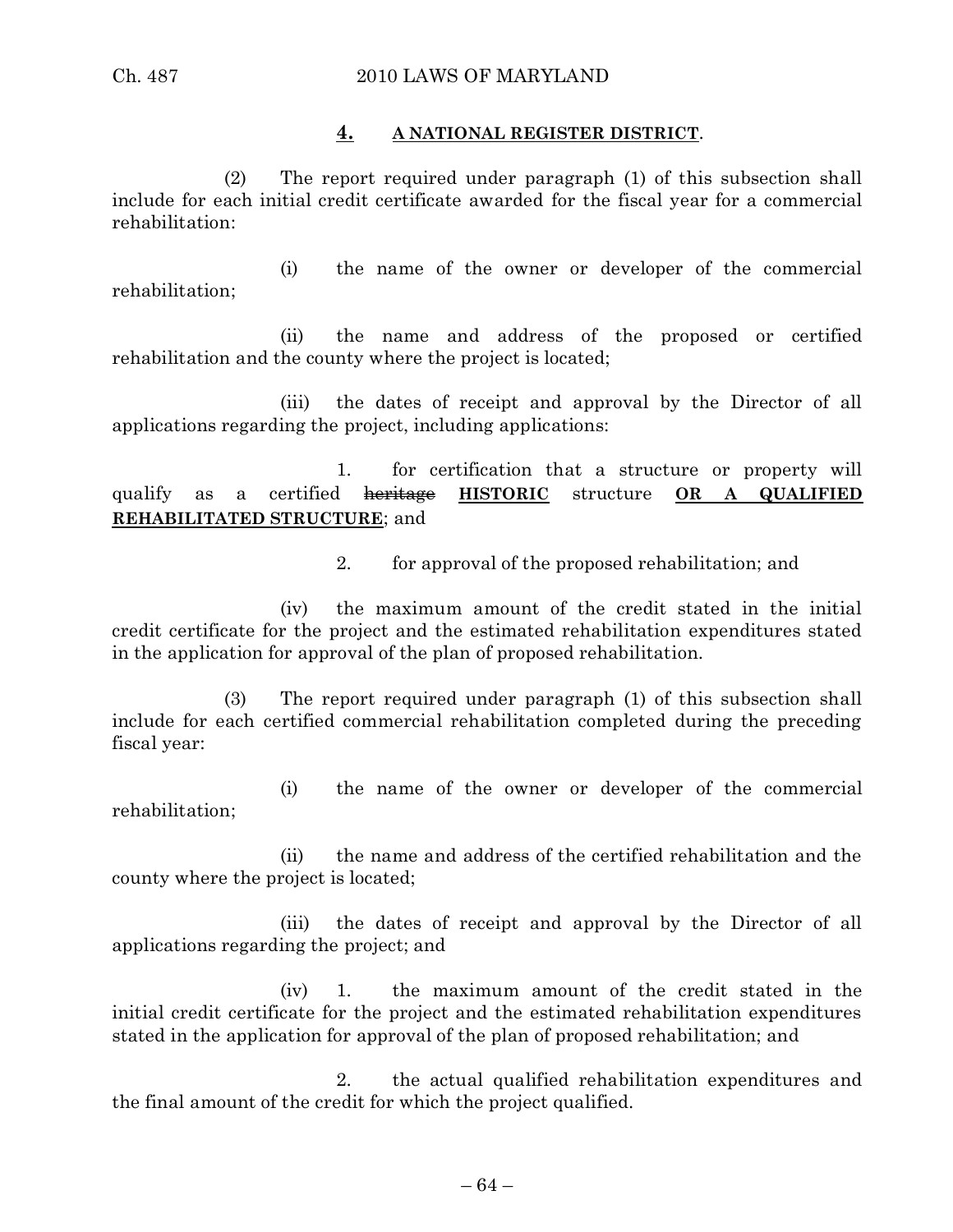#### **4. A NATIONAL REGISTER DISTRICT**.

(2) The report required under paragraph (1) of this subsection shall include for each initial credit certificate awarded for the fiscal year for a commercial rehabilitation:

(i) the name of the owner or developer of the commercial rehabilitation;

(ii) the name and address of the proposed or certified rehabilitation and the county where the project is located;

(iii) the dates of receipt and approval by the Director of all applications regarding the project, including applications:

1. for certification that a structure or property will qualify as a certified heritage **HISTORIC** structure **OR A QUALIFIED REHABILITATED STRUCTURE**; and

2. for approval of the proposed rehabilitation; and

(iv) the maximum amount of the credit stated in the initial credit certificate for the project and the estimated rehabilitation expenditures stated in the application for approval of the plan of proposed rehabilitation.

(3) The report required under paragraph (1) of this subsection shall include for each certified commercial rehabilitation completed during the preceding fiscal year:

(i) the name of the owner or developer of the commercial rehabilitation;

(ii) the name and address of the certified rehabilitation and the county where the project is located;

(iii) the dates of receipt and approval by the Director of all applications regarding the project; and

(iv) 1. the maximum amount of the credit stated in the initial credit certificate for the project and the estimated rehabilitation expenditures stated in the application for approval of the plan of proposed rehabilitation; and

2. the actual qualified rehabilitation expenditures and the final amount of the credit for which the project qualified.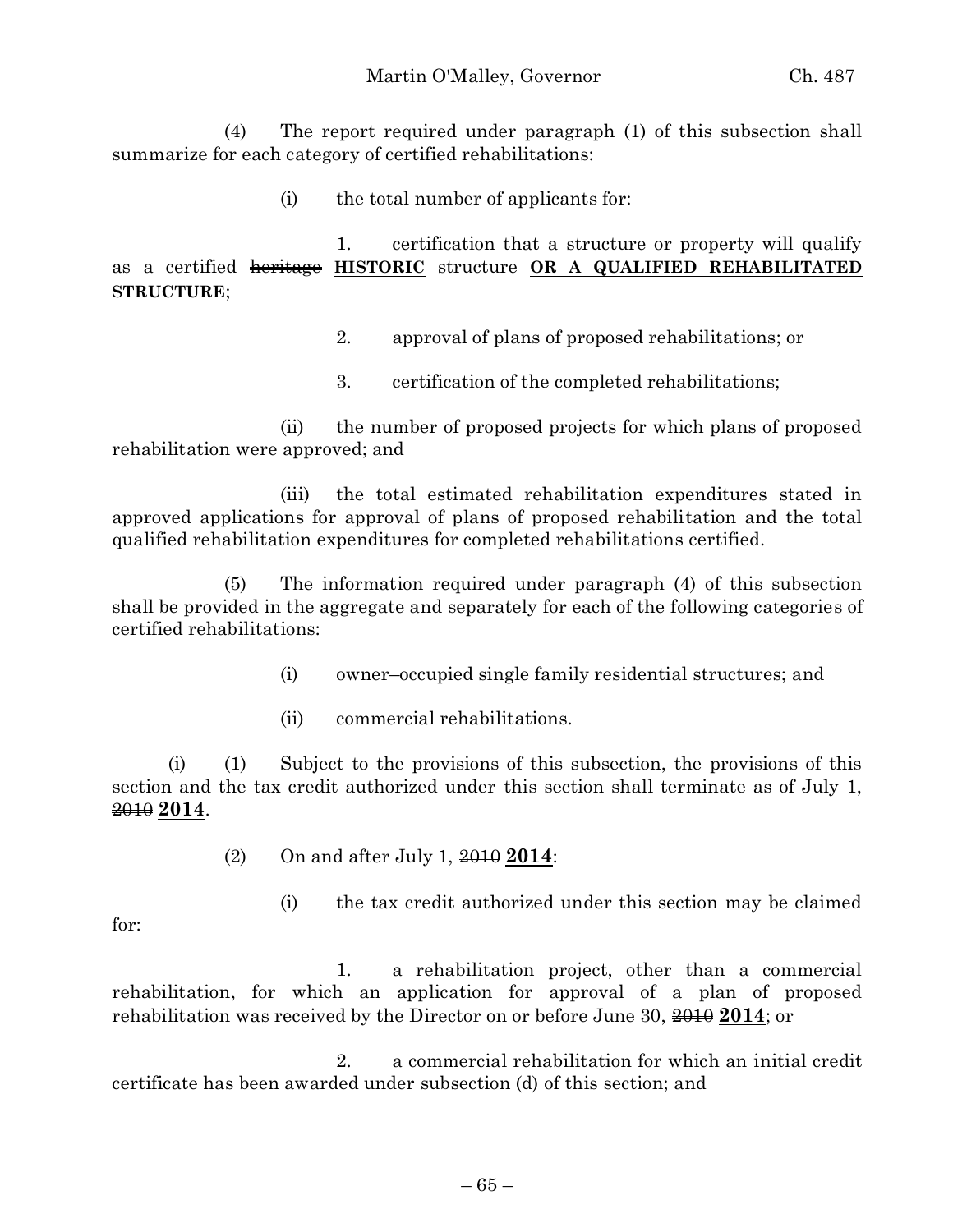(4) The report required under paragraph (1) of this subsection shall summarize for each category of certified rehabilitations:

(i) the total number of applicants for:

1. certification that a structure or property will qualify as a certified heritage **HISTORIC** structure **OR A QUALIFIED REHABILITATED STRUCTURE**;

- 2. approval of plans of proposed rehabilitations; or
- 3. certification of the completed rehabilitations;

(ii) the number of proposed projects for which plans of proposed rehabilitation were approved; and

(iii) the total estimated rehabilitation expenditures stated in approved applications for approval of plans of proposed rehabilitation and the total qualified rehabilitation expenditures for completed rehabilitations certified.

(5) The information required under paragraph (4) of this subsection shall be provided in the aggregate and separately for each of the following categories of certified rehabilitations:

- (i) owner–occupied single family residential structures; and
- (ii) commercial rehabilitations.

(i) (1) Subject to the provisions of this subsection, the provisions of this section and the tax credit authorized under this section shall terminate as of July 1, 2010 **2014**.

(2) On and after July 1, 2010 **2014**:

(i) the tax credit authorized under this section may be claimed

for:

1. a rehabilitation project, other than a commercial rehabilitation, for which an application for approval of a plan of proposed rehabilitation was received by the Director on or before June 30,  $\frac{2010}{2014}$ ; or

2. a commercial rehabilitation for which an initial credit certificate has been awarded under subsection (d) of this section; and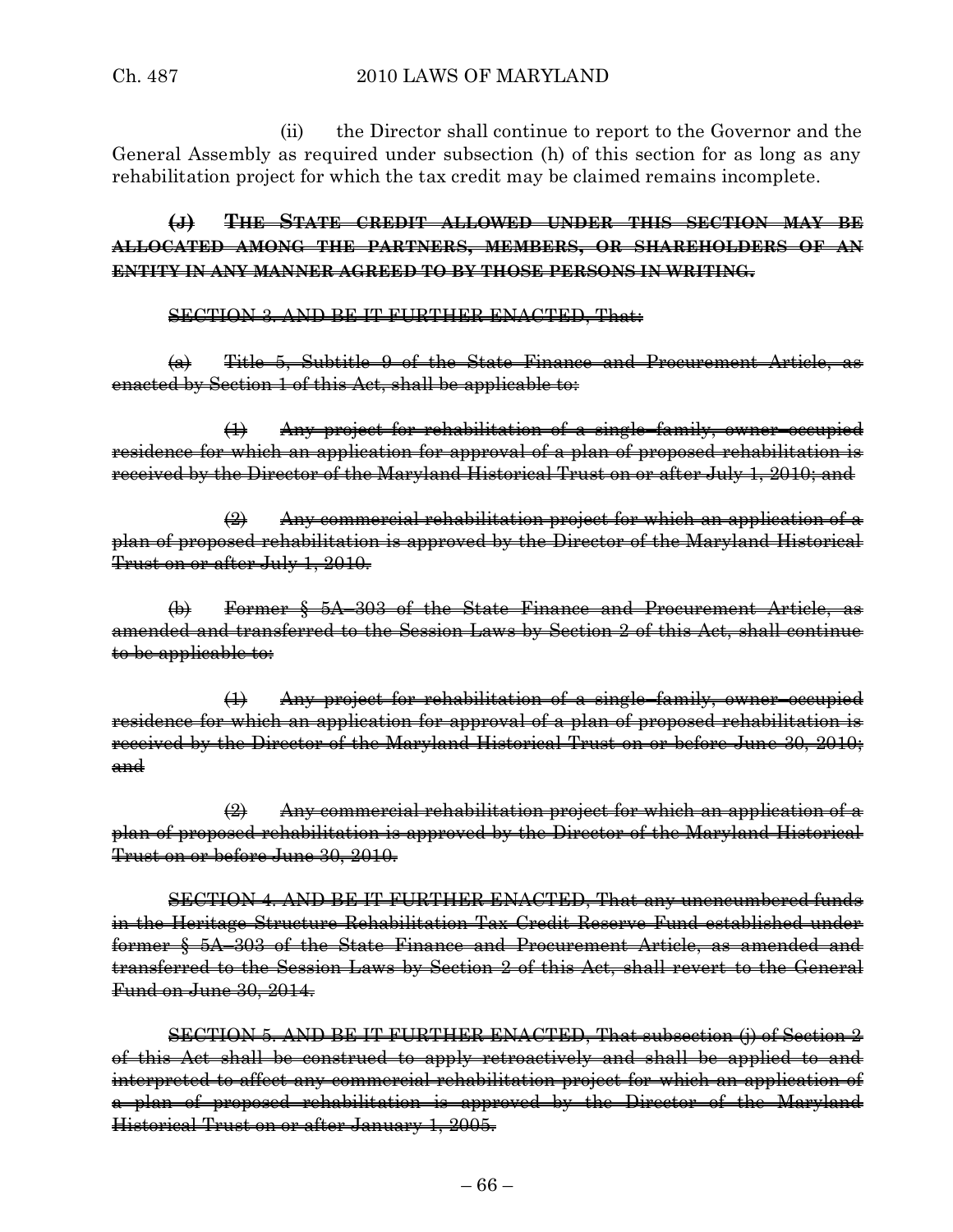(ii) the Director shall continue to report to the Governor and the General Assembly as required under subsection (h) of this section for as long as any rehabilitation project for which the tax credit may be claimed remains incomplete.

**(J) THE STATE CREDIT ALLOWED UNDER THIS SECTION MAY BE ALLOCATED AMONG THE PARTNERS, MEMBERS, OR SHAREHOLDERS OF AN ENTITY IN ANY MANNER AGREED TO BY THOSE PERSONS IN WRITING.**

SECTION 3. AND BE IT FURTHER ENACTED, That:

(a) Title 5, Subtitle 9 of the State Finance and Procurement Article, as enacted by Section 1 of this Act, shall be applicable to:

(1) Any project for rehabilitation of a single–family, owner–occupied residence for which an application for approval of a plan of proposed rehabilitation is received by the Director of the Maryland Historical Trust on or after July 1, 2010; and

 $\left( 2\right)$  Any commercial rehabilitation project for which an application of a plan of proposed rehabilitation is approved by the Director of the Maryland Historical Trust on or after July 1, 2010.

 $\left(\phi\right)$  Former § 5A–303 of the State Finance and Procurement Article. amended and transferred to the Session Laws by Section 2 of this Act, shall continue to be applicable to:

(1) Any project for rehabilitation of a single–family, owner–occupied residence for which an application for approval of a plan of proposed rehabilitation is received by the Director of the Maryland Historical Trust on or before June 30, 2010; and

 $\left( 2\right)$  Any commercial rehabilitation project for which an application of a plan of proposed rehabilitation is approved by the Director of the Maryland Historical Trust on or before June 30, 2010.

SECTION 4. AND BE IT FURTHER ENACTED, That any unencumbered funds in the Heritage Structure Rehabilitation Tax Credit Reserve Fund established under former § 5A–303 of the State Finance and Procurement Article, as amended and transferred to the Session Laws by Section 2 of this Act, shall revert to the General Fund on June 30, 2014.

SECTION 5. AND BE IT FURTHER ENACTED, That subsection (j) of Section 2 of this Act shall be construed to apply retroactively and shall be applied to and interpreted to affect any commercial rehabilitation project for which an application of a plan of proposed rehabilitation is approved by the Director of the Maryland Historical Trust on or after January 1, 2005.